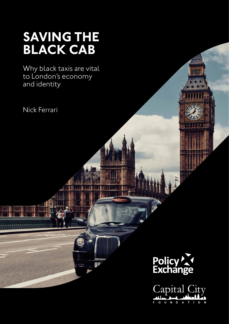# **SAVING THE BLACK CAB**

Why black taxis are vital to London's economy and identity

Nick Ferrari

ा।



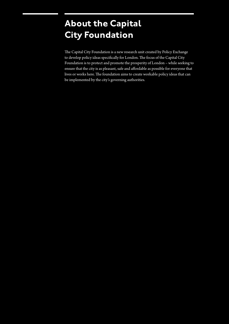# In simple terms, London's air is unhealthy to breathe, and more needs to be **About the Capital**  $\mathsf{\Gamma}$ ity Foundation, as well as  $\mathsf{\Gamma}$ **City Foundation**

The Capital City Foundation is a new research unit created by Policy Exchange to develop policy ideas specifically for London. The focus of the Capital City Foundation is to protect and promote the prosperity of London – while seeking to ensure that the city is as pleasant, safe and affordable as possible for everyone that lives or works here. The foundation aims to create workable policy ideas that can be implemented by the city's governing authorities.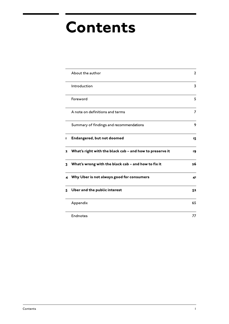# **Contents**

|   | About the author                                           | $\overline{2}$   |
|---|------------------------------------------------------------|------------------|
|   | Introduction                                               | 3                |
|   | Foreword                                                   | 5                |
|   | A note on definitions and terms                            | 7                |
|   | Summary of findings and recommendations                    | 9                |
| L | Endangered, but not doomed                                 | 15               |
|   | 2 What's right with the black cab - and how to preserve it | 19               |
| 3 | What's wrong with the black cab - and how to fix it        | 26               |
|   | 4 Why Uber is not always good for consumers                | $\blacktriangle$ |
| 5 | Uber and the public interest                               | 52               |
|   | Appendix                                                   | 65               |
|   | Endnotes                                                   | 77               |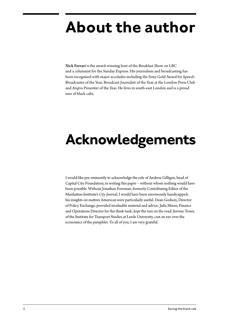# <span id="page-3-0"></span>**About the author**

Nick Ferrari is the award-winning host of the Breakfast Show on LBC and a columnist for the Sunday Express. His journalism and broadcasting has been recognised with major accolades including the Sony Gold Award for Speech Broadcaster of the Year, Broadcast Journalist of the Year at the London Press Club and Arqiva Presenter of the Year. He lives in south-east London and is a proud user of black cabs.

# **Acknowledgements**

I would like pre-eminently to acknowledge the role of Andrew Gilligan, head of Capital City Foundation, in writing this paper – without whom nothing would have been possible. Without Jonathan Foreman, formerly Contributing Editor of the Manhattan Institute's *City Journal*, I would have been enormously handicapped; his insights on matters American were particularly useful. Dean Godson, Director of Policy Exchange, provided invaluable material and advice. Julia Mizen, Finance and Operations Director for the think-tank, kept the taxi on the road. Jeremy Toner, of the Institute for Transport Studies at Leeds University, cast an eye over the economics of the pamphlet. To all of you, I am very grateful.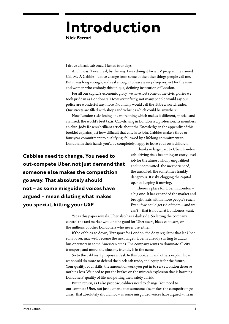# **Introduction**

**Nick Ferrari**

I drove a black cab once. I lasted four days.

And it wasn't even real, by the way. I was doing it for a TV programme named Call Me A Cabbie – a nice change from some of the other things people call me. But it was long enough, and real enough, to leave a very deep respect for the men and women who embody this unique, defining institution of London.

For all our capital's economic glory, we have lost some of the civic glories we took pride in as Londoners. However unfairly, not many people would say our police are wonderful any more. Not many would call the Tube a world leader. Our streets are filled with shops and vehicles which could be anywhere.

Now London risks losing one more thing which makes it different, special, and civilised: the world's best taxis. Cab-driving in London is a profession, its members an elite. Jody Rosen's brilliant article about the Knowledge in the appendix of this booklet explains just how difficult that elite is to join. Cabbies make a three or four-year commitment to qualifying, followed by a lifelong commitment to London. In their hands you'd be completely happy to leave your own children.

**Cabbies need to change. You need to out-compete Uber, not just demand that someone else makes the competition go away. That absolutely should not – as some misguided voices have argued – mean diluting what makes you special, killing your USP**

Thanks in large part to Uber, London cab-driving risks becoming an entry-level job for the almost wholly unqualified and uncommitted: the inexperienced, the unskilled, the sometimes frankly dangerous. It risks clogging the capital up, not keeping it moving.

There's a place for Uber in London – a big one. It has expanded the market and brought taxis within more people's reach. Even if we could get rid of them – and we can't – that is not what Londoners want.

Yet as this paper reveals, Uber also has a dark side. So letting the company control the taxi market wouldn't be good for Uber users, black cab users, or the millions of other Londoners who never use either.

If the cabbies go down, Transport for London, the dozy regulator that let Uber run it over, may well become the next target: Uber is already starting to attack bus operators in some American cities. The company wants to dominate all city transport, and more: the clue, my friends, is in the name.

So to the cabbies, I propose a deal. In this booklet, I and others explain how we should do more to defend the black cab trade, and equip it for the future. Your quality, your skills, the amount of work you put in to serve London deserve nothing less. We need to put the brakes on the minicab explosion that is harming Londoners' quality of life and putting their safety at risk.

But in return, as I also propose, cabbies need to change. You need to out-compete Uber, not just demand that someone else makes the competition go away. That absolutely should not – as some misguided voices have argued – mean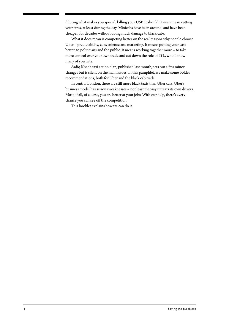diluting what makes you special, killing your USP. It shouldn't even mean cutting your fares, at least during the day. Minicabs have been around, and have been cheaper, for decades without doing much damage to black cabs.

What it does mean is competing better on the real reasons why people choose Uber – predictability, convenience and marketing. It means putting your case better, to politicians and the public. It means working together more – to take more control over your own trade and cut down the role of TfL, who I know many of you hate.

Sadiq Khan's taxi action plan, published last month, sets out a few minor changes but is silent on the main issues. In this pamphlet, we make some bolder recommendations, both for Uber and the black cab trade.

In central London, there are still more black taxis than Uber cars. Uber's business model has serious weaknesses – not least the way it treats its own drivers. Most of all, of course, you are better at your jobs. With our help, there's every chance you can see off the competition.

This booklet explains how we can do it.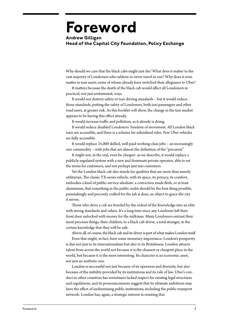# **Foreword**

### **Andrew Gilligan Head of the Capital City Foundation, Policy Exchange**

Why should we care that the black cabs might just die? What does it matter to the vast majority of Londoners who seldom or never travel in one? Why does it even matter to taxi-users, some of whom already have switched their allegiance to Uber?

It matters because the death of the black cab would affect all Londoners in practical, not just sentimental, ways.

It would not destroy safety or taxi-driving standards – but it would reduce those standards, putting the safety of Londoners, both taxi passengers and other road users, at greater risk. As this booklet will show, the change in the taxi market appears to be having this effect already.

It would increase traffic and pollution, as it already is doing.

It would reduce disabled Londoners' freedom of movement. All London black taxis are accessible, and there is a scheme for subsidised rides. Few Uber vehicles are fully accessible.

It would replace 25,000 skilled, well-paid working-class jobs – an increasingly rare commodity – with jobs that are almost the definition of the "precariat."

It might not, in the end, even be cheaper: as we describe, it would replace a publicly-regulated system with a new and dominant private operator, able to set the terms for customers, and not perhaps just taxi customers.

Yet the London black cab also stands for qualities that are more than merely utilitarian. The classic TX-series vehicle, with its space, its privacy, its comfort, embodies a kind of public-service idealism: a conviction made flesh, or at least aluminium, that something in the public realm should be the best thing possible, painstakingly and precisely crafted for the job it does, an object to grace the city it serves.

Those who drive a cab are bonded by the ordeal of the Knowledge into an elite with strong standards and values. It's a long time since any Londoner left their front door unlocked with money for the milkman. Many Londoners entrust their most precious things, their children, to a black cab driver, a total stranger, in the certain knowledge that they will be safe.

Above all, of course, the black cab and its driver is part of what makes London itself.

Even that might, in fact, have some monetary importance. London's prosperity is due not just to its internationalism but also to its Britishness. London attracts talent from across the world not because it is the cleanest or cheapest place in the world, but because it is the most interesting. Its character is an economic asset, not just an aesthetic one.

London is successful not just because of its openness and diversity, but also because of the stability provided by its institutions and its rule of law. Uber's conduct in other countries has sometimes lacked respect for existing legal structures and regulations, and its pronouncements suggest that its ultimate ambitions may have the effect of undermining public institutions, including the public transport network. London has, again, a strategic interest in resisting this.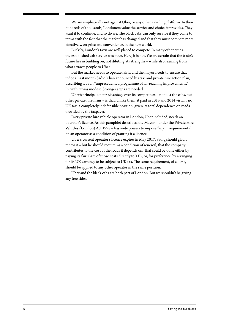We are emphatically not against Uber, or any other e-hailing platform. In their hundreds of thousands, Londoners value the service and choice it provides. They want it to continue, and so do we. The black cabs can only survive if they come to terms with the fact that the market has changed and that they must compete more effectively, on price and convenience, in the new world.

Luckily, London's taxis are well placed to compete. In many other cities, the established cab service was poor. Here, it is not. We are certain that the trade's future lies in building on, not diluting, its strengths – while also learning from what attracts people to Uber.

But the market needs to operate fairly, and the mayor needs to ensure that it does. Last month Sadiq Khan announced his taxi and private hire action plan, describing it as an "unprecedented programme of far-reaching improvements." In truth, it was modest. Stronger steps are needed.

Uber's principal unfair advantage over its competitors – not just the cabs, but other private hire firms – is that, unlike them, it paid in 2013 and 2014 virtally no UK tax: a completely indefensible position, given its total dependence on roads provided by the taxpayer.

Every private hire vehicle operator in London, Uber included, needs an operator's licence. As this pamphlet describes, the Mayor – under the Private Hire Vehicles (London) Act 1998 – has wide powers to impose "any… requirements" on an operator as a condition of granting it a licence.

Uber's current operator's licence expires in May 2017. Sadiq should gladly renew it – but he should require, as a condition of renewal, that the company contributes to the cost of the roads it depends on. That could be done either by paying its fair share of those costs directly to TfL; or, for preference, by arranging for its UK earnings to be subject to UK tax. The same requirement, of course, should be applied to any other operator in the same position.

Uber and the black cabs are both part of London. But we shouldn't be giving any free rides.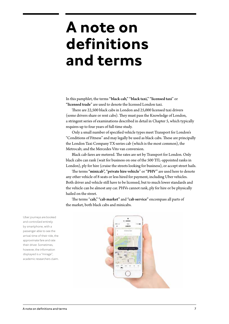# <span id="page-8-0"></span>**A note on definitions and terms**

In this pamphlet, the terms "black cab," "black taxi," "licensed taxi" or "licensed trade" are used to denote the licensed London taxi.

There are 22,500 black cabs in London and 25,000 licensed taxi drivers (some drivers share or rent cabs). They must pass the Knowledge of London, a stringent series of examinations described in detail in Chapter 5, which typically requires up to four years of full-time study.

Only a small number of specified vehicle types meet Transport for London's "Conditions of Fitness" and may legally be used as black cabs. These are principally the London Taxi Company TX-series cab (which is the most common), the Metrocab; and the Mercedes Vito van conversion.

Black cab fares are metered. The rates are set by Transport for London. Only black cabs can rank (wait for business on one of the 500 Tf L-appointed ranks in London), ply for hire (cruise the streets looking for business), or accept street hails.

The terms "minicab", "private hire vehicle" or "PHV" are used here to denote any other vehicle of 8 seats or less hired for payment, including Uber vehicles. Both driver and vehicle still have to be licensed, but to much lower standards and the vehicle can be almost any car. PHVs cannot rank, ply for hire or be physically hailed on the street.

The terms "cab,""cab market" and "cab service" encompass all parts of the market, both black cabs and minicabs.

Uber journeys are booked and controlled entirely by smartphone, with a passenger able to see the arrival time of their ride, the approximate fare and rate their driver. Sometimes, however, the information displayed is a "mirage", academic researchers claim.

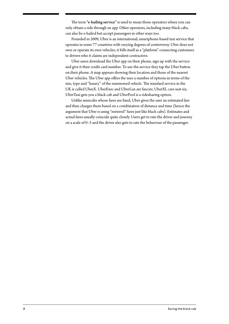The term "e-hailing service" is used to mean those operators where you can only obtain a ride through an app. Other operators, including many black cabs, can also be e-hailed but accept passengers in other ways too.

Founded in 2009, Uber is an international, smartphone-based taxi service that operates in some 77 countries with varying degrees of controversy. Uber does not own or operate its own vehicles; it bills itself as a "platform" connecting customers to drivers who it claims are independent contractors.

Uber users download the Uber app on their phone, sign up with the service and give it their credit card number. To use the service they tap the Uber button on their phone. A map appears showing their location and those of the nearest Uber vehicles. The Uber app offers the user a number of options in terms of the size, type and "luxury" of the summoned vehicle. The standard service in the UK is called UberX. UberExec and UberLux are fancier, UberXL cars seat six, UberTaxi gets you a black cab and UberPool is a ridesharing option.

Unlike minicabs whose fares are fixed, Uber gives the user an estimated fare and then charges them based on a combination of distance and time (hence the argument that Uber is using "metered" fares just like black cabs). Estimates and actual fares usually coincide quite closely. Users get to rate the driver and journey on a scale of 0–5 and the driver also gets to rate the behaviour of the passenger.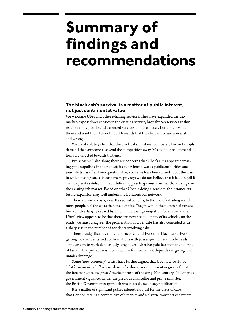# <span id="page-10-0"></span>**Summary of findings and recommendations**

### **The black cab's survival is a matter of public interest, not just sentimental value**

We welcome Uber and other e-hailing services. They have expanded the cab market, exposed weaknesses in the existing service, brought cab services within reach of more people and extended services to more places. Londoners value them and want them to continue. Demands that they be banned are unrealistic and wrong.

We are absolutely clear that the black cabs must out-compete Uber, not simply demand that someone else send the competition away. Most of our recommendations are directed towards that end.

But as we will also show, there are concerns that Uber's aims appear increasingly monopolistic in their effect; its behaviour towards public authorities and journalists has often been questionable; concerns have been raised about the way in which it safeguards its customers' privacy; we do not believe that it is doing all it can to operate safely; and its ambitions appear to go much further than taking over the existing cab market. Based on what Uber is doing elsewhere, for instance, its future expansion may well undermine London's bus network.

There are social costs, as well as social benefits, to the rise of e-hailing – and more people feel the costs than the benefits. The growth in the number of private hire vehicles, largely caused by Uber, is increasing congestion for all road users. Uber's view appears to be that there can never be too many of its vehicles on the roads; we must disagree. The proliferation of Uber cabs has also coincided with a sharp rise in the number of accidents involving cabs.

There are significantly more reports of Uber drivers than black cab drivers getting into incidents and confrontations with passengers. Uber's model leads some drivers to work dangerously long hours. Uber has paid less than the full rate of tax – in two years almost no tax at all – for the roads it depends on, giving it an unfair advantage.

Some "new economy" critics have further argued that Uber is a would-be "platform monopoly"1 whose desires for dominance represent as great a threat to the free market as the great American trusts of the early 20th century.<sup>2</sup> It demands government vigilance. Under the previous chancellor and prime minister, the British Government's approach was instead one of eager facilitation.

It is a matter of significant public interest, not just for the users of cabs, that London retains a competitive cab market and a diverse transport ecosystem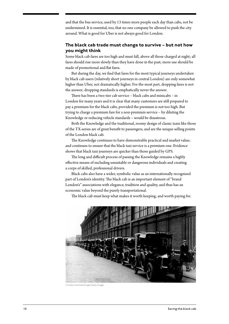and that the bus service, used by 13 times more people each day than cabs, not be undermined. It is essential, too, that no one company be allowed to push the city around. What is good for Uber is not always good for London.

# **The black cab trade must change to survive – but not how you might think**

Some black cab fares are too high and must fall, above all those charged at night; all fares should rise more slowly than they have done in the past; more use should be made of promotional and flat fares.

But during the day, we find that fares for the most typical journeys undertaken by black cab users (relatively short journeys in central London) are only somewhat higher than Uber, not dramatically higher. For the most part, dropping fares is not the answer; dropping standards is emphatically never the answer.

There has been a two-tier cab service – black cabs and minicabs – in London for many years and it is clear that many customers are still prepared to pay a premium for the black cabs, provided the premium is not too high. But trying to charge a premium fare for a non-premium service – by diluting the Knowledge or reducing vehicle standards – would be disastrous.

Both the Knowledge and the traditional, roomy design of classic taxis like those of the TX-series are of great benefit to passengers, and are the unique selling points of the London black cab.

The Knowledge continues to have demonstrable practical and market value; and continues to ensure that the black taxi service is a premium one. Evidence shows that black taxi journeys are quicker than those guided by GPS.

The long and difficult process of passing the Knowledge remains a highly effective means of excluding unsuitable or dangerous individuals and creating a corps of skilled, professional drivers.

Black cabs also have a wider, symbolic value as an internationally recognised part of London's identity. The black cab is an important element of "brand London's" associations with elegance, tradition and quality, and thus has an economic value beyond the purely transportational.

The black cab must keep what makes it worth keeping, and worth paying for.



© Hulton Archive/Stringer/Getty Images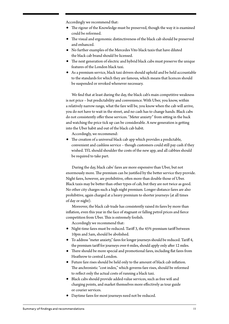Accordingly we recommend that:

- **•** The rigour of the Knowledge must be preserved, though the way it is examined could be reformed.
- **•** The visual and ergonomic distinctiveness of the black cab should be preserved and enhanced.
- **•** No further examples of the Mercedes Vito black taxis that have diluted the black cab brand should be licensed.
- **•** The next generation of electric and hybrid black cabs must preserve the unique features of the London black taxi.
- **•** As a premium service, black taxi drivers should uphold and be held accountable to the standards for which they are famous, which means that licences should be suspended or revoked whenever necessary.

We find that at least during the day, the black cab's main competitive weakness is not price – but predictability and convenience. With Uber, you know, within a relatively narrow range, what the fare will be, you know when the cab will arrive, you do not have to wait in the street, and no cash has to change hands. Black cabs do not consistently offer these services. "Meter anxiety" from sitting in the back and watching the price tick up can be considerable. A new generation is getting into the Uber habit and out of the black cab habit.

Accordingly, we recommend:

**•** The creation of a universal black cab app which provides a predictable, convenient and cashless service – though customers could still pay cash if they wished. TfL should shoulder the costs of the new app, and all cabbies should be required to take part.

During the day, black cabs' fares are more expensive than Uber, but not enormously more. The premium can be justified by the better service they provide. Night fares, however, are prohibitive, often more than double those of Uber. Black taxis may be better than other types of cab, but they are not twice as good. No other city charges such a high night premium. Longer-distance fares are also prohibitive, again charged at a heavy premium to shorter journeys (at all times of day or night).

Moreover, the black cab trade has consistently raised its fares by more than inflation, even this year in the face of stagnant or falling petrol prices and fierce competition from Uber. This is extremely foolish.

Accordingly we recommend that:

- **•** Night-time fares must be reduced. Tariff 3, the 45% premium tariff between 10pm and 5am, should be abolished.
- **•** To address "meter anxiety," fares for longer journeys should be reduced. Tariff 4, the premium tariff for journeys over 6 miles, should apply only after 12 miles.
- **•** There should be more special and promotional fares, including flat fares from Heathrow to central London.
- **•** Future fare rises should be held only to the amount of black cab inflation. The anchronistic "cost index," which governs fare rises, should be reformed to reflect only the actual costs of running a black taxi.
- **•** Black cabs should provide added-value services, such as free wifi and charging points, and market themselves more effectively as tour guide or courier services.
- **•** Daytime fares for most journeys need not be reduced.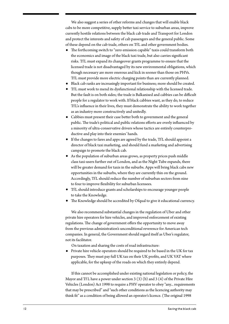We also suggest a series of other reforms and changes that will enable black cabs to be more competitive, supply better taxi service to suburban areas, improve currently hostile relations between the black cab trade and Transport for London and protect the interests and safety of cab passengers and the general public. Some of these depend on the cab trade, others on TfL and other government bodies.

- **•** The forthcoming switch to "zero emission capable" taxis could transform both the economics and image of the black taxi trade, but also carries significant risks. TfL must expand its changeover grants programme to ensure that the licensed trade is not disadvantaged by its new environmental obligations, which though necessary are more onerous and kick in sooner than those on PHVs. TfL must provide more electric charging points than are currently planned.
- **•** Black cab ranks are increasingly important for business; more should be created.
- **•** TfL must work to mend its dysfunctional relationship with the licensed trade. But the fault is on both sides; the trade is Balkanised and cabbies can be difficult people for a regulator to work with. If black cabbies want, as they do, to reduce Tf L's influence in their lives, they must demonstrate the ability to work together as an industry more constructively and unitedly.
- **•** Cabbies must present their case better both to government and the general public. The trade's political and public relations efforts are overly influenced by a minority of ultra-conservative drivers whose tactics are entirely counterproductive and play into their enemies' hands.
- If the changes to fares and apps are agreed by the trade, TfL should appoint a director of black taxi marketing, and should fund a marketing and advertising campaign to promote the black cab.
- **•** As the population of suburban areas grows, as property prices push middle class taxi-users further out of London, and as the Night Tube expands, there will be greater demand for taxis in the suburbs. Apps will bring black cabs new opportunities in the suburbs, where they are currently thin on the ground. Accordingly, TfL should reduce the number of suburban sectors from nine to four to improve flexibility for suburban licensees.
- **•** Tf L should introduce grants and scholarships to encourage younger people to take the Knowledge.
- **•** The Knowledge should be accredited by Ofqual to give it educational currency.

We also recommend substantial changes in the regulation of Uber and other private hire operators for hire vehicles, and improved enforcement of existing regulations. The change of government offers the opportunity to move away from the previous administration's unconditional reverence for American tech companies. In general, the Government should regard itself as Uber's regulator, not its facilitator.

On taxation and sharing the costs of road infrastructure:

**•** Private hire vehicle operators should be required to be based in the UK for tax purposes. They must pay full UK tax on their UK profits, and UK VAT where applicable, for the upkeep of the roads on which they entirely depend.

If this cannot be accomplished under existing national legislation or policy, the Mayor and Tf L have a power under section 3 (3) (b) and 3 (4) of the Private Hire Vehicles (London) Act 1998 to require a PHV operator to obey "any... requirements that may be prescribed" and "such other conditions as the licencing authority may think fit" as a condition of being allowed an operator's licence. (The original 1998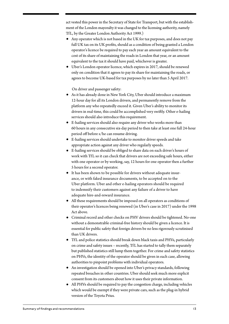act vested this power in the Secretary of State for Transport, but with the establishment of the London mayoralty it was changed to the licensing authority, namely Tf L, by the Greater London Authority Act 1999.)

- **•** Any operator which is not based in the UK for tax purposes, and does not pay full UK tax on its UK profits, should as a condition of being granted a London operator's licence be required to pay each year an amount equivalent to the cost of its share of maintaining the roads in London that year, or an amount equivalent to the tax it should have paid, whichever is greater.
- **•** Uber's London operator licence, which expires in 2017, should be renewed only on condition that it agrees to pay its share for maintaining the roads, or agrees to become UK-based for tax purposes by no later than 5 April 2017.

On driver and passenger safety:

- **•** As it has already done in New York City, Uber should introduce a maximum 12-hour day for all its London drivers, and permanently remove from the platform any who repeatedly exceed it. Given Uber's ability to monitor its drivers in real-time, this could be accomplished very swiftly. Other e-hailing services should also introduce this requirement.
- **•** E-hailing services should also require any driver who works more than 60 hours in any consecutive six-day period to then take at least one full 24-hour period off before s/he can resume driving.
- **•** E-hailing services should undertake to monitor driver speeds and take appropriate action against any driver who regularly speeds.
- **•** E-hailing services should be obliged to share data on each driver's hours of work with TfL so it can check that drivers are not exceeding safe hours, either with one operator or by working, say, 12 hours for one operator then a further 5 hours for a second operator.
- **•** It has been shown to be possible for drivers without adequate insurance, or with faked insurance documents, to be accepted on to the Uber platform. Uber and other e-hailing operators should be required to indemnify their customers against any failure of a driver to have adequate hire-and-reward insurance.
- **•** All these requirements should be imposed on all operators as conditions of their operator's licences being renewed (in Uber's case in 2017) under the 1998 Act above.
- **•** Criminal record and other checks on PHV drivers should be tightened. No-one without a demonstrable criminal-free history should be given a licence. It is essential for public safety that foreign drivers be no less rigorously scrutinised than UK drivers.
- **•** Tf L and police statistics should break down black taxis and PHVs, particularly on crime and safety issues – recently, Tf L has started to tally them separately but published statistics still lump them together. For crime and safety statistics on PHVs, the identity of the operator should be given in each case, allowing authorities to pinpoint problems with individual operators.
- **•** An investigation should be opened into Uber's privacy standards, following repeated breaches in other countries. Uber should seek much more explicit consent from its customers about how it uses their private information.
- **•** All PHVs should be required to pay the congestion charge, including vehicles which would be exempt if they were private cars, such as the plug-in hybrid version of the Toyota Prius.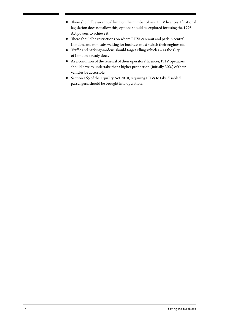- **•** There should be an annual limit on the number of new PHV licences. If national legislation does not allow this, options should be explored for using the 1998 Act powers to achieve it.
- **•** There should be restrictions on where PHVs can wait and park in central London, and minicabs waiting for business must switch their engines off.
- **•** Traffic and parking wardens should target idling vehicles as the City of London already does.
- **•** As a condition of the renewal of their operators' licences, PHV operators should have to undertake that a higher proportion (initially 30%) of their vehicles be accessible.
- **•** Section 165 of the Equality Act 2010, requiring PHVs to take disabled passengers, should be brought into operation.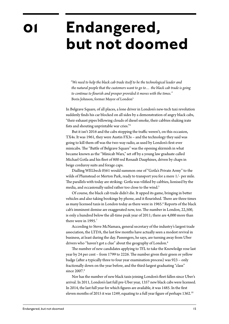# <span id="page-16-0"></span>**01**

# **Endangered, but not doomed**

*"We need to help the black cab trade itself to be the technological leader and the natural people that the customers want to go to… the black cab trade is going to continue to flourish and prosper provided it moves with the times."* Boris Johnson, former Mayor of London3

In Belgrave Square, of all places, a lone driver in London's new-tech taxi revolution suddenly finds his car blocked on all sides by a demonstration of angry black cabs, "their exhaust pipes billowing clouds of diesel smoke, their cabbies shaking irate fists and shouting unprintable war cries."4

But it isn't 2016 and the cabs stopping the traffic weren't, on this occasion, TX4s. It was 1961, they were Austin FX3s – and the technology they said was going to kill them off was the two-way radio, as used by London's first-ever minicabs. The "Battle of Belgrave Square" was the opening skirmish in what became known as the "Minicab Wars," set off by a young law graduate called Michael Gotla and his fleet of 800 red Renault Dauphines, driven by chaps in beige corduroy suits and forage caps.

Dialling WELbeck 0561 would summon one of "Gotla's Private Army" to the wilds of Plumstead or Merton Park, ready to transport you for a mere 1/- per mile. The parallels with today are striking: Gotla was vilified by cabbies, lionised by the media, and occasionally sailed rather too close to the wind.<sup>5</sup>

Of course, the black cab trade didn't die. It upped its game, bringing in better vehicles and also taking bookings by phone, and it flourished. There are three times as many licensed taxis in London today as there were in 1965.<sup>6</sup> Reports of the black cab's imminent demise are exaggerated now, too. The number in London, 22,500, is only a hundred below the all-time peak year of 2011; there are 4,000 more than there were in 1995.<sup>7</sup>

According to Steve McNamara, general secretary of the industry's largest trade association, the LTDA, the last few months have actually seen a modest revival in business, at least during the day. Passengers, he says, are turning away from Uber drivers who "haven't got a clue" about the geography of London.<sup>8</sup>

The number of new candidates applying to Tf L to take the Knowledge rose last year by 24 per cent – from 1799 to 2226. The number given their green or yellow badge (after a typically three to four year examination process) was 923 – only fractionally down on the year before, and the third-largest graduating "class" since 2007.9

Nor has the number of new black taxis joining London's fleet fallen since Uber's arrival. In 2011, London's last full pre-Uber year, 1357 new black cabs were licensed. In 2014, the last full year for which figures are available, it was 1485. In the first eleven months of 2015 it was 1249, equating to a full year figure of perhaps 1362.<sup>10</sup>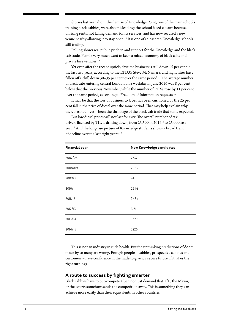Stories last year about the demise of Knowledge Point, one of the main schools training black cabbies, were also misleading: the school faced closure because of rising rents, not falling demand for its services, and has now secured a new venue nearby allowing it to stay open.<sup>11</sup> It is one of at least ten Knowledge schools still trading.<sup>12</sup>

Polling shows real public pride in and support for the Knowledge and the black cab trade. People very much want to keep a mixed economy of black cabs and private hire vehicles.<sup>13</sup>

Yet even after the recent uptick, daytime business is still down 15 per cent in the last two years, according to the LTDA's Steve McNamara, and night hires have fallen off a cliff, down 30–35 per cent over the same period.<sup>14</sup> The average number of black cabs entering central London on a weekday in June 2016 was 8 per cent below that the previous November, while the number of PHVs rose by 11 per cent over the same period, according to Freedom of Information requests.<sup>15</sup>

It may be that the loss of business to Uber has been cushioned by the 25 per cent fall in the price of diesel over the same period. That may help explain why there has not – yet – been the shrinkage of the black cab trade that some expected.

But low diesel prices will not last for ever. The overall number of taxi drivers licensed by TfL is drifting down, from 25,500 in 2014<sup>16</sup> to 25,000 last year.17 And the long-run picture of Knowledge students shows a broad trend of decline over the last eight years:<sup>18</sup>

| <b>Financial year</b> | <b>New Knowledge candidates</b> |
|-----------------------|---------------------------------|
| 2007/08               | 2737                            |
| 2008/09               | 2685                            |
| 2009/10               | 2451                            |
| 2010/11               | 2546                            |
| 2011/12               | 3484                            |
| 2012/13               | 3131                            |
| 2013/14               | 1799                            |
| 2014/15               | 2226                            |

This is not an industry in rude health. But the unthinking predictions of doom made by so many are wrong. Enough people – cabbies, prospective cabbies and customers – have confidence in the trade to give it a secure future, if it takes the right turnings.

#### **A route to success by fighting smarter**

Black cabbies have to out-compete Uber, not just demand that Tf L, the Mayor, or the courts somehow sends the competition away. This is something they can achieve more easily than their equivalents in other countries.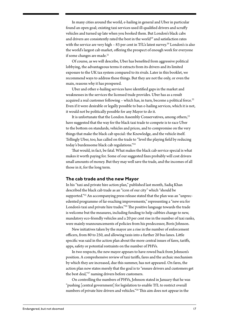In many cities around the world, e-hailing in general and Uber in particular found an open goal; existing taxi services used ill-qualified drivers and scruffy vehicles and turned up late when you booked them. But London's black cabs and drivers are consistently rated the best in the world<sup>19</sup> and satisfaction rates with the service are very high  $-83$  per cent in Tf L's latest survey.<sup>20</sup> London's is also the world's largest cab market, offering the prospect of enough work for everyone if some changes are made.<sup>21</sup>

Of course, as we will describe, Uber has benefited from aggressive political lobbying, the advantageous terms it extracts from its drivers and its limited exposure to the UK tax system compared to its rivals. Later in this booklet, we recommend ways to address these things. But they are not the only, or even the main, reasons why it has prospered.

Uber and other e-hailing services have identified gaps in the market and weaknesses in the services the licensed trade provides. Uber has as a result acquired a real customer following – which has, in turn, become a political force.<sup>22</sup> Even if it were desirable or legally possible to ban e-hailing services, which it is not, it would not be politically possible for any Mayor to do it.

It is unfortunate that the London Assembly Conservatives, among others,<sup>23</sup> have suggested that the way for the black taxi trade to compete is to race Uber to the bottom on standards, vehicles and prices, and to compromise on the very things that make the black cab special: the Knowledge, and the vehicle itself. Tellingly Uber, too, has called on the trade to "level the playing field by reducing today's burdensome black cab regulations."24

That would, in fact, be fatal. What makes the black cab service special is what makes it worth paying for. Some of our suggested fixes probably will cost drivers small amounts of money. But they may well save the trade, and the incomes of all those in it, for the long term.

#### **The cab trade and the new Mayor**

In his "taxi and private hire action plan," published last month, Sadiq Khan described the black cab trade as an "icon of our city" which "should be supported."<sup>25</sup> An accompanying press release stated that the plan was an "unprecedented programme of far-reaching improvements," representing a "new era for London's taxi and private hire trades."26 The positive language towards the trade is welcome but the measures, including funding to help cabbies change to new, mandatory eco-friendly vehicles and a 20 per cent rise in the number of taxi ranks, were mainly reannouncements of policies from his predecessor, Boris Johnson.

New initiatives taken by the mayor are a rise in the number of enforcement officers, from 80 to 250, and allowing taxis into a further 20 bus lanes. Little specific was said in the action plan about the more central issues of fares, tariffs, apps, safety or potential restraints on the number of PHVs.

In two respects, the new mayor appears to have rowed back from Johnson's position. A comprehensive review of taxi tariffs, fares and the archaic mechanism by which they are increased, due this summer, has not appeared. On fares, the action plan now states merely that the goal is to "ensure drivers and customers get the best deal,"27 naming drivers before customers.

On controlling the numbers of PHVs, Johnson stated in January that he was "pushing [central government] for legislation to enable TfL to restrict overall numbers of private hire drivers and vehicles."28 This aim does not appear in the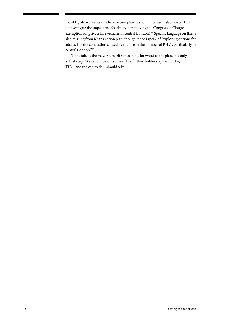list of legislative wants in Khan's action plan. It should. Johnson also "asked Tf L to investigate the impact and feasibility of removing the Congestion Charge exemption for private hire vehicles in central London."29 Specific language on this is also missing from Khan's action plan, though it does speak of "exploring options for addressing the congestion caused by the rise in the number of PHVs, particularly in central London."30

To be fair, as the mayor himself states in his foreword to the plan, it is only a "first step." We set out below some of the further, bolder steps which he, Tf L – and the cab trade – should take.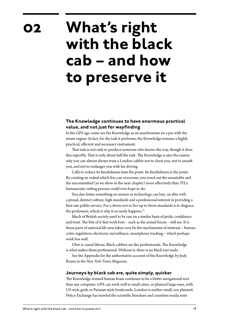# <span id="page-20-0"></span>**02**

# **What's right with the black cab – and how to preserve it**

### **The Knowledge continues to have enormous practical value, and not just for wayfinding**

In the GPS age, some see the Knowledge as an anachronism on a par with the steam engine. In fact, for the task it performs, the Knowledge remains a highly practical, efficient and necessary instrument.

That task is not only to produce someone who knows the way, though it does this superbly. That is only about half the task. The Knowledge is also the reason why you can almost always trust a London cabbie not to cheat you, not to assault you, and not to endanger you with his driving.

Calls to reduce its fiendishness miss the point. Its fiendishness is the point. By creating an ordeal which few can overcome, you weed out the unsuitable and the uncommitted (as we show in the next chapter) more effectively than TfL's bureaucratic vetting process could ever hope to do.

You also foster something no money or technology can buy: an elite with a proud, distinct culture, high standards and a professional interest in providing a first-rate public service. For a driver not to live up to those standards is to disgrace the profession, which is why it so rarely happens.<sup>31</sup>

Much of British society used to be run on a similar basis of pride, confidence and trust. The bits of it that work best – such as the armed forces – still are. It is those parts of national life now taken over by the mechanisms of mistrust – bureaucratic regulation, electronic surveillance, smartphone tracking – which perhaps work less well.

Uber is casual labour. Black cabbies are the professionals. The Knowledge is what makes them professional. Without it, there is no black taxi trade.

See the Appendix for the authoritative account of the Knowledge by Jody Rosen in the *New York Times Magazine.*

### **Journeys by black cab are, quite simply, quicker**

The Knowledge-trained human brain continues to be a better navigational tool than any computer. GPS can work well in small cities, or planned large ones, with US-style grids or Parisian-style boulevards. London is neither small, nor planned. Policy Exchange has trawled the scientific literature and countless media tests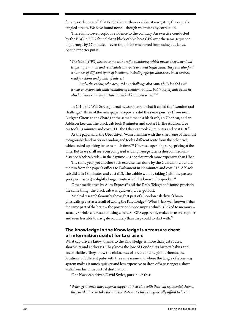for any evidence at all that GPS is better than a cabbie at navigating the capital's tangled streets. We have found none – though we invite any correction.

There is, however, copious evidence to the contrary. An exercise conducted by the BBC in 2007 found that a black cabbie beat GPS over the same sequence of journeys by 27 minutes – even though he was barred from using bus lanes. As the reporter put it:

*"The latest [GPS] devices come with traffic avoidance, which means they download traffic information and recalculate the route to avoid traffic jams. They can also find a number of different types of locations, including specific addresses, town centres, road junctions and points of interest.* 

*Andy, the cabbie, who accepted our challenge also comes fully loaded with a near encyclopaedic understanding of London roads…but in his organic brain he also had an extra compartment marked 'common sense.'"*<sup>32</sup>

In 2014, the Wall Street Journal newspaper ran what it called the "London taxi challenge." Three of the newspaper's reporters did the same journey (from near Ludgate Circus to the Shard) at the same time in a black cab, an Uber car, and an Addison Lee car. The black cab took 8 minutes and cost £11. The Addison Lee car took 13 minutes and cost £11. The Uber car took 23 minutes and cost £18.<sup>33</sup>

As the paper said, the Uber driver "wasn't familiar with the Shard, one of the most recognisable landmarks in London, and took a different route from the other two, which ended up taking twice as much time."<sup>34</sup> Uber was operating surge pricing at the time. But as we shall see, even compared with non-surge rates, a short or mediumdistance black cab ride – in the daytime – is not that much more expensive than Uber.

The same year, yet another such exercise was done by the Guardian: Uber did the run from the paper's offices to Parliament in 22 minutes and cost £12. A black cab did it in 18 minutes and cost £13. The cabbie won by taking (with the passenger's permission) a slightly longer route which he knew to be quicker.<sup>35</sup>

Other media tests by Auto Express<sup>36</sup> and the Daily Telegraph<sup>37</sup> found precisely the same thing: the black cab was quickest, Uber got lost.

Medical research famously shows that part of a London cab driver's brain physically grows as a result of taking the Knowledge.<sup>38</sup> What is less well known is that the same part of the brain – the posterior hippocampus, which is linked to memory – actually shrinks as a result of using satnav. So GPS apparently makes its users stupider and even less able to navigate accurately than they could to start with.<sup>39</sup>

### **The knowledge in the Knowledge is a treasure chest of information useful for taxi users**

What cab drivers know, thanks to the Knowledge, is more than just routes, short-cuts and addresses. They know the lore of London, its history, habits and eccentricities. They know the nicknames of streets and neighbourhoods, the locations of different pubs with the same name and where the tangle of a one way system makes it much quicker and less expensive to drop off a passenger a short walk from his or her actual destination.

One black cab driver, David Styles, puts it like this:

*"When gentlemen have enjoyed supper at their club with their old regimental chums, they need a taxi to take them to the station. As they can generally afford to live in*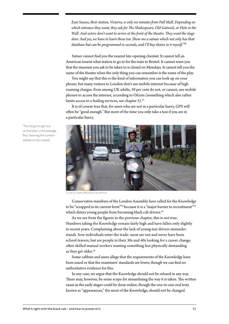*East Sussex, their station, Victoria, is only six minutes from Pall Mall. Depending on which entrance they want, they ask for The Shakespeare, Old Gatwick, or Hole in the Wall. And actors don't want to arrive at the front of the theatre. They want the stage door. And yes, we have to learn those too. Show me a satnav which not only has that database but can be programmed in seconds, and I'll buy shares in it myself."*<sup>40</sup>

Satnav cannot find you the nearest late-opening chemist. It cannot tell an American tourist what station to go to for the train to Bristol. It cannot warn you that the museum you ask to be taken to is closed on Mondays. It cannot tell you the name of the theatre when the only thing you can remember is the name of the play.

You might say that this is the kind of information you can look up on your phone; but many visitors to London don't use mobile internet because of high roaming charges. Even among UK adults, 39 per cent do not, or cannot, use mobile phones to access the internet, according to Ofcom (something which also rather limits access to e-hailing services, see chapter  $5$ ).<sup>41</sup>

It is of course true that, for users who are not in a particular hurry, GPS will often be "good enough." But most of the time you only take a taxi if you are in a particular hurry.



© Cultura Creative (RF)/Alamy Stock Photo

Conservative members of the London Assembly have called for the Knowledge to be "scrapped in its current form"<sup>42</sup> because it is a "major barrier to recruitment"<sup>43</sup> which deters young people from becoming black cab drivers.<sup>44</sup>

As we see from the figures in the previous chapter, this is not true. Numbers taking the Knowledge remain fairly high and have fallen only slightly in recent years. Complaining about the lack of young taxi drivers misunderstands how individuals enter the trade: most are not and never have been school-leavers, but are people in their 30s and 40s looking for a career change, often skilled manual workers wanting something less physically demanding as they get older.<sup>45</sup>

Some cabbies and users allege that the requirements of the Knowledge have been eased or that the examiners' standards are lower, though we can find no authoritative evidence for this.

In any case, we argue that the Knowledge should not be relaxed in any way. There may, however, be some scope for streamlining the way it is taken. The written exam in the early stages could be done online, though the one-to-one oral tests known as "appearances," the meat of the Knowledge, should not be changed.

"You've got to get out on the bike": a 'Knowledge Boy' learning the London streets on his moped.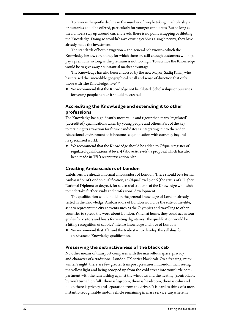To reverse the gentle decline in the number of people taking it, scholarships or bursaries could be offered, particularly for younger candidates. But so long as the numbers stay up around current levels, there is no point scrapping or diluting the Knowledge. Doing so wouldn't save existing cabbies a single penny; they have already made the investment.

The standards of both navigation – and general behaviour – which the Knowledge bestows are things for which there are still enough customers willing to pay a premium, so long as the premium is not too high. To sacrifice the Knowledge would be to give away a substantial market advantage.

The Knowledge has also been endorsed by the new Mayor, Sadiq Khan, who has praised the "incredible geographical recall and sense of direction that only those with The Knowledge have."46

**•** We recommend that the Knowledge not be diluted. Scholarships or bursaries for young people to take it should be created.

### **Accrediting the Knowledge and extending it to other professions**

The Knowledge has significantly more value and rigour than many "regulated" (accredited) qualifications taken by young people and others. Part of the key to retaining its attraction for future candidates is integrating it into the wider educational environment so it becomes a qualification with currency beyond its specialised world.

**•** We recommend that the Knowledge should be added to Ofqual's register of regulated qualifications at level 4 (above A-levels), a proposal which has also been made in Tf L's recent taxi action plan.

#### **Creating Ambassadors of London**

Cabdrivers are already informal ambassadors of London. There should be a formal Ambassador of London qualification, at Ofqual level 5 or 6 (the status of a Higher National Diploma or degree), for successful students of the Knowledge who wish to undertake further study and professional development.

The qualification would build on the general knowledge of London already tested in the Knowledge. Ambassadors of London would be the elite of the elite, sent to represent the city at events such as the Olympics and travelling to other countries to spread the word about London. When at home, they could act as tour guides for visitors and hosts for visiting dignitaries. The qualification would be a fitting recognition of cabbies' intense knowledge and love of London.

• We recommend that TfL and the trade start to develop the syllabus for an advanced Knowledge qualification.

#### **Preserving the distinctiveness of the black cab**

No other means of transport compares with the marvellous space, privacy and character of a traditional London TX-series black cab. On a freezing, rainy winter's night, there are few greater transport pleasures in London than seeing the yellow light and being scooped up from the cold street into your little compartment with the rain lashing against the windows and the heating (controllable by you) turned on full. There is legroom, there is headroom, there is calm and quiet, there is privacy and separation from the driver. It is hard to think of a more instantly-recognisable motor vehicle remaining in mass service, anywhere in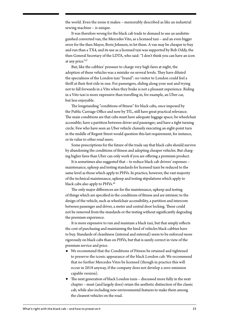the world. Even the noise it makes – memorably described as like an industrial sewing machine – is unique.

It was therefore wrong for the black cab trade to demand to use an undistinguished converted van, the Mercedes Vito, as a licensed taxi – and an even bigger error for the then Mayor, Boris Johnson, to let them. A van may be cheaper to buy and run than a TX4, and its use as a licensed taxi was supported by Bob Oddy, the then General Secretary of the LDTA, who said: "I don't think you can have an icon at any price."47

But, like the cabbies' pressure to charge very high fares at night, the adoption of these vehicles was a mistake on several levels. They have diluted the specialness of the London taxi "brand": no visitor to London could feel a thrill at their first ride in one. For passengers, sliding along your seat and trying not to fall forwards in a Vito when they brake is not a pleasant experience. Riding in a Vito taxi is more expensive than travelling in, for example, an Uber car, but less enjoyable.

The longstanding "conditions of fitness" for black cabs, once imposed by the Public Carriage Office and now by TfL, still have great practical relevance. The main conditions are that cabs must have adequate luggage space; be wheelchair accessible; have a partition between driver and passenger; and have a tight turning circle. Few who have seen an Uber vehicle clumsily executing an eight-point turn in the middle of Regent Street would question this last requirement, for instance, or its value to other road users.

Some prescriptions for the future of the trade say that black cabs should survive by abandoning the conditions of fitness and adopting cheaper vehicles. But charging higher fares than Uber can only work if you are offering a premium product.

It is sometimes also suggested that – to reduce black cab drivers' expenses – maintenance, upkeep and testing standards for licensed taxis be reduced to the same level as those which apply to PHVs. In practice, however, the vast majority of the technical maintenance, upkeep and testing stipulations which apply to black cabs also apply to PHVs.<sup>48</sup>

The only major differences are for the maintenance, upkeep and testing of things which are specified in the conditions of fitness and are intrinsic to the design of the vehicle, such as wheelchair accessibility, a partition and intercom between passenger and driver, a meter and central door locking. These could not be removed from the standards or the testing without significantly degrading the premium experience.

It is more expensive to run and maintain a black taxi, but that simply reflects the cost of purchasing and maintaining the kind of vehicles black cabbies have to buy. Standards of cleanliness (internal and external) seem to be enforced more rigorously on black cabs than on PHVs, but that is surely correct in view of the premium service and price.

- **•** We recommend that the Conditions of Fitness be retained and tightened to preserve the iconic appearance of the black London cab. We recommend that no further Mercedes Vitos be licensed (though in practice this will occur in 2018 anyway, if the company does not develop a zero-emission capable version).
- **•** The next generation of black London taxis discussed more fully in the next chapter – must (and largely does) retain the aesthetic distinction of the classic cab, while also including new environmental features to make them among the cleanest vehicles on the road.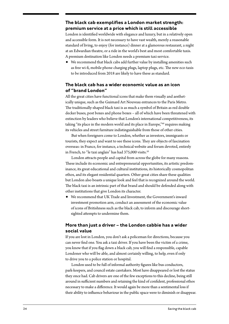### **The black cab exemplifies a London market strength: premium service at a price which is still accessible**

London is identified worldwide with elegance and luxury, but in a relatively open and accessible form. It is not necessary to have vast wealth, merely a reasonable standard of living, to enjoy (for instance) dinner at a glamorous restaurant, a night at an Edwardian theatre, or a ride in the world's best and most comfortable taxis. A premium destination like London needs a premium taxi service.

**•** We recommend that black cabs add further value by installing amenities such as free wi-fi, mobile phone charging plugs, laptop plugs, etc. The new eco-taxis to be introduced from 2018 are likely to have these as standard.

### **The black cab has a wider economic value as an icon of "brand London"**

All the great cities have functional icons that make them visually and aesthetically unique, such as the Guimard Art Nouveau entrances to the Paris Metro. The traditionally-shaped black taxi is as much a symbol of Britain as red double decker buses, post boxes and phone boxes – all of which have been threatened with extinction by leaders who believe that London's international competitiveness, its taking "its place in the modern world and its place in Europe,"<sup>49</sup> requires making its vehicles and street furniture indistinguishable from those of other cities.

But when foreigners come to London, whether as investors, immigrants or tourists, they expect and want to see these icons. They are objects of fascination overseas: in France, for instance, a technical website and forum devoted, entirely in French, to "le taxi anglais" has had 375,000 visits.<sup>50</sup>

London attracts people and capital from across the globe for many reasons. These include its economic and entrepreneurial opportunities, its artistic predominance, its great educational and cultural institutions, its historically cosmopolitan ethos, and its elegant residential quarters. Other great cities share these qualities but London also boasts a unique look and feel that is recognized around the world. The black taxi is an intrinsic part of that brand and should be defended along with other institutions that give London its character.

**•** We recommend that UK Trade and Investment, the Government's inward investment promotion arm, conduct an assessment of the economic value of icons of Britishness such as the black cab, to inform and discourage shortsighted attempts to undermine them.

# **More than just a driver – the London cabbie has a wider social value**

If you are lost in London, you don't ask a policeman for directions, because you can never find one. You ask a taxi driver. If you have been the victim of a crime, you know that if you flag down a black cab, you will find a responsible, capable Londoner who will be able, and almost certainly willing, to help, even if only to drive you to a police station or hospital.

London used to be full of informal authority figures like bus conductors, park-keepers, and council estate caretakers. Most have disappeared or lost the status they once had. Cab drivers are one of the few exceptions to this decline, being still around in sufficient numbers and retaining the kind of confident, professional ethos necessary to make a difference. It would again be more than a sentimental loss if their ability to influence behaviour in the public space were to diminish or disappear.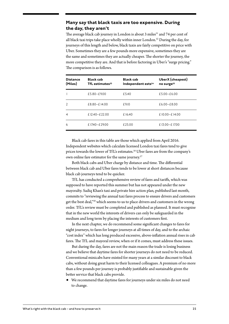### **Many say that black taxis are too expensive. During the day, they aren't**

The average black cab journey in London is about 3 miles<sup>51</sup> and 74 per cent of all black taxi trips take place wholly within inner London.<sup>52</sup> During the day, for journeys of this length and below, black taxis are fairly competitive on price with Uber. Sometimes they are a few pounds more expensive, sometimes they are the same and sometimes they are actually cheaper. The shorter the journey, the more competitive they are. And that is before factoring in Uber's "surge pricing." The comparison is as follows.

| <b>Distance</b><br>(Miles) | <b>Black cab</b><br>TfL estimates <sup>53</sup> | <b>Black cab</b><br>Independent ests <sup>54</sup> | UberX (cheapest)<br>no surge <sup>55</sup> |
|----------------------------|-------------------------------------------------|----------------------------------------------------|--------------------------------------------|
|                            | $£5.80-E9.00$                                   | £5.40                                              | $£5.00 - £6.00$                            |
| $\mathfrak{D}$             | £8.80-£14.00                                    | £9.10                                              | $£6.00 - £8.00$                            |
| 4                          | $£ 12.40 - £22.00$                              | £16.40                                             | £ $10.00 - E$ 14.00                        |
| 6                          | $£$ 1740 $-£$ 29.00                             | £25.00                                             | $£$ 13.00 $-£$ 17.00                       |

Black cab fares in this table are those which applied from April 2016. Independent websites which calculate licensed London taxi fares tend to give prices towards the lower of TfL's estimates.<sup>56</sup> Uber fares are from the company's own online fare estimator for the same journey.<sup>57</sup>

Both black cabs and Uber charge by distance and time. The differential between black cab and Uber fares tends to be lower at short distances because black cab journeys tend to be quicker.

TfL has conducted a comprehensive review of fares and tariffs, which was supposed to have reported this summer but has not appeared under the new mayoralty. Sadiq Khan's taxi and private hire action plan, published last month, commits to "reviewing the annual taxi fares process to ensure drivers and customers get the best deal,"58 which seems to us to place drivers and customers in the wrong order. Tf L's review must be completed and published as planned. It must recognise that in the new world the interests of drivers can only be safeguarded in the medium and long term by placing the interests of customers first.

In the next chapter, we do recommend some significant changes to fares for night journeys, to fares for longer journeys at all times of day, and to the archaic "cost index" which has long produced excessive, above-inflation annual rises in cab fares. The TfL and mayoral review, when or if it comes, must address these issues.

But during the day, fares are not the main reason the trade is losing business and we believe that daytime fares for shorter journeys do not need to be reduced. Conventional minicabs have existed for many years at a similar discount to black cabs, without doing great harm to their licensed colleagues. A premium of no more than a few pounds per journey is probably justifiable and sustainable given the better service that black cabs provide.

**•** We recommend that daytime fares for journeys under six miles do not need to change.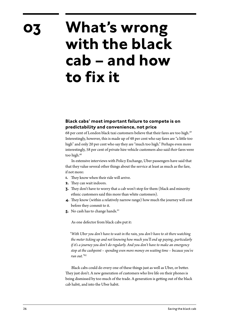# <span id="page-27-0"></span>**03**

# **What's wrong with the black cab – and how to fix it**

# **Black cabs' most important failure to compete is on predictability and convenience, not price**

68 per cent of London black taxi customers believe that their fares are too high.59 Interestingly, however, this is made up of 48 per cent who say fares are "a little too high" and only 20 per cent who say they are "much too high." Perhaps even more interestingly, 58 per cent of private hire vehicle customers also said *their* fares were too high.<sup>60</sup>

In extensive interviews with Policy Exchange, Uber passengers have said that that they value several other things about the service at least as much as the fare, if not more:

- **1.** They know when their ride will arrive.
- **2.** They can wait indoors.
- **3.** They don't have to worry that a cab won't stop for them (black and minority ethnic customers said this more than white customers).
- **4.** They know (within a relatively narrow range) how much the journey will cost before they commit to it.
- 5. No cash has to change hands.<sup>61</sup>

As one defector from black cabs put it:

*"With Uber you don't have to wait in the rain, you don't have to sit there watching the meter ticking up and not knowing how much you'll end up paying, particularly if it's a journey you don't do regularly. And you don't have to make an emergency stop at the cashpoint – spending even more money on waiting time – because you've run out."*<sup>62</sup>

Black cabs could do every one of these things just as well as Uber, or better. They just don't. A new generation of customers who live life on their phones is being dismissed by too much of the trade. A generation is getting out of the black cab habit, and into the Uber habit.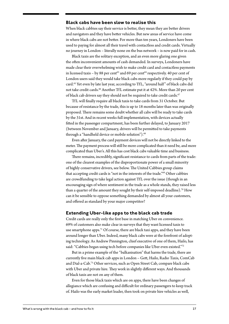#### **Black cabs have been slow to realise this**

When black cabbies say their service is better, they mean they are better drivers and navigators and they have better vehicles. But new areas of service have come in where black cabs are not better. For more than ten years, Londoners have been used to paying for almost all their travel with contactless and credit cards. Virtually no journey in London – literally none on the bus network – is now paid for in cash.

Black taxis are the solitary exception, and an even more glaring one given the often inconvenient amounts of cash demanded. In surveys, Londoners have made clear their overwhelming wish to make credit card and contactless payments in licensed taxis – by 88 per cent<sup>63</sup> and 69 per cent<sup>64</sup> respectively. 40 per cent of London users said they would take black cabs more regularly if they could pay by card.<sup>65</sup> Yet even by late last year, according to TfL, "around half" of black cabs did not take credit cards.<sup>66</sup> Another TfL estimate put it at 42%. More than 20 per cent of black cab drivers say they should not be required to take credit cards.<sup>67</sup>

TfL will finally require all black taxis to take cards from 31 October. But because of resistance by the trade, this is up to 18 months later than was originally proposed. There remains some doubt whether all cabs will be ready to take cards by the 31st. And in recent weeks full implementation, with devices actually fitted in the passenger compartment, has been further delayed, to January 2017 (between November and January, drivers will be permitted to take payments through a "handheld device or mobile solution").<sup>68</sup>

Even after January, the card payment devices will not be directly linked to the meter. The payment process will still be more complicated than it need be, and more complicated than Uber's. All this has cost black cabs valuable time and business.

There remains, incredibly, significant resistance to cards from parts of the trade: one of the clearest examples of the disproportionate power of a small minority of highly conservative drivers, see below. The United Cabbies group claims that accepting credit cards is "not in the interests of the trade."69 Other cabbies are crowdfunding to take legal action against Tf L over the issue (though in an encouraging sign of where sentiment in the trade as a whole stands, they raised less than a quarter of the amount they sought by their self-imposed deadline).<sup>70</sup> How can it be sensible to oppose something demanded by almost all your customers, and offered as standard by your major competitor?

#### **Extending Uber-like apps to the black cab trade**

Credit cards are really only the first base in matching Uber on convenience. 69% of customers also make clear in surveys that they want licensed taxis to use smartphone apps.71 Of course, there are black taxi apps, and they have been around longer than Uber. Indeed, many black cabs were at the forefront of adopting technology. As Andrew Pinnington, chief executive of one of them, Hailo, has said: "Cabbies began using tech before companies like Uber even existed."72

But in a prime example of the "balkanisation" that harms the trade, there are currently five main black cab apps in London – Gett, Hailo, Radio Taxis, ComCab and Dial-a-Cab.73 Other services, such as Open Street Cab, compare black cabs with Uber and private hire. They work in slightly different ways. And thousands of black taxis are not on any of them.

Even for those black taxis which are on apps, there have been changes of allegiance which are confusing and difficult for ordinary passengers to keep track of. Hailo was the early market leader, then took on private hire vehicles as well,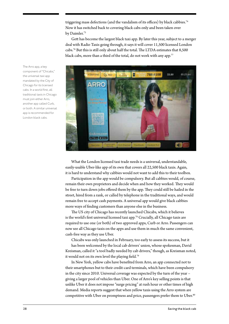triggering mass defections (and the vandalism of its offices) by black cabbies.74 Now it has switched back to covering black cabs only and been taken over by Daimler.<sup>75</sup>

Gett has become the largest black taxi app. By later this year, subject to a merger deal with Radio Taxis going through, it says it will cover 11,500 licensed London cabs.76 But this is still only about half the total. The LTDA estimates that 8,500 black cabs, more than a third of the total, do not work with any app.<sup>77</sup>



The Arro app, a key component of "Chicabs," the universal taxi app mandated by the City of Chicago for its licensed cabs. In a world first, all traditional taxis in Chicago must join either Arro, another app called Curb, or both. A similar universal app is recommended for London black cabs.

> What the London licensed taxi trade needs is a universal, understandable, easily-usable Uber-like app of its own that covers all 22,500 black taxis. Again, it is hard to understand why cabbies would not want to add this to their toolbox.

Participation in the app would be compulsory. But all cabbies would, of course, remain their own proprietors and decide when and how they worked. They would be free to turn down jobs offered them by the app. They could still be hailed in the street, hired from a rank, or called by telephone in the traditional ways, and would remain free to accept cash payments. A universal app would give black cabbies more ways of finding customers than anyone else in the business.

The US city of Chicago has recently launched Chicabs, which it believes is the world's first universal licensed taxi app.78 Crucially, all Chicago taxis are required to use one (or both) of two approved apps, Curb or Arro. Passengers can now see all Chicago taxis on the apps and use them in much the same convenient, cash-free way as they use Uber.

Chicabs was only launched in February, too early to assess its success, but it

has been welcomed by the local cab drivers' union, whose spokesman, David Kreisman, called it "a tool badly needed by cab drivers," though, as Kreisman noted, it would not on its own level the playing field.79

In New York, yellow cabs have benefited from Arro, an app connected not to their smartphones but to their credit-card terminals, which have been compulsory in the city since 2010. Universal coverage was expected by the turn of the year – giving a larger pool of vehicles than Uber. One of Arro's key selling points is that unlike Uber it does not impose "surge pricing" at rush hour or other times of high demand. Media reports suggest that when yellow taxis using the Arro system are competitive with Uber on promptness and price, passengers prefer them to Uber.<sup>80</sup>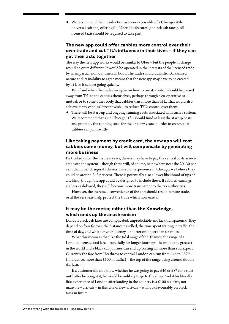**•** We recommend the introduction as soon as possible of a Chicago-style universal cab app, offering full Uber-like features (at black cab rates). All licensed taxis should be required to take part.

# **The new app could offer cabbies more control over their own trade and cut TfL's influence in their lives – if they can get their acts together**

The way the new app works would be similar to Uber – but the people in charge would be quite different. It would be operated in the interests of the licensed trade by an impartial, non-commercial body. The trade's individualistic, Balkanised nature and its inability to agree means that the new app may have to be created by TfL so it can get going quickly.

But if and when the trade can agree on how to run it, control should be passed away from TfL to the cabbies themselves, perhaps through a co-operative or mutual, or to some other body that cabbies trust more than Tf L. That would also achieve many cabbies' fervent wish – to reduce Tf L's control over them.

**•** There will be start-up and ongoing running costs associated with such a system. We recommend that as in Chicago, TfL should fund at least the startup costs and probably the running costs for the first few years in order to ensure that cabbies can join swiftly.

# **Like taking payment by credit card, the new app will cost cabbies some money, but will compensate by generating more business**

Particularly after the first few years, drivers may have to pay the central costs associated with the system – though these will, of course, be nowhere near the 20–30 per cent that Uber charges its drivers. Based on experience in Chicago, we believe they could be around 2–3 per cent. There is potentially also a lower likelihood of tips of any kind, though the app could be designed to include these. If cabbies' earnings are less cash-based, they will become more transparent to the tax authorities.

However, the increased convenience of the app should result in more trade, or at the very least help protect the trade which now exists.

# **It may be the meter, rather than the Knowledge, which ends up the anachronism**

London black cab fares are complicated, unpredictable and lack transparency. They depend on four factors: the distance travelled, the time spent waiting in traffic, the time of day, and whether your journey is shorter or longer than six miles.

What this means is that like the tidal range of the Thames, the range of a London licensed taxi fare – especially for longer journeys – is among the greatest in the world and a black cab journey can end up costing far more than you expect. Currently the fare from Heathrow to central London can run from £46 to  $£87<sup>81</sup>$ (in practice, more than  $\text{\pounds}100$  in traffic) – the top of the range being around double the bottom.

If a customer did not know whether he was going to pay  $\text{\textsterling}46$  or  $\text{\textsterling}87$  for a shirt until after he bought it, he would be unlikely to go to the shop. And if his literally first experience of London after landing in the country is a £100 taxi fare, not many new arrivals – in this city of new arrivals – will look favourably on black taxis in future.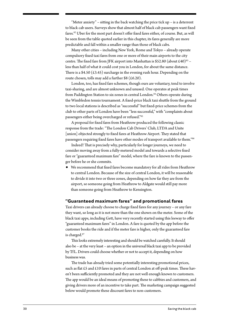"Meter anxiety" – sitting in the back watching the price tick up – is a deterrent to black cab users. Surveys show that almost half of black cab passengers want fixed fares.<sup>82</sup> Uber for the most part doesn't offer fixed fares either, of course. But, as will be seen from the table quoted earlier in this chapter, its fares generally are more predictable and fall within a smaller range than those of black cabs.

Many other cities – including New York, Rome and Tokyo – already operate compulsory fixed taxi fares from one or more of their main airports to the city centre. The fixed fare from JFK airport into Manhattan is \$52.80 (about £40)<sup>83</sup> – less than half of what it could cost you in London, for about the same distance. There is a \$4.50 ( $\text{\textsterling}3.45$ ) surcharge in the evening rush hour. Depending on the route chosen, tolls may add a further  $$8 (£6.20).$ 

London, too, has fixed fare schemes, though ours are voluntary, tend to involve taxi-sharing, and are almost unknown and unused. One operates at peak times from Paddington Station to six zones in central London.<sup>84</sup> Others operate during the Wimbledon tennis tournament. A fixed-price black taxi shuttle from the ground to two local stations is described as "successful" but fixed-price schemes from the club to other parts of London have been "less successful," with "complaints about passengers either being overcharged or refused."85

A proposal for fixed fares from Heathrow produced the following classic response from the trade: "The London Cab Drivers' Club, LTDA and Unite [union] objected strongly to fixed fares at Heathrow Airport. They stated that passengers requiring fixed fares have other modes of transport available to them."86

Indeed! That is precisely why, particularly for longer journeys, we need to consider moving away from a fully-metered model and towards a selective fixed fare or "guaranteed maximum fare" model, where the fare is known to the passenger before he or she commits.

**•** We recommend that fixed fares become mandatory for all rides from Heathrow to central London. Because of the size of central London, it will be reasonable to divide it into two or three zones, depending on how far they are from the airport, so someone going from Heathrow to Aldgate would still pay more than someone going from Heathrow to Kensington.

#### **"Guaranteed maximum fares" and promotional fares**

Taxi drivers can already choose to charge fixed fares for any journey – or any fare they want, so long as it is not more than the one shown on the meter. Some of the black taxi apps, including Gett, have very recently started using this leeway to offer "guaranteed maximum fares" in London. A fare is quoted by the app before the customer books the ride and if the meter fare is higher, only the guaranteed fare is charged.87

This looks extremely interesting and should be watched carefully. It should also be – at the very least – an option in the universal black taxi app to be provided by TfL. Drivers could choose whether or not to accept it, depending on how business was.

The trade has already tried some potentially interesting promotional prices, such as flat £5 and £10 fares in parts of central London at off-peak times. These haven't been sufficiently promoted and they are not well enough known to customers. The app would be an ideal means of promoting these to cabbies and customers, and giving drivers more of an incentive to take part. The marketing campaign suggested below would promote these discount fares to non-customers.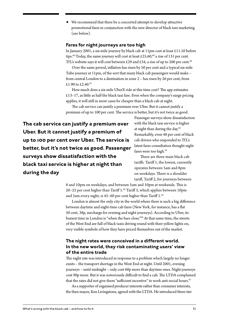**•** We recommend that there be a concerted attempt to develop attractive promotional fares in conjunction with the new director of black taxi marketing (see below).

#### **Fares for night journeys are too high**

In January 2001, a six-mile journey by black cab at 11pm cost at least £11.10 before tips.<sup>88</sup> Today, the same journey will cost at least £25.60,<sup>89</sup> a rise of 131 per cent. Tf L's website says it will cost between £29 and £34, a rise of up to 206 per cent.<sup>90</sup>

Over the same period, inflation has risen by 50 per cent and a typical six-mile Tube journey at 11pm, of the sort that many black cab passengers would make – from central London to a destination in zone 2 – has risen by 26 per cent, from £1.90 to £2.40.91

How much does a six-mile UberX ride at this time cost? The app estimates £13–17, as little as half the black taxi fare. Even when the company's surge pricing applies, it will still in most cases be cheaper than a black cab at night.

The cab service can justify a premium over Uber. But it cannot justify a premium of up to 100 per cent. The service is better, but it's not twice as good.

**The cab service can justify a premium over Uber. But it cannot justify a premium of up to 100 per cent over Uber. The service is better, but it's not twice as good. Passenger surveys show dissatisfaction with the black taxi service is higher at night than during the day**

Passenger surveys show dissatisfaction with the black taxi service is higher at night than during the day.92 Remarkably, even 48 per cent of black cab drivers who responded to TfL's latest fares consultation thought night fares were too high.<sup>93</sup>

There are three main black cab tariffs. Tariff 1, the lowest, currently operates between 5am and 8pm on weekdays. There is a shoulder tariff, Tariff 2, for journeys between

8 and 10pm on weekdays, and between 5am and 10pm at weekends. This is 20–25 per cent higher than Tariff 1.<sup>94</sup> Tariff 3, which applies between 10pm and 5am every night, is 45–60 per cent higher than Tariff 1.95

London is almost the only city in the world where there is such a big difference between daytime and night-time cab fares (New York, for instance, has a flat 50 cent, 38p, surcharge for evening and night journeys). According to Uber, its busiest time in London is "when the bars close."96 At that same time, the streets of the West End are full of black taxis driving round with their yellow lights on, very visible symbols of how they have priced themselves out of the market.

## **The night rates were conceived in a different world. In the new world, they risk contaminating users' view of the entire trade**

The night rate was introduced in response to a problem which largely no longer exists – the transport shortage in the West End at night. Until 2001, evening journeys – until midnight – only cost 60p more than daytime ones. Night journeys cost 90p more. But it was notoriously difficult to find a cab. The LTDA complained that the rates did not give them "sufficient incentive" to work anti-social hours.<sup>97</sup>

As a supporter of organised producer interests rather than consumer interests, the then mayor, Ken Livingstone, agreed with the LTDA. He introduced three-tier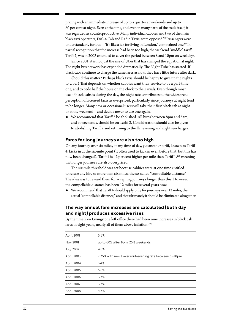pricing with an immediate increase of up to a quarter at weekends and up to 60 per cent at night. Even at the time, and even in many parts of the trade itself, it was regarded as counterproductive. Many individual cabbies and two of the main black taxi operators, Dial-a-Cab and Radio Taxis, were opposed.98 Passengers were understandably furious – "it's like a tax for living in London," complained one.<sup>99</sup> In partial recognition that the increase had been too high, the weekend "middle" tariff, Tariff 2, was in 2003 extended to cover the period between 8 and 10pm on weekdays.

Since 2001, it is not just the rise of Uber that has changed the equation at night. The night bus network has expanded dramatically. The Night Tube has started. If black cabs continue to charge the same fares as now, they have little future after dark.

Should this matter? Perhaps black taxis should be happy to give up the nights to Uber? That depends on whether cabbies want their service to be a part-time one, and to cede half the hours on the clock to their rivals. Even though most use of black cabs is during the day, the night rate contributes to the widespread perception of licensed taxis as overpriced, particularly since journeys at night tend to be longer. Many new or occasional users will take their first black cab at night or at the weekend – and decide never to use one again.

**•** We recommend that Tariff 3 be abolished. All hires between 8pm and 5am, and at weekends, should be on Tariff 2. Consideration should also be given to abolishing Tariff 2 and returning to the flat evening and night surcharges.

#### **Fares for long journeys are also too high**

On any journey over six miles, at any time of day, yet another tariff, known as Tariff 4, kicks in at the six-mile point (it often used to kick in even before that, but this has now been changed). Tariff 4 is 42 per cent higher per mile than Tariff  $1,100$  meaning that longer journeys are also overpriced.

The six-mile threshold was set because cabbies were at one time entitled to refuse any hire of more than six miles, the so-called "compellable distance." The idea was to reward them for accepting journeys longer than this. However, the compellable distance has been 12 miles for several years now.

**•** We recommend that Tariff 4 should apply only for journeys over 12 miles, the actual "compellable distance," and that ultimately it should be eliminated altogether.

### **The way annual fare increases are calculated (both day and night) produces excessive rises**

By the time Ken Livingstone left office there had been nine increases in black cab fares in eight years, nearly all of them above inflation.<sup>101</sup>

| April 2001        | 5.5%                                                 |
|-------------------|------------------------------------------------------|
| Nov 2001          | up to 60% after 8pm, 25% weekends                    |
| <b>July 2002</b>  | 4.8%                                                 |
| <b>April 2003</b> | 2.25% with new lower mid-evening rate between 8–10pm |
| April 2004        | 3.4%                                                 |
| April 2005        | 5.6%                                                 |
| April 2006        | 3.7%                                                 |
| April 2007        | 3.2%                                                 |
| April 2008        | 4.7%                                                 |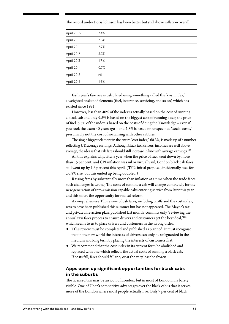The record under Boris Johnson has been better but still above inflation overall.

| April 2009 | 3.4% |
|------------|------|
| April 2010 | 2.3% |
| April 2011 | 2.7% |
| April 2012 | 5.3% |
| April 2013 | 1.7% |
| April 2014 | 0.7% |
| April 2015 | nil  |
| April 2016 | 1.6% |

Each year's fare rise is calculated using something called the "cost index," a weighted basket of elements (fuel, insurance, servicing, and so on) which has existed since 1981.

However, less than 40% of the index is actually based on the cost of running a black cab and only 9.5% is based on the biggest cost of running a cab, the price of fuel. 5.5% of the index is based on the costs of doing the Knowledge – even if you took the exam 40 years ago – and 2.8% is based on unspecified "social costs," presumably not the cost of socialising with other cabbies.

The single biggest element in the entire "cost index," 60.3%, is made up of a number reflecting UK average earnings. Although black taxi drivers' incomes are well above average, the idea is that cab fares should still increase in line with average earnings.<sup>102</sup>

All this explains why, after a year when the price of fuel went down by more than 15 per cent, and CPI inflation was nil or virtually nil, London black cab fares still went up by 1.6 per cent this April. (Tf L's initial proposal, incidentally, was for a 0.8% rise, but this ended up being doubled.)

Raising fares by substantially more than inflation at a time when the trade faces such challenges is wrong. The costs of running a cab will change completely for the new generation of zero-emission capable cabs entering service from later this year and this offers the opportunity for radical reform.

A comprehensive TfL review of cab fares, including tariffs and the cost index, was to have been published this summer but has not appeared. The Mayor's taxi and private hire action plan, published last month, commits only "reviewing the annual taxi fares process to ensure drivers and customers get the best deal,"103 which seems to us to place drivers and customers in the wrong order.

- **•** Tf L's review must be completed and published as planned. It must recognise that in the new world the interests of drivers can only be safeguarded in the medium and long term by placing the interests of customers first.
- **•** We recommend that the cost index in its current form be abolished and replaced with one which reflects the actual costs of running a black cab. If costs fall, fares should fall too, or at the very least be frozen.

### **Apps open up significant opportunities for black cabs in the suburbs**

The licensed taxi may be an icon of London, but in most of London it is barely visible. One of Uber's competitive advantages over the black cab is that it serves more of the London where most people actually live. Only 7 per cent of black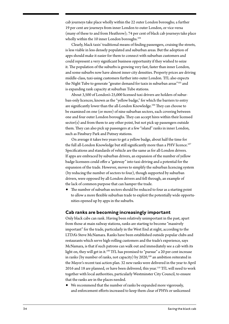cab journeys take place wholly within the 22 outer London boroughs; a further 19 per cent are journeys from inner London to outer London, or vice-versa (many of these to and from Heathrow); 74 per cent of black cab journeys take place wholly within the 10 inner London boroughs.<sup>104</sup>

Clearly, black taxis' traditional means of finding passengers, cruising the streets, is less viable in less densely populated and suburban areas. But the adoption of apps should make it easier for them to connect with suburban customers and could represent a very significant business opportunity if they wished to seize it. The population of the suburbs is growing very fast, faster than inner London, and some suburbs now have almost inner-city densities. Property prices are driving middle-class, taxi-using customers further into outer London. TfL also expects the Night Tube to generate "greater demand for taxis in suburban areas"105 and is expanding rank capacity at suburban Tube stations.

About 3,500 of London's 25,000 licensed taxi drivers are holders of suburban-only licences, known as the "yellow badge," for which the barriers to entry are significantly lower than the all-London Knowledge.<sup>106</sup> They can choose to be examined on one (or more) of nine suburban sectors, each covering between one and four outer London boroughs. They can accept hires within their licensed sector(s) and from them to any other point, but not pick up passengers outside them. They can also pick up passengers at a few "island" ranks in inner London, such as Finsbury Park and Putney stations.

On average it takes two years to get a yellow badge, about half the time for the full all-London Knowledge but still significantly more than a PHV licence.<sup>107</sup> Specifications and standards of vehicle are the same as for all-London drivers. If apps are embraced by suburban drivers, an expansion of the number of yellow badge licensees could offer a "gateway" into taxi-driving and a potential for the expansion of the trade. However, moves to simplify the suburban licencing system (by reducing the number of sectors to four), though supported by suburban drivers, were opposed by all-London drivers and fell through, an example of the lack of common purpose that can hamper the trade.

**•** The number of suburban sectors should be reduced to four as a starting point to allow a more flexible suburban trade to exploit the potentially wide opportunities opened up by apps in the suburbs.

#### **Cab ranks are becoming increasingly important**

Only black cabs can rank. Having been relatively unimportant in the past, apart from those at main railway stations, ranks are starting to become "massively important" for the trade, particularly in the West End at night, according to the LTDA's Steve McNamara. Ranks have been established outside popular clubs and restaurants which serve high-rolling customers and the trade's experience, says McNamara, is that if such patrons can walk out and immediately see a cab with its light on, they will get in it.<sup>108</sup> TfL has promised to "pursue" a 20 per cent increase in ranks (by number of ranks, not capacity) by  $2020$ ,  $^{109}$  an ambition reiterated in the Mayor's recent taxi action plan. 32 new ranks were delivered in the year to April 2016 and 18 are planned, or have been delivered, this year.<sup>110</sup> TfL will need to work together with local authorities, particularly Westminster City Council, to ensure that the ranks are in the places needed.

**•** We recommend that the number of ranks be expanded more vigorously, and enforcement efforts increased to keep them clear of PHVs or unlicensed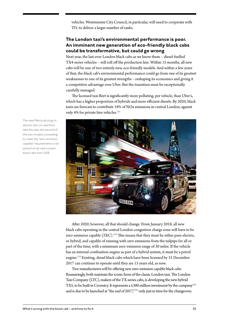vehicles. Westminster City Council, in particular, will need to cooperate with TfL to deliver a larger number of ranks.

# **The London taxi's environmental performance is poor. An imminent new generation of eco-friendly black cabs could be transformative, but could go wrong**

Next year, the last-ever London black cabs as we know them – diesel-fuelled TX4-series vehicles – will roll off the production line. Within 15 months, all new cabs will be one of two entirely new, eco-friendly models. And within a few years of that, the black cab's environmental performance could go from one of its greatest weaknesses to one of its greatest strengths – reshaping its economics and giving it a competitive advantage over Uber. But the transition must be exceptionally carefully managed.

The licensed taxi fleet is significantly more polluting, per vehicle, than Uber's, which has a higher proportion of hybrids and more efficient diesels. By 2020, black taxis are forecast to contribute 18% of NOx emissions in central London, against only 4% for private hire vehicles.<sup>111</sup>



After 2020, however, all that should change. From January 2018, all new black cabs operating in the central London congestion charge zone will have to be zero-emission capable (ZEC).<sup>112</sup> This means that they must be either pure electric, or hybrid, and capable of running with zero emissions from the tailpipe for all or part of the time, with a minimum zero-emission range of 30 miles. If the vehicle has an internal combustion engine as part of a hybrid system, it must be a petrol engine.113 Existing, diesel black cabs which have been licensed by 31 December 2017 can continue to operate until they are 15 years old, as now.

Two manufacturers will be offering new zero-emission capable black cabs. Reassuringly, both maintain the iconic form of the classic London taxi. The London Taxi Company (LTC), makers of the TX-series cabs, is developing the new hybrid TX5, to be built in Coventry. It represents a £300 million investment by the company<sup>114</sup> and is due to be launched at "the end of 2017,"115 only just in time for the changeover.

The new Metrocab plug-in electric taxi, on sale from late this year, the second of the two models competing to meet the "zero-emission capable" requirements to be placed on all new London black cabs from 2018.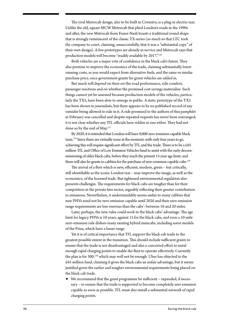The rival Metrocab design, also to be built in Coventry, is a plug-in electric taxi. Unlike the old, square MCW Metrocab that plied London's roads in the 1990s and after, the new Metrocab from Fraser-Nash boasts a traditional round shape that is strongly reminiscent of the classic TX-series (so much so that LTC took the company to court, claiming, unsuccessfully, that it was a "substantial copy" of their own design). A few prototypes are already in service and Metrocab says that production models will become "readily available by 2017."116

Both vehicles are a major vote of confidence in the black cab's future. They also promise to improve the economics of the trade, claiming substantially lower running costs, as you would expect from alternative fuels, and the same or similar purchase price, once government grants for green vehicles are added in.

But much will depend on their on-the-road performance, ride comfort, passenger reactions and on whether the promised cost savings materialise. Such things cannot yet be assessed because production models of the vehicles, particularly the TX5, have been slow to emerge in public. A static prototype of the TX5 has been shown to journalists, but there appears to be no published record of any outsider being allowed to ride in it. A ride promised to the authors of this pamphlet in February was cancelled and despite repeated requests has never been rearranged; it is not clear whether any Tf L officials have ridden in one either. They had not done so by the end of May.<sup>117</sup>

By 2020, it is intended that London will have 9,000 zero-emission capable black taxis.118 Since there are virtually none at the moment, with only four years to go, achieving this will require significant effort by TfL and the trade. There is to be a £65 million TfL and Office of Low Emission Vehicles fund to assist with the early decommissioning of older black cabs, before they reach the present 15-year age limit; and there will also be grants to cabbies for the purchase of zero-emission capable cabs.<sup>119</sup>

The arrival of a fleet which is new, efficient, modern, green – but critically, still identifiable as the iconic London taxi – may improve the image, as well as the economics, of the licensed trade. But tightened environmental regulation also presents challenges. The requirements for black cabs are tougher than for their competitors in the private hire sector, arguably reflecting their greater contribution to emissions. Nevertheless, it understandably seems unfair to many cabbies that new PHVs need not be zero-emission capable until 2020 and their zero-emission range requirements are less onerous than the cabs': between 10 and 20 miles.

Later, perhaps, the new rules could work to the black cabs' advantage. The age limit for legacy PHVs is 10 years, against 15 for the black cabs, and even a 10-mile zero-emission rule disbars many existing hybrid minicabs, including some models of the Prius, which have a lesser range.

Yet it is of critical importance that TfL support the black cab trade to the greatest possible extent in the transition. This should include sufficient grants to ensure that the trade is not disadvantaged and also a concerted effort to instal enough rapid charging points to enable the fleet to operate effectively. Currently the plan is for 300,<sup>120</sup> which may well not be enough. Uber has objected to the £65 million fund, claiming it gives the black cabs an unfair advantage, but it seems justified given the earlier and tougher environmental requirements being placed on the black cab trade.

**•** We recommend that the grant programme be sufficient – expanded, if necessary – to ensure that the trade is supported to become completely zero emission capable as soon as possible. Tf L must also install a substantial network of rapid charging points.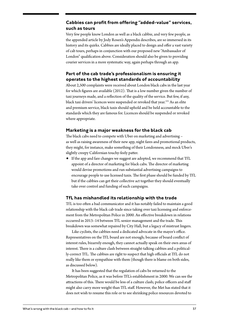# **Cabbies can profit from offering "added-value" services, such as tours**

Very few people know London as well as a black cabbie, and very few people, as the appended article by Jody Rosen's Appendix describes, are so immersed in its history and its quirks. Cabbies are ideally placed to design and offer a vast variety of cab tours, perhaps in conjunction with our proposed new "Ambassador of London" qualification above. Consideration should also be given to providing courier services in a more systematic way, again perhaps through an app.

# **Part of the cab trade's professionalism is ensuring it operates to the highest standards of accountability**

About 2,500 complaints were received about London black cabs in the last year for which figures are available (2012). That is a low number given the number of taxi journeys made, and a reflection of the quality of the service. But few, if any, black taxi drivers' licences were suspended or revoked that year.121 As an elite and premium service, black taxis should uphold and be held accountable to the standards which they are famous for. Licences should be suspended or revoked where appropriate.

## **Marketing is a major weakness for the black cab**

The black cabs need to compete with Uber on marketing and advertising – as well as raising awareness of their new app, night fares and promotional products, they might, for instance, make something of their Londonness, and mock Uber's slightly creepy Californian touchy-feely patter.

**•** If the app and fare changes we suggest are adopted, we recommend that Tf L appoint of a director of marketing for black cabs. The director of marketing would devise promotions and run substantial advertising campaigns to encourage people to use licensed taxis. The first phase should be funded by Tf L but if the cabbies can get their collective act together they should eventually take over control and funding of such campaigns.

# **TfL has mishandled its relationship with the trade**

TfL is too often a bad communicator and it has notably failed to maintain a good relationship with the black cab trade since taking over taxi licensing and enforcement from the Metropolitan Police in 2000. An effective breakdown in relations occurred in 2013–14 between TfL senior management and the trade. This breakdown was somewhat repaired by City Hall, but a legacy of mistrust lingers.

Like cyclists, the cabbies need a dedicated advocate in the mayor's office. Representatives on the TfL board are not enough; because of board conflict of interest rules, bizarrely enough, they cannot actually speak on their own areas of interest. There is a culture clash between straight-talking cabbies and a politically-correct Tf L. The cabbies are right to suspect that high officials at Tf L do not really like them or sympathise with them (though there is blame on both sides, as discussed below).

It has been suggested that the regulation of cabs be returned to the Metropolitan Police, as it was before Tf L's establishment in 2000. We can see the attractions of this. There would be less of a culture clash; police officers and staff might also carry more weight than Tf L staff. However, the Met has stated that it does not wish to resume this role or to see shrinking police resources devoted to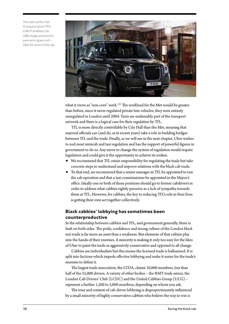The new London Taxi Company hybrid TX5, is Wi-Fi enabled, has USB charge points and a panoramic glass roof – ideal for tours of the city.



what it views as "non-core" work.122 The workload for the Met would be greater than before, since it never regulated private hire vehicles; they were entirely unregulated in London until 2004. Taxis are undeniably part of the transport network and there is a logical case for their regulation by Tf L.

TfL is more directly controllable by City Hall than the Met, meaning that mayoral officials can (and do, as in recent years) take a role in building bridges between TfL and the trade. Finally, as we will see in the next chapter, Uber wishes to end most minicab and taxi regulation and has the support of powerful figures in government to do so. Any move to change the system of regulation would require legislation and could give it the opportunity to achieve its wishes.

- We recommend that TfL retain responsibility for regulating the trade but take concrete steps to understand and improve relations with the black cab trade.
- **•** To that end, we recommend that a senior manager in Tf L be appointed to run the cab operation and that a taxi commissioner be appointed in the Mayor's office. Ideally one or both of these positions should go to former cabdrivers in order to address what cabbies rightly perceive as a lack of sympathy towards them at TfL. However, for cabbies, the key to reducing TfL's role in their lives is getting their own act together collectively.

# **Black cabbies' lobbying has sometimes been counterproductive**

In the relationship between cabbies and TfL, and government generally, there is fault on both sides. The pride, confidence and strong culture of the London black taxi trade is far more an asset than a weakness. But elements of that culture play into the hands of their enemies. A minority is making it only too easy for the likes of Uber to paint the trade as aggressively conservative and opposed to all change.

Cabbies are individualists but this means the licensed trade is balkanized. It is split into factions which impede effective lobbying and make it easier for the trade's enemies to defeat it.

The largest trade association, the LTDA, claims 10,800 members, less than half of the 25,000 drivers. A variety of other bodies – the RMT trade union, the London Cab Drivers' Club (LCDC) and the United Cabbies Group (UCG) – represent a further 1,500 to 3,000 members, depending on whom you ask.

The tone and content of cab-driver lobbying is disproportionately influenced by a small minority of highly conservative cabbies who believe the way to win is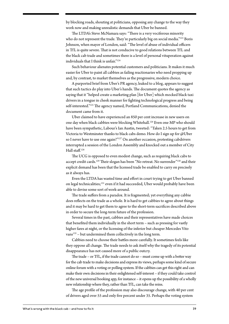by blocking roads, shouting at politicians, opposing any change to the way they work now and making unrealistic demands that Uber be banned.

The LTDA's Steve McNamara says: "There is a very vociferous minority who do not represent the trade. They're particularly big on social media."123 Boris Johnson, when mayor of London, said: "The level of abuse of individual officers in TfL is quite severe. That is not conducive to good relations between TfL and the black cab trade and sometimes there is a level of personal vituperation against individuals that I think is unfair."124

Such behaviour alienates potential customers and politicians. It makes it much easier for Uber to paint all cabbies as failing reactionaries who need propping up and, by contrast, to market themselves as the progressive, modern choice.

A purported brief from Uber's PR agency, leaked to a blog, appears to suggest that such tactics do play into Uber's hands. The document quotes the agency as saying that it "helped create a marketing plan [for Uber] which mocked black taxi drivers in a tongue in cheek manner for fighting technological progress and being self-interested."125 The agency named, Portland Communications, denied the document came from it.

Uber claimed to have experienced an 850 per cent increase in new users on one day when black cabbies were blocking Whitehall.<sup>126</sup> Even one MP who should have been sympathetic, Labour's Ian Austin, tweeted: "Taken 2.5 hours to get from Victoria to Westminster thanks to black cabs demo. How do I sign up for @Uber so I never have to use one again?"127 On another occasion, protesting cabdrivers interrupted a session of the London Assembly and knocked out a member of City Hall staff $128$ 

The UCG is opposed to even modest change, such as requiring black cabs to accept credit cards.<sup>129</sup> Their slogan has been "No retreat. No surrender"<sup>130</sup> and their explicit demand has been that the licensed trade be enabled to carry on precisely as it always has.

Even the LTDA has wasted time and effort in court trying to get Uber banned on legal technicalities;131 even if it had succeeded, Uber would probably have been able to devise some sort of work-around.

The trade suffers from a paradox. It is fragmented; yet everything any cabbie does reflects on the trade as a whole. It is hard to get cabbies to agree about things and it may be hard to get them to agree to the short-term sacrifices described above in order to secure the long-term future of the profession.

Several times in the past, cabbies and their representatives have made choices that benefited them individually in the short term – such as pressing for vastly higher fares at night, or the licensing of the inferior but cheaper Mercedes Vito  $vans<sup>132</sup> - but undermined them collectively in the long term.$ 

Cabbies need to choose their battles more carefully. It sometimes feels like they oppose all change. The trade needs to ask itself why the tragedy of its potential disappearance has not caused more of a public outcry.

The trade – or  $TfL$ , if the trade cannot do so – must come up with a better way for the cab trade to make decisions and express its views, perhaps some kind of secure online forum with a voting or polling system. If the cabbies can get this right and can make their own decisions in their enlightened self-interest – if they could take control of the new universal booking app, for instance – it opens up the possibility of a wholly new relationship where they, rather than TfL, can take the reins.

The age profile of the profession may also discourage change, with 40 per cent of drivers aged over 55 and only five percent under 35. Perhaps the voting system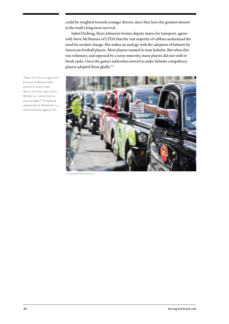could be weighted towards younger drivers, since they have the greatest interest in the trade's long-term survival.

Isabel Dedring, Boris Johnson's former deputy mayor for transport, agrees with Steve McNamara of LTDA that the vast majority of cabbies understand the need for modest change. She makes an analogy with the adoption of helmets by American football players. Most players wanted to wear helmets. But when this was voluntary, and opposed by a noisy minority, many players did not wish to break ranks. Once the game's authorities moved to make helmets compulsory, players adopted them gladly.<sup>133</sup>



"Taken 2.5 hours to get from Victoria to Westminster thanks to black cabs demo. How do I sign up for @Uber so I never have to use one again?" Protesting cabbies block Whitehall in a demonstration against TfL.

© Guy Bell/REX/Shutterstock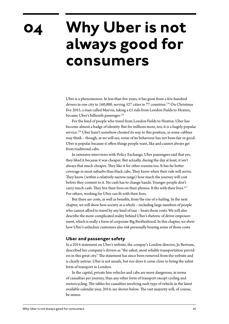# **04**

# Why Uber is not **always good for consumers**

Uber is a phenomenon. In less than five years, it has gone from a few hundred drivers in one city to 160,000, serving 527 cities in 77 countries.<sup>134</sup> On Christmas Eve 2015, a man called Marvin, taking a £5 ride from London Fields to Hoxton, became Uber's billionth passenger.<sup>135</sup>

For the kind of people who travel from London Fields to Hoxton, Uber has become almost a badge of identity. But for millions more, too, it is a hugely popular service.<sup>136</sup> Uber hasn't somehow cheated its way to this position, as some cabbies may think – though, as we will see, some of its behaviour has not been fair or good. Uber is popular because it offers things people want, like and cannot always get from traditional cabs.

In extensive interviews with Policy Exchange, Uber passengers said that yes, they liked it because it was cheaper. But actually, during the day at least, it isn't always that much cheaper. They like it for other reasons too. It has far better coverage in most suburbs than black cabs. They know when their ride will arrive. They know (within a relatively narrow range) how much the journey will cost before they commit to it. No cash has to change hands. Younger people don't carry much cash. They live their lives on their phones. It fits with their lives.<sup>137</sup> For others, working for Uber can fit with their lives.

But there are costs, as well as benefits, from the rise of e-hailing. In the next chapter, we will show how society as a whole – including large numbers of people who cannot afford to travel by any kind of taxi – bears those costs. We will also describe the more complicated reality behind Uber's rhetoric of driver empowerment, which is really a form of corporate Big Brotherhood. In this chapter, we show how Uber's unluckier customers also risk personally bearing some of those costs.

#### **Uber and passenger safety**

In a 2014 statement on Uber's website, the compay's London director, Jo Bertram, described her company's drivers as "the safest, most reliable transportation providers in this great city." The statement has since been removed from the website and is clearly untrue. Uber is not unsafe, but nor does it come close to being the safest form of transport in London.

In the capital, private hire vehicles and cabs are more dangerous, in terms of casualties per journey, than any other form of transport except cycling and motorcycling. The tables for casualties involving each type of vehicle in the latest available calendar year, 2014, are shown below. The vast majority will, of course, be minor.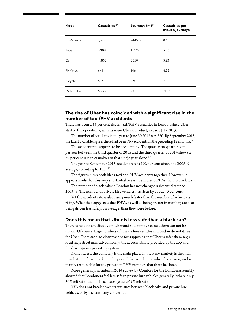| Mode      | Casualties <sup>138</sup> | Journeys (m) <sup>139</sup> | <b>Casualties per</b><br>million journeys |
|-----------|---------------------------|-----------------------------|-------------------------------------------|
| Bus/coach | 1,579                     | 2445.5                      | 0.65                                      |
| Tube      | 3,908                     | 1277.5                      | 3.06                                      |
| Car       | II, 803                   | 3650                        | 3.23                                      |
| PHV/taxi  | 64                        | 146                         | 4.39                                      |
| Bicycle   | 5,146                     | 219                         | 23.5                                      |
| Motorbike | 5,233                     | 73                          | 71.68                                     |

### **The rise of Uber has coincided with a significant rise in the number of taxi/PHV accidents**

There has been a 44 per cent rise in taxi/PHV casualties in London since Uber started full operations, with its main UberX product, in early July 2013.

The number of accidents in the year to June 30 2013 was 530. By September 2015, the latest available figure, there had been 763 accidents in the preceding 12 months.<sup>140</sup>

The accident rate appears to be accelerating. The quarter-on-quarter comparison between the third quarter of 2015 and the third quarter of 2014 shows a 39 per cent rise in casualties in that single year alone.<sup>141</sup>

The year to September 2015 accident rate is 102 per cent above the 2005–9 average, according to  $TfL^{142}$ 

The figures lump both black taxi and PHV accidents together. However, it appears likely that this very substantial rise is due more to PHVs than to black taxis.

The number of black cabs in London has not changed substantially since 2005–9. The number of private hire vehicles has risen by about 40 per cent.<sup>143</sup>

Yet the accident rate is also rising much faster than the number of vehicles is rising. What that suggests is that PHVs, as well as being greater in number, are also being driven less safely, on average, than they were before.

#### **Does this mean that Uber is less safe than a black cab?**

There is no data specifically on Uber and so definitive conclusions can not be drawn. Of course, large numbers of private hire vehicles in London do not drive for Uber. There are also clear reasons for supposing that Uber is safer than, say, a local high street minicab company: the accountability provided by the app and the driver-passenger rating system.

Nonetheless, the company is the main player in the PHV market; is the main new feature of that market in the period that accident numbers have risen; and is mainly responsible for the growth in PHV numbers that there has been.

More generally, an autumn 2014 survey by ComRes for the London Assembly showed that Londoners feel less safe in private hire vehicles generally (where only 50% felt safe) than in black cabs (where 69% felt safe).

TfL does not break down its statistics between black cabs and private hire vehicles, or by the company concerned.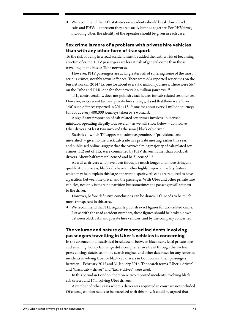• We recommend that TfL statistics on accidents should break down black cabs and PHVs – at present they are usually lumped together. For PHV firms, including Uber, the identity of the operator should be given in each case.

## **Sex crime is more of a problem with private hire vehicles than with any other form of transport**

To the risk of being in a road accident must be added the further risk of becoming a victim of crime. PHV passengers are less at risk of general crime than those travelling on the bus or Tube networks.

However, PHV passengers are at far greater risk of suffering some of the most serious crimes, notably sexual offences. There were 684 reported sex crimes on the bus network in 2014/15, one for about every 3.6 million journeys. There were 567 on the Tube and DLR, one for about every 2.4 million journeys.<sup>144</sup>

Tf L, controversially, does not publish exact figures for cab-related sex offences. However, in its recent taxi and private hire strategy, it said that there were "over 140" such offences reported in  $2014/15$ ,<sup>145</sup> one for about every 1 million journeys (or about every 400,000 journeys taken by a woman).

A significant proportion of cab-related sex crimes involves unlicensed minicabs, operating illegally. But several – as we will show below – do involve Uber drivers. At least two involved (the same) black cab driver.

Statistics – which TfL appears to admit as genuine, if "provisional and unverified" – given to the black cab trade in a private meeting earlier this year, and publicised online, suggest that the overwhelming majority of cab-related sex crimes, 112 out of 115, were committed by PHV drivers, rather than black cab drivers. About half were unlicensed and half licensed.<sup>146</sup>

As well as drivers who have been through a much longer and more stringent qualification process, black cabs have another highly important safety feature which may help explain this large apparent disparity. All cabs are required to have a partition between the driver and the passenger. With Uber and other private hire vehicles, not only is there no partition but sometimes the passenger will set next to the driver.

However, before definitive conclusions can be drawn, TfL needs to be much more transparent in this area.

• We recommend that TfL regularly publish exact figures for taxi-related crime. Just as with the road accident numbers, these figures should be broken down between black cabs and private hire vehicles, and by the company concerned.

# **The volume and nature of reported incidents involving passengers travelling in Uber's vehicles is concerning**

In the absence of full statistical breakdowns between black cabs, legal private hire, and e-hailing, Policy Exchange did a comprehensive trawl through the Factiva press cuttings database, online search engines and other databases for any reported incidents involving Uber or black cab drivers in London and their passengers between 1 February 2015 and 31 January 2016. The search terms "Uber + driver" and "black cab + driver" and "taxi + driver" were used.

In this period in London, there were two reported incidents involving black cab drivers and 17 involving Uber drivers.

A number of other cases where a driver was acquitted in court are not included. Of course, caution needs to be exercised with this tally. It could be argued that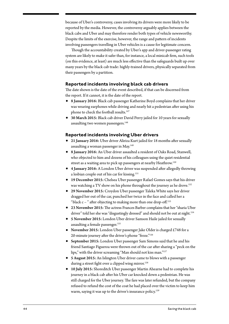because of Uber's controversy, cases involving its drivers were more likely to be reported by the media. However, the controversy arguably applies between the black cabs and Uber and may therefore render both types of vehicle newsworthy. Despite the limits of the exercise, however, the range and pattern of incidents involving passengers travelling in Uber vehicles is a cause for legitimate concern.

Though the accountability created by Uber's app and driver-passenger rating system are likely to make it safer than, for instance, a local minicab firm, such tools (on this evidence, at least) are much less effective than the safeguards built up over many years by the black cab trade: highly-trained drivers, physically separated from their passengers by a partition.

### **Reported incidents involving black cab drivers**

The date shown is the date of the event described, if that can be discerned from the report. If it cannot, it is the date of the report.

- **•** 8 January 2016: Black cab passenger Katherine Boyd complains that her driver was wearing earphones while driving and nearly hit a pedestrian after using his phone to check the football results.<sup>147</sup>
- **•** 30 March 2015: Black cab driver David Perry jailed for 10 years for sexually assaulting two women passengers.<sup>148</sup>

#### **Reported incidents involving Uber drivers**

- **•** 21 January 2016: Uber driver Aliriza Kurt jailed for 18 months after sexually assaulting a woman passenger in May.<sup>149</sup>
- **•** 8 January 2016: An Uber driver assaulted a resident of Oaks Road, Stanwell, who objected to him and dozens of his colleagues using the quiet residential street as a waiting area to pick up passengers at nearby Heathrow.<sup>150</sup>
- **•** 4 January 2016: A London Uber driver was suspended after allegedly throwing a lesbian couple out of his car for kissing.<sup>151</sup>
- **•** 19 December 2015: Chelsea Uber passenger Rafael Gomes says that his driver was watching a TV show on his phone throughout the journey as he drove.<sup>152</sup>
- **•** 29 November 2015: Croydon Uber passenger Taleka White says her driver dragged her out of the car, punched her twice in the face and called her a "black  $c - r$  after objecting to making more than one drop-off.<sup>153</sup>
- **•** 23 November 2015: The actress Frances Barber complains that her "sharia Uber driver" told her she was "disgustingly dressed" and should not be out at night.<sup>154</sup>
- **•** 5 November 2015: London Uber driver Samson Haile jailed for sexually assaulting a female passenger.<sup>155</sup>
- **•** November 2015: London Uber passenger Jake Older is charged £748 for a 20-minute journey after the driver's phone "froze."156
- **•** September 2015: London Uber passenger Sam Simons said that he and his friend Santiago Figueroa were thrown out of the car after sharing a "peck on the lips," with the driver screaming "Man should not kiss man."157
- **•** 5 August 2015: An Islington Uber driver came to blows with a passenger during a street fight over a clipped wing mirror.<sup>158</sup>
- **•** 10 July 2015: Shoreditch Uber passenger Martin Ahearne had to complete his journey in a black cab after his Uber car knocked down a pedestrian. He was still charged for the Uber journey. The fare was later refunded, but the company refused to refund the cost of the coat he had placed over the victim to keep him warm, saying it was up to the driver's insurance policy.<sup>159</sup>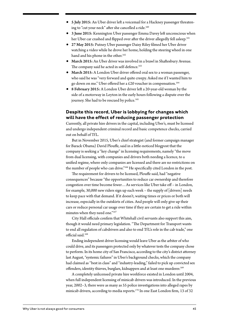- **•** 5 July 2015: An Uber driver left a voicemail for a Hackney passenger threatening to "cut your neck" after she cancelled a ride.<sup>160</sup>
- **•** 3 June 2015: Kennington Uber passenger Emma Davey left unconscious when her Uber car crashed and flipped over after the driver allegedly fell asleep.<sup>161</sup>
- **•** 27 May 2015: Putney Uber passenger Daisy Riley filmed her Uber driver watching a video while he drove her home, holding the steering wheel in one hand and his phone in the other.<sup>162</sup>
- **•** March 2015: An Uber driver was involved in a brawl in Shaftesbury Avenue. The company said he acted in self-defence.<sup>163</sup>
- **•** March 2015: A London Uber driver offered oral sex to a woman passenger, who said he was "very forward and quite creepy. Asked me if I wanted him to go down on me." Uber offered her a £20 voucher in compensation.164
- **•** 8 February 2015: A London Uber driver left a 20-year-old woman by the side of a motorway in Leyton in the early hours following a dispute over the journey. She had to be rescued by police.<sup>165</sup>

# **Despite this record, Uber is lobbying for changes which will have the effect of reducing passenger protection**

Currently, all private hire drivers in the capital, including Uber's, must be licensed and undergo independent criminal record and basic competence checks, carried out on behalf of TfL.

But in November 2015, Uber's chief strategist (and former campaign manager for Barack Obama) David Plouffe, said in a little-noticed blogpost that the company is seeking a "key change" in licensing requirements, namely "the move from dual licensing, with companies and drivers both needing a licence, to a unified regime, where only companies are licensed and there are no restrictions on the number of people who can drive."166 He specifically cited London in the post.

The requirement for drivers to be licensed, Plouffe said, had "negative consequences" because "the opportunities to reduce car ownership and therefore congestion over time become fewer…As services like Uber take off – in London, for example, 30,000 new riders sign up each week – the supply of [drivers] needs to keep pace with that demand. If it doesn't, waiting times or prices or both will increase, especially in the outskirts of cities. And people will only give up their cars or reduce personal car usage over time if they are certain to get a ride within minutes when they need one."167

City Hall officials confirm that Whitehall civil servants also support this aim, though it would need primary legislation. "The Department for Transport wants to end all regulation of cabdrivers and also to end Tf L's role in the cab trade," one official said.168

Ending independent driver licensing would leave Uber as the arbiter of who could drive, and its passengers protected only by whatever tests the company chose to perform. In its home city of San Francisco, according to the city's district attorney last August, "systemic failures" in Uber's background checks, which the company had claimed as "best in class" and "industry-leading," failed to pick up convicted sex offenders, identity thieves, burglars, kidnappers and at least one murderer.<sup>169</sup>

A completely unlicensed private hire workforce existed in London until 2004, when full independent licensing of minicab drivers was introduced. In the previous year, 2002–3, there were as many as 55 police investigations into alleged rapes by minicab drivers, according to media reports.170 In one East London firm, 13 of 32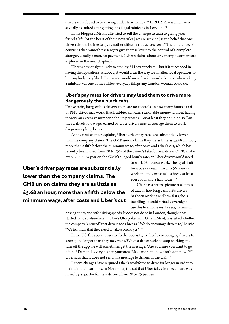drivers were found to be driving under false names.<sup>171</sup> In 2002, 214 women were sexually assaulted after getting into illegal minicabs in London.<sup>172</sup>

In his blogpost, Mr Plouffe tried to sell the changes as akin to giving your friend a lift: "At the heart of these new rules [we are seeking] is the belief that one citizen should be free to give another citizen a ride across town." The difference, of course, is that minicab passengers give themselves into the control of a complete stranger, usually a man, for payment. (Uber's claims about driver empowerment are explored in the next chapter.)

Uber is obviously unlikely to employ 214 sex attackers – but if it succeeded in having the regulations scrapped, it would clear the way for smaller, local operators to hire anybody they liked. The capital would move back towards the time when taking a minicab was one of the riskiest everyday things any London woman could do.

# **Uber's pay rates for drivers may lead them to drive more dangerously than black cabs**

Unlike train, lorry, or bus drivers, there are no controls on how many hours a taxi or PHV driver may work. Black cabbies can earn reasonable money without having to work an excessive number of hours per week – or at least they could do so. But the relatively low wages earned by Uber drivers may encourage them to work dangerously long hours.

As the next chapter explains, Uber's driver pay rates are substantially lower than the company claims. The GMB union claims they are as little as  $£5.68$  an hour, more than a fifth below the minimum wage, after costs and Uber's cut, which has recently been raised from 20 to 25% of the driver's take for new drivers.173 To make even £20,000 a year on the GMB's alleged hourly rate, an Uber driver would need

**Uber's driver pay rates are substantially lower than the company claims. The GMB union claims they are as little as £5.68 an hour, more than a fifth below the minimum wage, after costs and Uber's cut** to work 68 hours a week. The legal limit for a bus or coach driver is 56 hours a week and they must take a break at least every four and a half hours.174

Uber has a precise picture at all times of exactly how long each of its drivers has been working and how fast s/he is travelling. It could virtually overnight use this to enforce rest breaks, maximum

driving stints, and safe driving speeds. It does not do so in London, though it has started to do so elsewhere.<sup>175</sup> Uber's UK spokesman, Gareth Mead, was asked whether the company "ensured" that drivers took breaks. "We do encourage drivers to," he said. "We tell them that they need to take a break, yes."176

In the US, the app appears to do the opposite, explicitly encouraging drivers to keep going longer than they may want. When a driver seeks to stop working and turn off the app, he will sometimes get the message: "Are you sure you want to go offline? Demand is very high in your area. Make more money, don't stop now!"177 Uber says that it does not send this message to drivers in the UK.<sup>178</sup>

Recent changes have required Uber's workforce to drive for longer in order to maintain their earnings. In November, the cut that Uber takes from each fare was raised by a quarter for new drivers, from 20 to 25 per cent.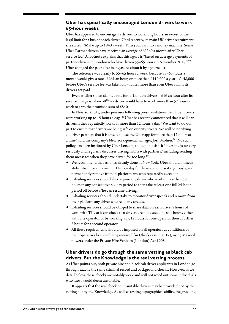# **Uber has specifically encouraged London drivers to work 65-hour weeks**

Uber has appeared to encourage its drivers to work long hours, in excess of the legal limit for a bus or coach driver. Until recently, its main UK driver recruitment site stated: "Make up to £840 a week. Turn your car into a money machine. Some Uber-Partner drivers have received an average of £3360 a month after Uber service fee." A footnote explains that this figure is "based on average payments of partner-drivers in London who have driven 55–65 hours in November 2015."179 Uber changed the page after being asked about it by a journalist.

The reference was clearly to 55–65 hours a week, because 55–65 hours a month would give a rate of £61 an hour, or more than £110,000 a year – £148,000 before Uber's service fee was taken off – rather more than even Uber claims its drivers get paid.

Even at Uber's own claimed rate for its London drivers  $-$  £16 an hour after its service charge is taken of  $180 - a$  driver would have to work more than 52 hours a week to earn the promised sum of £840.

In New York City, under pressure following press revelations that Uber drivers were working up to 19 hours a day,<sup>181</sup> Uber has recently announced that it will ban drivers if they repeatedly work for more than 12 hours a day. "We want to do our part to ensure that drivers are being safe on our city streets. We will be notifying all driver-partners that it is unsafe to use the Uber app for more than 12 hours at a time," said the company's New York general manager, Josh Mohrer.<sup>182</sup> No such policy has been instituted by Uber London, though it insists it "takes the issue very seriously and regularly discusses driving habits with partners," including sending them messages when they have driven for too long.<sup>183</sup>

- **•** We recommend that as it has already done in New York, Uber should immediately introduce a maximum 12-hour day for drivers, monitor it rigorously, and permanently remove from its platform any who repeatedly exceed it.
- **•** E-hailing services should also require any driver who works more than 60 hours in any consecutive six-day period to then take at least one full 24-hour period off before s/he can resume driving.
- **•** E-hailing services should undertake to monitor driver speeds and remove from their platform any driver who regularly speeds.
- **•** E-hailing services should be obliged to share data on each driver's hours of work with TfL so it can check that drivers are not exceeding safe hours, either with one operator or by working, say, 12 hours for one operator then a further 5 hours for a second operator.
- **•** All these requirements should be imposed on all operators as conditions of their operator's licences being renewed (in Uber's case in 2017), using Mayoral powers under the Private Hire Vehicles (London) Act 1998.

# **Uber drivers do go through the same vetting as black cab drivers. But the Knowledge is the real vetting process**

As Uber points out, both private hire and black cab driver applicants in London go through exactly the same criminal record and background checks. However, as we detail below, these checks are notably weak and will not weed out some individuals who most would deem unsuitable.

It appears that the real check on unsuitable drivers may be provided not by the vetting but by the Knowledge. As well as testing topographical ability, the gruelling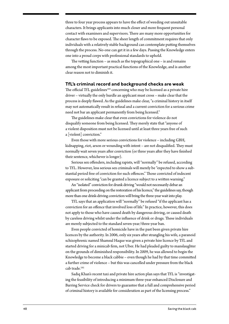three to four year process appears to have the effect of weeding out unsuitable characters. It brings applicants into much closer and more frequent personal contact with examiners and supervisors. There are many more opportunities for character flaws to be exposed. The sheer length of commitment requires that only individuals with a relatively stable background can contemplate putting themselves through the process. No-one can get it in a few days. Passing the Knowledge enters one into a proud corps with professional standards to uphold.

The vetting function – as much as the topographical one – is and remains among the most important practical functions of the Knowledge, and is another clear reason not to diminish it.

#### **TfL's criminal record and background checks are weak**

The official TfL guidelines<sup>184</sup> concerning who may be licensed as a private hire driver – virtually the only hurdle an applicant must cross – make clear that the process is deeply flawed. As the guidelines make clear, "a criminal history in itself may not automatically result in refusal and a current conviction for a serious crime need not bar an applicant permanently from being licensed."

The guidelines make clear that even convictions for violence do not disqualify someone from being licensed. They merely state that "anyone of a violent disposition must not be licensed until at least three years free of such a [violent] conviction."

Even those with more serious convictions for violence – including GBH, kidnapping, riot, arson or wounding with intent – are not disqualified. They must normally wait seven years after conviction (or three years after they have finished their sentence, whichever is longer).

Serious sex offenders, including rapists, will "normally" be refused, according to TfL. However, less serious sex criminals will merely be "expected to show a substantial period free of conviction for such offences." Those convicted of indecent exposure or soliciting "can be granted a licence subject to a written warning."

An "isolated" conviction for drunk driving "would not necessarily debar an applicant from proceeding on the restoration of his licence," the guidelines say, though more than one drink-driving conviction will bring the three-year wait into play.

TfL says that an application will "normally" be refused "if the applicant has a conviction for an offence that involved loss of life." In practice, however, this does not apply to those who have caused death by dangerous driving, or caused death by careless driving whilst under the influence of drink or drugs. These individuals are merely subjected to the standard seven-year/three-year ban.

Even people convicted of homicide have in the past been given private hire licences by the authority. In 2006, only six years after strangling his wife, a paranoid schizophrenic named Shamsul Haque was given a private hire licence by TfL and started driving for a minicab firm, not Uber. He had pleaded guilty to manslaughter on the grounds of diminished responsibility. In 2009, he was allowed to begin the Knowledge to become a black cabbie – even though he had by that time committed a further crime of violence – but this was cancelled under pressure from the black cab trade.185

Sadiq Khan's recent taxi and private hire action plan says that TfL is "investigating the feasibility of introducing a minimum three-year enhanced Disclosure and Barring Service check for drivers to guarantee that a full and comprehensive period of criminal history is available for consideration as part of the licensing process."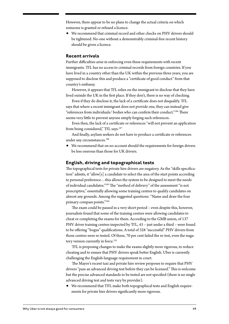However, there appear to be no plans to change the actual criteria on which someone is granted or refused a licence.

**•** We recommend that criminal record and other checks on PHV drivers should be tightened. No-one without a demonstrably criminal-free recent history should be given a licence.

#### **Recent arrivals**

Further difficulties arise in enforcing even these requirements with recent immigrants. TfL has no access to criminal records from foreign countries. If you have lived in a country other than the UK within the previous three years, you are supposed to disclose this and produce a "certificate of good conduct" from that country's embassy.

However, it appears that TfL relies on the immigrant to disclose that they have lived outside the UK in the first place. If they don't, there is no way of checking.

Even if they do disclose it, the lack of a certificate does not disqualify. Tf L says that where a recent immigrant does not provide one, they can instead give "references from individuals/ bodies who can confirm their conduct."186 There seems very little to prevent anyone simply forging such references.

Even then, the lack of a certificate or references "will not prevent an application from being considered," TfL says.<sup>187</sup>

And finally, asylum seekers do not have to produce a certificate or references under any circumstances.<sup>188</sup>

**•** We recommend that on no account should the requirements for foreign drivers be less onerous than those for UK drivers.

#### **English, driving and topographical tests**

The topographical tests for private hire drivers are nugatory. As the "skills specification" admits, it "allow[s] a candidate to select the area of the start points according to personal preference…this allows the system to be designed to meet the needs of individual candidates."189 The "method of delivery" of the assessment "is not prescriptive," essentially allowing some training centres to qualify candidates on almost any grounds. Among the suggested questions: "Name and draw the four primary compass points."190

The exam could be passed in a very short period – even despite this, however, journalists found that some of the training centres were allowing candidates to cheat or completing the exams for them. According to the GMB union, of 137 PHV driver training centres inspected by TfL, 43 – just under a third – were found to be offering "bogus" qualifications. A total of 328 "successful" PHV drivers from those centres were re-tested. Of these, 70 per cent failed the re-test, even the nugatory version currently in force.<sup>191</sup>

TfL is proposing changes to make the exams slightly more rigorous, to reduce cheating and to ensure that PHV drivers speak better English. Uber is currently challenging the English-language requirement in court.

The Mayor's recent taxi and private hire review proposes to require that PHV drivers "pass an advanced driving test before they can be licensed." This is welcome but the precise advanced standards to be tested are not specified (there is no single advanced driving test and tests vary by provider).

**•** We recommend that TFL make both topographical tests and English requirements for private hire drivers significantly more rigorous.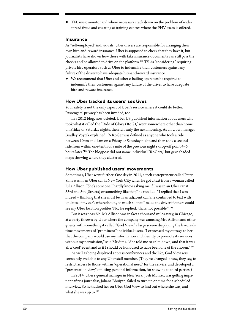**•** TFL must monitor and where necessary crack down on the problem of widespread fraud and cheating at training centres where the PHV exam is offered.

#### **Insurance**

As "self-employed" individuals, Uber drivers are responsible for arranging their own hire-and-reward insurance. Uber is supposed to check that they have it, but journalists have shown how those with fake insurance documents can still pass the checks and be allowed to drive on the platform.<sup>192</sup> TfL is "considering" requiring private hire operators such as Uber to indemnify their customers against any failure of the driver to have adequate hire-and-reward insurance.

**•** We recommend that Uber and other e-hailing operators be required to indemnify their customers against any failure of the driver to have adequate hire-and-reward insurance.

#### **How Uber tracked its users' sex lives**

Your safety is not the only aspect of Uber's service where it could do better. Passengers' privacy has been invaded, too.

In a 2012 blog, now deleted, Uber US published information about users who took what it called the "Ride of Glory (RoG)," went somewhere other than home on Friday or Saturday nights, then left early the next morning. As an Uber manager Bradley Voytek explained: "A RoGer was defined as anyone who took a ride between 10pm and 4am on a Friday or Saturday night, and then took a second ride from within one-tenth of a mile of the previous night's drop-off point 4–6 hours later."193 The blogpost did not name individual "RoGers," but gave shaded maps showing where they clustered.

#### **How Uber published users' movements**

Sometimes, Uber went further. One day in 2011, a tech entrepreneur called Peter Sims was in an Uber car in New York City when he got a text from a woman called Julia Allison. "She's someone I hardly know asking me if I was in an Uber car at 33rd and 5th [Streets] or something like that," he recalled. "I replied that I was indeed – thinking that she must be in an adjacent car. She continued to text with updates of my car's whereabouts, so much so that I asked the driver if others could see my Uber location profile? 'No,' he replied, 'that's not possible.'"194

But it was possible. Ms Allison was in fact a thousand miles away, in Chicago, at a party thrown by Uber where the company was amusing Mrs Allison and other guests with something it called "God View," a large screen displaying the live, realtime movements of "prominent" individual users. "I expressed my outrage to her that the company would use my information and identity to promote its services without my permission," said Mr Sims. "She told me to calm down, and that it was all a 'cool' event and as if I should be honoured to have been one of the chosen."195

As well as being displayed at press conferences and the like, God View was constantly available to any Uber staff member. (They've changed it now, they say, to restrict access to those with an "operational need" for the service, and developed a "presentation view," omitting personal information, for showing to third parties.)

In 2014, Uber's general manager in New York, Josh Mohrer, was getting impatient after a journalist, Johana Bhuiyan, failed to turn up on time for a scheduled interview. So he tracked her on Uber God View to find out where she was, and what she was up to.<sup>196</sup>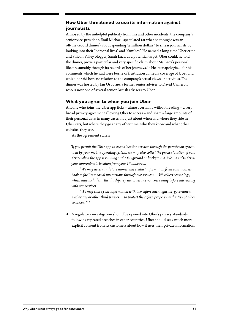# **How Uber threatened to use its information against journalists**

Annoyed by the unhelpful publicity from this and other incidents, the company's senior vice-president, Emil Michael, speculated (at what he thought was an off-the-record dinner) about spending "a million dollars" to smear journalists by looking into their "personal lives" and "families." He named a long-time Uber critic and Silicon Valley blogger, Sarah Lacy, as a potential target. Uber could, he told the dinner, prove a particular and very specific claim about Ms Lacy's personal life, presumably through its records of her journeys.197 He later apologised for his comments which he said were borne of frustration at media coverage of Uber and which he said bore no relation to the company's actual views or activities. The dinner was hosted by Ian Osborne, a former senior adviser to David Cameron who is now one of several senior British advisers to Uber.

## **What you agree to when you join Uber**

Anyone who joins the Uber app ticks – almost certainly without reading – a very broad privacy agreement allowing Uber to access – and share – large amounts of their personal data: in many cases, not just about when and where they ride in Uber cars, but where they go at any other time, who they know and what other websites they use.

As the agreement states:

*"If you permit the Uber app to access location services through the permission system used by your mobile operating system, we may also collect the precise location of your device when the app is running in the foreground or background. We may also derive your approximate location from your IP address…*

*"We may access and store names and contact information from your address book to facilitate social interactions through our services… We collect server logs, which may include… the third-party site or service you were using before interacting with our services…*

*"We may share your information with law enforcement officials, government authorities or other third parties… to protect the rights, property and safety of Uber or others."*<sup>198</sup>

**•** A regulatory investigation should be opened into Uber's privacy standards, following repeated breaches in other countries. Uber should seek much more explicit consent from its customers about how it uses their private information.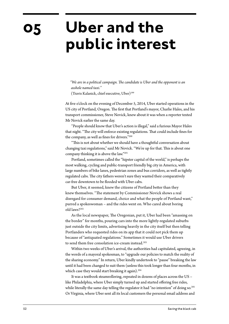# **05**

# **Uber and the public interest**

*"We are in a political campaign. The candidate is Uber and the opponent is an asshole named taxi."* (Travis Kalanick, chief executive, Uber)<sup>199</sup>

At five o'clock on the evening of December 5, 2014, Uber started operations in the US city of Portland, Oregon. The first that Portland's mayor, Charlie Hales, and his transport commissioner, Steve Novick, knew about it was when a reporter texted Mr Novick earlier the same day.

"People should know that Uber's action is illegal," said a furious Mayor Hales that night. "The city will enforce existing regulations. That could include fines for the company, as well as fines for drivers."200

"This is not about whether we should have a thoughtful conversation about changing taxi regulations," said Mr Novick. "We're up for that. This is about one company thinking it is above the law."201

Portland, sometimes called the "hipster capital of the world," is perhaps the most walking, cycling and public-transport friendly big city in America, with large numbers of bike lanes, pedestrian zones and bus corridors, as well as tightly regulated cabs. The city fathers weren't sure they wanted their comparatively car-free downtown to be flooded with Uber cabs.

But Uber, it seemed, knew the citizens of Portland better than they knew themselves. "The statement by Commissioner Novick shows a real disregard for consumer demand, choice and what the people of Portland want," purred a spokeswoman – and the rides went on. Who cared about boring old laws?202

As the local newspaper, The Oregonian, put it, Uber had been "amassing on the border" for months, pouring cars into the more lightly-regulated suburbs just outside the city limits, advertising heavily in the city itself but then telling Portlanders who requested rides on its app that it could not pick them up because of "antiquated regulations." Sometimes it would use Uber drivers to send them free consolation ice-cream instead.<sup>203</sup>

Within two weeks of Uber's arrival, the authorities had capitulated, agreeing, in the words of a mayoral spokesman, to "upgrade our policies to match the reality of the sharing economy." In return, Uber kindly undertook to "pause" breaking the law until it had been changed to suit them (unless this took longer than four months, in which case they would start breaking it again).<sup>204</sup>

It was a textbook steamrollering, repeated in dozens of places across the US – like Philadelphia, where Uber simply turned up and started offering free rides, while literally the same day telling the regulator it had "no intention" of doing so.<sup>205</sup> Or Virginia, where Uber sent all its local customers the personal email address and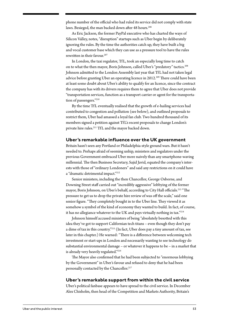phone number of the official who had ruled its service did not comply with state laws. Besieged, the man backed down after 48 hours.<sup>206</sup>

As Eric Jackson, the former PayPal executive who has charted the ways of Silicon Valley, notes, "disruption" startups such as Uber begin by deliberately ignoring the rules. By the time the authorities catch up, they have built a big and vocal customer base which they can use as a pressure tool to have the rules rewritten in their favour.<sup>207</sup>

In London, the taxi regulator, TfL, took an especially long time to catch on to what the then mayor, Boris Johnson, called Uber's "predatory" tactics.<sup>208</sup> Johnson admitted to the London Assembly last year that Tf L had not taken legal advice before granting Uber an operating licence in 2012.<sup>209</sup> There could have been at least some doubt about Uber's ability to qualify for an licence, since the contract the company has with its drivers requires them to agree that Uber does not provide "transportation services, function as a transport carrier or agent for the transportation of passengers."210

By the time Tf L eventually realised that the growth of e-hailing services had contributed to congestion and pollution (see below), and outlined proposals to restrict them, Uber had amassed a loyal fan club. Two hundred thousand of its members signed a petition against Tf L's recent proposals to change London's private hire rules.<sup>211</sup> TfL and the mayor backed down.

#### **Uber's remarkable influence over the UK government**

Britain hasn't seen any Portland or Philadelphia-style ground wars. But it hasn't needed to. Perhaps afraid of seeming unhip, ministers and regulators under the previous Government embraced Uber more naively than any smartphone-waving millennial. The then Business Secretary, Sajid Javid, equated the company's interests with those of "ordinary Londoners" and said any restrictions on it could have a "dramatic detrimental impact."212

Senior ministers, including the then Chancellor, George Osborne, and Downing Street staff carried out "incredibly aggressive" lobbying of the former mayor, Boris Johnson, on Uber's behalf, according to City Hall officials.<sup>213</sup> "The pressure to get us to drop the private hire review of was off the scale," said one senior figure. "They completely bought in to the Uber line. They viewed it as somehow a symbol of the kind of economy they wanted to build. In fact, of course, it has no allegiance whatever to the UK and pays virtually nothing in tax."<sup>214</sup>

Johnson himself accused ministers of being "absolutely besotted with this idea they've got to support Californian tech titans – even though they don't pay a dime of tax in this country."215 (In fact, Uber does pay a tiny amount of tax, see later in this chapter.) He warned: "There is a difference between welcoming tech investment or start-ups in London and necessarily wanting to see technology do substantial environmental damage – or whatever it happens to be – in a market that is already very heavily regulated."216

The Mayor also confirmed that he had been subjected to "enormous lobbying by the Government" in Uber's favour and refused to deny that he had been personally contacted by the Chancellor.<sup>217</sup>

#### **Uber's remarkable support from within the civil service**

Uber's political fanbase appears to have spread to the civil service. In December Alex Chisholm, then head of the Competition and Markets Authority, Britain's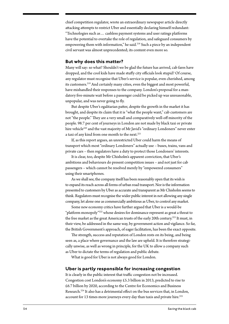chief competition regulator, wrote an extraordinary newspaper article directly attacking attempts to restrict Uber and essentially declaring himself redundant: "Technologies such as… cashless payment systems and user ratings platforms have the potential to overtake the role of regulation, and safeguard consumers by empowering them with information," he said.<sup>218</sup> Such a piece by an independent civil servant was almost unprecedented; its content even more so.

#### **But why does this matter?**

Many will say: so what? Shouldn't we be glad the future has arrived, cab fares have dropped, and the cool kids have made stuffy city officials look stupid? Of course, any regulator must recognise that Uber's service is popular, even cherished, among its customers.219 And certainly many cities, even the biggest and most powerful, have mishandled their responses to the company. London's proposal for a mandatory five-minute wait before a passenger could be picked up was unreasonable, unpopular, and was never going to fly.

But despite Uber's egalitarian patter, despite the growth in the market it has brought, and despite its claim that it is "what the people want," cab customers are not "the people." They are a very small and comparatively well-off minority of the people. 98.7 per cent of journeys in London are not made by black taxi or private hire vehicle<sup>220</sup> and the vast majority of Mr Javid's "ordinary Londoners" never enter a taxi of any kind from one month to the next.<sup>221</sup>

If, as this report argues, an unrestricted Uber could harm the means of transport which most "ordinary Londoners" actually use – buses, trains, vans and private cars – then regulators have a duty to protect those Londoners' interests.

It is clear, too, despite Mr Chisholm's apparent conviction, that Uber's ambitions and behaviours do present competition issues – and not just for cab passengers – which cannot be resolved merely by "empowered consumers" using their smartphones.

As we shall see, the company itself has been reasonably open that its wish is to expand its reach across all forms of urban road transport. Nor is the information presented to customers by Uber as accurate and transparent as Mr Chisholm seems to think. Regulators must recognise the wider public interest in not allowing any single company, let alone one as commercially ambitious as Uber, to control any market.

Some new economy critics have further argued that Uber is a would-be "platform monopoly"222 whose desires for dominance represent as great a threat to the free market as the great American trusts of the early 20th century.<sup>223</sup> It must, in their view, be addressed in the same way, by government action and vigilance. So far, the British Government's approach, of eager facilitation, has been the exact opposite.

The strength, success and reputation of London rests on its being, and being seen as, a place where governance and the law are upheld. It is therefore strategically unwise, as well as wrong in principle, for the UK to allow a company such as Uber to dictate the terms of regulation and public debate.

What is good for Uber is not always good for London.

#### **Uber is partly responsible for increasing congestion**

It is clearly in the public interest that traffic congestion not be increased. Congestion cost London's economy £5.3 billion in 2013, predicted to rise to £6.7 billion by 2020, according to the Centre for Economics and Business Research.<sup>224</sup> It also has a detrimental effect on the bus services that, in London, account for 13 times more journeys every day than taxis and private hire.<sup>225</sup>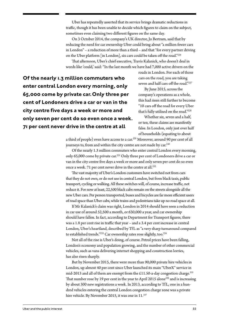Uber has repeatedly asserted that its service brings dramatic reductions in traffic, though it has been unable to decide which figures to claim on the subject, sometimes even claiming two different figures on the same day.

On 3 October 2014, the company's UK director, Jo Bertram, said that by reducing the need for car ownership Uber could bring about "a million fewer cars in London" – a reduction of more than a third – and that "for every partner driving on the Uber platform [in London], six cars could be taken off the road."226

That afternoon, Uber's chief executive, Travis Kalanick, who doesn't deal in words like 'could,' said: "In the last month we have had 7,000 active drivers on the

**Of the nearly 1.3 million commuters who enter central London every morning, only 65,000 come by private car.Only three per cent of Londoners drive a car or van in the city centre five days a week or more and only seven per cent do so even once a week. 71 per cent never drive in the centre at all**

cars on the road, you are taking seven and half cars off the road."227

roads in London. For each of those

By June 2015, across the company's operations as a whole, this had risen still further to become "10 cars off the road for every Uber that's fully utilised on the road."228

Whether six, seven and a half, or ten, these claims are manifestly false. In London, only just over half of households (equating to about

a third of people) even have access to a car.<sup>229</sup> Moreover, around 90 per cent of all journeys to, from and within the city centre are not made by car.<sup>230</sup>

Of the nearly 1.3 million commuters who enter central London every morning, only 65,000 come by private car.231 Only three per cent of Londoners drive a car or van in the city centre five days a week or more and only seven per cent do so even once a week. 71 per cent never drive in the centre at all.<sup>232</sup>

The vast majority of Uber's London customers have switched not from cars that they do not own, or do not use in central London, but from black taxis, public transport, cycling or walking. All these switches will, of course, increase traffic, not reduce it. For now at least, 22,500 black cabs remain on the streets alongside all the new Uber cars. Per person transported, buses and bicycles are far more efficient users of road space than Uber cabs, while trains and pedestrians take up no road space at all.

If Mr Kalanick's claim was right, London in 2014 should have seen a reduction in car use of around 52,500 a month, or 630,000 a year, and car ownership should have fallen. In fact, according to Department for Transport figures, there was a 1.8 per cent rise in traffic that year – and a 3.4 per cent increase in central London, Uber's heartland, described by TfL as "a very sharp turnaround compared to established trends."<sup>233</sup> Car ownership rates rose slightly, too.<sup>234</sup>

Not all of the rise is Uber's doing, of course. Petrol prices have been falling, London's economy and population growing, and the number of other commercial vehicles, such as vans delivering internet shopping and construction lorries, has also risen sharply.

But by November 2015, there were more than 90,000 private hire vehicles in London, up almost 40 per cent since Uber launched its main "UberX" service in mid-2013 and all of them are exempt from the £11.50-a-day congestion charge.<sup>235</sup> That number rose by 19 per cent in the year to April 2015 alone<sup>236</sup> and is increasing by about 300 new registrations a week. In 2013, according to Tf L, one in a hundred vehicles entering the central London congestion charge zone was a private hire vehicle. By November 2015, it was one in 11.<sup>237</sup>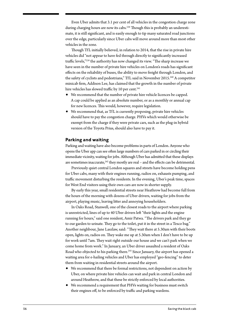Even Uber admits that 3.1 per cent of all vehicles in the congestion charge zone during charging hours are now its cabs.<sup>238</sup> Though this is probably an underestimate, it is still significant, and is easily enough to tip many saturated road junctions over the edge, particularly since Uber cabs will move around more than most other vehicles in the zone.

Though TfL initially believed, in relation to 2014, that the rise in private hire vehicles did "not appear to have fed through directly to significantly increased traffic levels,"239 the authority has now changed its view. "The sharp increase we have seen in the number of private hire vehicles on London's roads has significant effects on the reliability of buses, the ability to move freight through London, and the safety of cyclists and pedestrians," TfL said in November 2015.<sup>240</sup> A competitor minicab firm, Addison Lee, has claimed that the growth in the number of private hire vehicles has slowed traffic by 10 per cent.<sup>241</sup>

- **•** We recommend that the number of private hire vehicle licences be capped. A cap could be applied as an absolute number, or as a monthly or annual cap for new licences. This would, however, require legislation.
- We recommend that, as TfL is currently proposing, private hire vehicles should have to pay the congestion charge. PHVs which would otherwise be exempt from the charge if they were private cars, such as the plug-in hybrid version of the Toyota Prius, should also have to pay it.

#### **Parking and waiting**

Parking and waiting have also become problems in parts of London. Anyone who opens the Uber app can see often large numbers of cars parked in or circling their immediate vicinity, waiting for jobs. Although Uber has admitted that these displays are sometimes inaccurate, $242$  they mostly are real – and the effects can be detrimental.

Previously quiet central London squares and streets have become holding pens for Uber cabs, many with their engines running, radios on, exhausts pumping, and traffic movement disturbing the residents. In the evening, Uber's peak time, spaces for West End visitors using their own cars are now in shorter supply.

By early this year, small residential streets near Heathrow had become full from the hours of the morning with dozens of Uber drivers, waiting for jobs from the airport, playing music, leaving litter and annoying householders.

In Oaks Road, Stanwell, one of the closest roads to the airport where parking is unrestricted, lines of up to 40 Uber drivers left "their lights and the engine running for hours," said one resident, Amir Patwa. "The drivers park and they go to our garden to urinate. They go to the toilet, put it in the street in a Tesco bag." Another neighbour, Jane Laszlaw, said: "They wait there at 5.30am with their boots open, lights on, radios on. They wake me up at 5.30am when I don't have to be up for work until 7am. They wait right outside our house and we can't park when we come home from work." In January, an Uber driver assaulted a resident of Oaks Road who objected to his parking there.<sup>243</sup> Since January, the airport has opened a waiting area for e-hailing vehicles and Uber has employed "geo-fencing" to deter them from waiting in residential streets around the airport.

- **•** We recommend that there be formal restrictions, not dependent on action by Uber, on where private hire vehicles can wait and park in central London and around Heathrow, and that these be strictly enforced by local authorities.
- **•** We recommend a requirement that PHVs waiting for business must switch their engines off, to be enforced by traffic and parking wardens.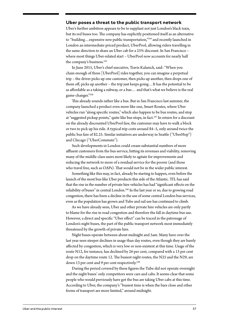#### **Uber poses a threat to the public transport network**

Uber's further ambition appears to be to supplant not just London's black taxis, but its red buses too. The company has explicitly positioned itself as an alternative to "building... expensive new public transportation,"<sup>244</sup> and recently launched in London an intermediate-priced product, UberPool, allowing riders travelling in the same direction to share an Uber cab for a 25% discount. In San Francisco – where most things Uber-related start – UberPool now accounts for nearly half the company's business.<sup>245</sup>

In June 2015, Uber's chief executive, Travis Kalanick, said: "When you chain enough of these [UberPool] rides together, you can imagine a perpetual trip – the driver picks up one customer, then picks up another, then drops one of them off, picks up another – the trip just keeps going…It has the potential to be as affordable as a taking a subway, or a bus… and that's what we believe is the real game-changer."246

This already sounds rather like a bus. But in San Francisco last summer, the company launched a product even more like one, Smart Routes, where Uber vehicles run "along specific routes," which also happen to be bus routes, and stop at "suggested pickup points," quite like bus stops, in fact.<sup>247</sup> In return for a discount on the already discounted UberPool fare, the customer may have to walk a block or two to pick up his ride. A typical trip costs around \$4–5, only around twice the public bus fare of \$2.25. Similar initiatives are underway in Seattle ("UberHop") and Chicago ("UberCommute").

Such developments in London could cream substantial numbers of more affluent customers from the bus service, hitting its revenues and viability, removing many of the middle-class users most likely to agitate for improvements and reducing the network to more of a residual service for the poorer (and those who travel free, such as OAPs). That would not be in the wider public interest.

Something like this may, in fact, already be starting to happen, even before the launch of the most bus-like Uber products this side of the Atlantic. TfL has said that the rise in the number of private hire vehicles has had "significant effects on the reliability of buses" in central London.<sup>248</sup> In the last year or so, due to growing road congestion, there has been a decline in the use of some central London bus services, even as the population has grown and Tube and rail use has continued to climb.

As we have already seen, Uber and other private hire vehicles are only partly to blame for the rise in road congestion and therefore the fall in daytime bus use. However, a direct and specific "Uber effect" can be traced in the patronage of London's night buses, the part of the public transport network most immediately threatened by the growth of private hire.

Night buses operate between about midnight and 5am. Many have over the last year seen steeper declines in usage than day routes, even though they are barely affected by congestion, which is very low or non-existent at this time. Usage of the route N12, for instance, has declined by 26 per cent, compared with a 13 per cent drop on the daytime route 12. The busiest night routes, the N25 and the N29, are down 13 per cent and 9 per cent respectively.<sup>249</sup>

During the period covered by these figures the Tube did not operate overnight and the night buses' only competitors were cars and cabs. It seems clear that some people who would previously have got the bus are taking Uber cabs at this time. According to Uber, the company's "busiest time is when the bars close and other forms of transport are more limited," around midnight.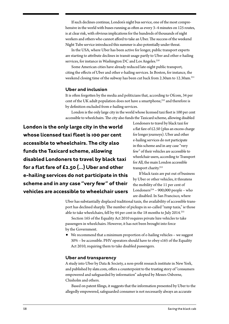If such declines continue, London's night bus service, one of the most comprehensive in the world with buses running as often as every 3–4 minutes on 125 routes, is at clear risk, with obvious implications for the hundreds of thousands of night workers and others who cannot afford to take an Uber. The success of the weekend Night Tube service introduced this summer is also potentially under threat.

In the USA, where Uber has been active for longer, public transport experts are starting to attribute declines in transit usage partly to Uber and other e-hailing services, for instance in Washington DC and Los Angeles.<sup>250</sup>

Some American cities have already reduced late-night public transport, citing the effects of Uber and other e-hailing services. In Boston, for instance, the weekend closing time of the subway has been cut back from 2.30am to 12.30am.251

#### **Uber and inclusion**

It is often forgotten by the media and politicians that, according to Ofcom, 34 per cent of the UK adult population does not have a smartphone,<sup>252</sup> and therefore is by definition excluded from e-hailing services.

London is the only large city in the world whose licensed taxi fleet is 100 per cent accessible to wheelchairs. The city also funds the Taxicard scheme, allowing disabled

**London is the only large city in the world whose licensed taxi fleet is 100 per cent accessible to wheelchairs. The city also funds the Taxicard scheme, allowing disabled Londoners to travel by black taxi for a flat fare of £2.50 (...) Uber and other e-hailing services do not participate in this scheme and in any case "very few" of their vehicles are accessible to wheelchair users** Londoners to travel by black taxi for a flat fare of £2.50 (plus an excess charge for longer journeys). Uber and other e-hailing services do not participate in this scheme and in any case "very few" of their vehicles are accessible to wheelchair users, according to Transport for All, the main London accessible transport charity.253

If black taxis are put out of business by Uber or other vehicles, it threatens the mobility of the 11 per cent of Londoners<sup>254</sup> – 900,000 people – who are disabled. In San Francisco, where

Uber has substantially displaced traditional taxis, the availability of accessible transport has declined sharply. The number of pickups in so-called "ramp taxis," ie those able to take wheelchairs, fell by 44 per cent in the 18 months to July 2014.<sup>255</sup>

Section 165 of the Equality Act 2010 requires private hire vehicles to take passengers in wheelchairs. However, it has not been brought into force by the Government.

**•** We recommend that a minimum proportion of e-hailing vehicles – we suggest 30% – be accessible. PHV operators should have to obey s165 of the Equality Act 2010, requiring them to take disabled passengers.

#### **Uber and transparency**

A study into Uber by Data & Society, a non-profit research institute in New York, and published by slate.com, offers a counterpoint to the trusting story of "consumers empowered and safeguarded by information" adopted by Messrs Osborne, Chisholm and others.

Based on patent filings, it suggests that the information presented by Uber to the allegedly empowered, safeguarded consumer is not necessarily always an accurate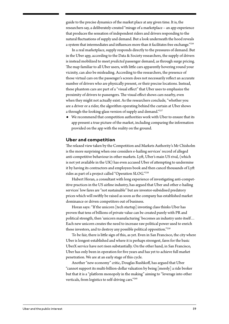guide to the precise dynamics of the market place at any given time. It is, the researchers say, a deliberately-created "mirage of a marketplace – an app experience that produces the sensation of independent riders and drivers responding to the natural fluctuations of supply and demand. But a look underneath the hood reveals a system that intermediates and influences more than it facilitates free exchange."256

In a real marketplace, supply responds directly to the pressures of demand. But in the Uber app, according to the Data & Society researchers, the supply of drivers is instead mobilized to meet *predicted* passenger demand, as through surge pricing. The map familiar to all Uber users, with little cars apparently hovering round your vicinity, can also be misleading. According to the researchers, the presence of those virtual cars on the passenger's screen does not necessarily reflect an accurate number of drivers who are physically present, or their precise locations. Instead, these phantom cars are part of a "visual effect" that Uber uses to emphasize the proximity of drivers to passengers. The visual effect shows cars nearby, even when they might not actually exist. As the researchers conclude, "whether you are a driver or a rider, the algorithm operating behind the curtain at Uber shows a through-the-looking-glass version of supply and demand."257

**•** We recommend that competition authorities work with Uber to ensure that its app present a true picture of the market, including comparing the information provided on the app with the reality on the ground.

#### **Uber and competition**

The relaxed view taken by the Competition and Markets Authority's Mr Chisholm is the more surprising when one considers e-hailing services' record of alleged anti-competitive behaviour in other markets. Lyft, Uber's main US rival, (which is not yet available in the UK) has even accused Uber of attempting to undermine it by having its contractors and employees book and then cancel thousands of Lyft rides as part of a project called "Operation SLOG."258

Hubert Horan, a consultant with long experience of investigating anti-competitive practices in the US airline industry, has argued that Uber and other e-hailing services' low fares are "not sustainable" but are investor-subsidised predatory prices which will swiftly be raised as soon as the company has established market dominance or driven competitors out of business.

Horan says: "If the unicorn [tech startup] investing class thinks Uber has proven that tens of billions of private value can be created purely with PR and political strength, then 'unicorn manufacturing' becomes an industry unto itself… Each new unicorn creates the need to increase raw political power used to enrich these investors, and to destroy any possible political opposition."<sup>259</sup>

To be fair, there is little sign of this, as yet. Even in San Francisco, the city where Uber is longest-established and where it is perhaps strongest, fares for the basic UberX service have not risen substantially. On the other hand, in San Francisco, Uber has only been in operation for five years and has yet to achieve full market penetration. We are at an early stage of this cycle.

Another "new economy" critic, Douglas Rushkoff, has argued that Uber "cannot support its multi-billion-dollar valuation by being [merely] a ride broker but that it is a "platform monopoly in the making" aiming to "leverage into other verticals, from logistics to self-driving cars."260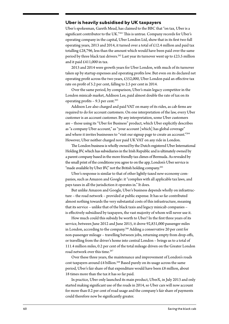#### **Uber is heavily subsidised by UK taxpayers**

Uber's spokesman, Gareth Mead, has claimed to the BBC that "on tax, Uber is a significant contributor to the UK."<sup>261</sup> This is untrue. Company records for Uber's operating company in the capital, Uber London Ltd, show that in its first two full operating years, 2013 and 2014, it turned over a total of £12.4 million and paid tax totalling £28,796, less than the amount which would have been paid over the same period by three black taxi drivers.<sup>262</sup> Last year its turnover went up to £23.5 million and it paid £411,000 in tax.

2013 and 2014 were growth years for Uber London, with much of its turnover taken up by startup expenses and operating profits low. But even on its declared net operating profit across the two years, £552,000, Uber London paid an effective tax rate on profit of 5.2 per cent, falling to 2.5 per cent in 2014.

Over the same period, by comparison, Uber's main legacy competitor in the London minicab market, Addison Lee, paid almost double the rate of tax on its operating profits  $-9.3$  per cent.<sup>263</sup>

Addison Lee also charged and paid VAT on many of its rides, as cab firms are required to do for account customers. On one interpretation of the law, every Uber customer is an account customer. By any interpretation, some Uber customers are – those using its "Uber for Business" product, which Uber explicitly describes as "a company Uber account," as "your account [which] has global coverage" and where it invites businesses to "visit our signup page to create an account."264 However, Uber neither charged nor paid UK VAT on any ride in London.

The London business is wholly owned by the Dutch-registered Uber International Holding BV, which has subsidiaries in the Irish Republic and is ultimately owned by a parent company based in the more friendly tax climes of Bermuda. As revealed by the small print of the conditions you agree to on the app, London's Uber service is "made available by Uber BV," not the British holding company.<sup>265</sup>

Uber's response is similar to that of other lightly-taxed new-economy companies, such as Amazon and Google: it "complies with all applicable tax laws, and pays taxes in all the jurisdiction it operates in." It does.

But unlike Amazon and Google, Uber's business depends wholly on infrastructure – the road network – provided at public expense. It has so far contributed almost nothing towards the very substantial costs of this infrastructure, meaning that its service – unlike that of the black taxis and legacy minicab companies – is effectively subsidised by taxpayers, the vast majority of whom will never use it.

How much could this subsidy be worth to Uber? In the first three years of its service, between June 2012 and June 2015, it drove 92,831,000 passenger miles in London, according to the company.<sup>266</sup> Adding a conservative 20 per cent for non-passenger mileage – travelling between jobs, returning empty from drop-offs, or travelling from the driver's home into central London – brings us to a total of 111.4 million miles, 0.2 per cent of the total mileage driven on the Greater London road network over this time.<sup>267</sup>

Over these three years, the maintenance and improvement of London's roads cost taxpayers around  $£4$  billion.<sup>268</sup> Based purely on its usage across the same period, Uber's fair share of that expenditure would have been £8 million, about 18 times more than the tax it has so far paid.

In practice, Uber only launched its main product, UberX, in July 2013 and only started making significant use of the roads in 2014, so Uber cars will now account for more than 0.2 per cent of road usage and the company's fair share of payments could therefore now be significantly greater.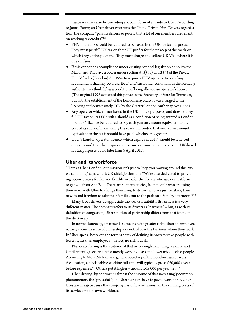Taxpayers may also be providing a second form of subsidy to Uber. According to James Farrar, an Uber driver who runs the United Private Hire Drivers organisation, the company "pays its drivers so poorly that a lot of our members are reliant on working tax credits."269

- **•** PHV operators should be required to be based in the UK for tax purposes. They must pay full UK tax on their UK profits for the upkeep of the roads on which they entirely depend. They must charge and collect UK VAT where it is due on fares.
- **•** If this cannot be accomplished under existing national legislation or policy, the Mayor and Tf L have a power under section 3  $(3)$  (b) and 3  $(4)$  of the Private Hire Vehicles (London) Act 1998 to require a PHV operator to obey "any... requirements that may be prescribed" and "such other conditions as the licencing authority may think fit" as a condition of being allowed an operator's licence. (The original 1998 act vested this power in the Secretary of State for Transport, but with the establishment of the London mayoralty it was changed to the licensing authority, namely TfL, by the Greater London Authority Act 1999.)
- **•** Any operator which is not based in the UK for tax purposes, and does not pay full UK tax on its UK profits, should as a condition of being granted a London operator's licence be required to pay each year an amount equivalent to the cost of its share of maintaining the roads in London that year, or an amount equivalent to the tax it should have paid, whichever is greater.
- **•** Uber's London operator licence, which expires in 2017, should be renewed only on condition that it agrees to pay such an amount, or to become UK-based for tax purposes by no later than 5 April 2017.

#### **Uber and its workforce**

"Here at Uber London, our mission isn't just to keep you moving around this city we call home," says Uber's UK chief, Jo Bertram. "We're also dedicated to providing opportunities for fair and flexible work for the drivers who use our platform to get you from A to B…. There are so many stories, from people who are using their work with Uber to change their lives, to drivers who are just relishing their new-found freedom to take their families out to the park on a Sunday afternoon."270

Many Uber drivers do appreciate the work's flexibility. Its fairness is a very different matter. The company refers to its drivers as "partners" – but, as with its definition of congestion, Uber's notion of partnership differs from that found in the dictionary.

In normal language, a partner is someone with greater rights than an employee, namely some measure of ownership or control over the business where they work. In Uber-speak, however, the term is a way of defining its workforce as people with fewer rights than employees – in fact, no rights at all.

Black cab driving is the epitome of that increasingly rare thing, a skilled and (until recently) secure job for mostly working-class and lower middle class people. According to Steve McNamara, general secretary of the London Taxi Drivers' Association, a black cabbie working full-time will typically gross £50,000 a year before expenses.<sup>271</sup> Others put it higher – around £65,000 per year net.<sup>272</sup>

Uber driving, by contrast, is almost the epitome of that increasingly common phenomenon, the "precariat" job. Uber's drivers have to pay to work for it. Uber fares are cheap because the company has offloaded almost all the running costs of its service onto its own workforce.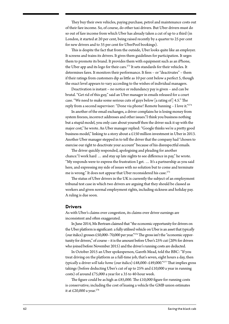They buy their own vehicles, paying purchase, petrol and maintenance costs out of their fare income. So, of course, do other taxi drivers. But Uber drivers must do so out of fare income from which Uber has already taken a cut of up to a third (in London, it started at 20 per cent, being raised recently by a quarter to 25 per cent for new drivers and to 35 per cent for UberPool bookings).

This is despite the fact that from the outside, Uber looks quite like an employer. It screens and trains its drivers. It gives them guidelines for participation. It urges them to promote its brand. It provides them with equipment such as an iPhone, the Uber app and its logo for their cars.<sup>273</sup> It sets standards for their vehicles. It determines fares. It monitors their performance. It fires – or "deactivates" – them if their ratings from customers dip as little as 10 per cent below a perfect 5, though the exact level appears to vary according to the wishes of individual managers.

Deactivation is instant – no notice or redundancy pay is given – and can be brutal. "Get rid of this guy," said an Uber manager in emails released for a court case. "We need to make some serious cuts of guys below [a rating of] 4.5." The reply from a second supervisor: "Done via phone! Remote banning – I love it."274

In another of the email exchanges, a driver complains he is losing money from system freezes, incorrect addresses and other issues."I think you business nothing but a stupid model, you only care about yourself then the driver suck it up with the major cost," he wrote. An Uber manager replied: "Google thinks we're a pretty good business model," linking to a story about a £150 million investment in Uber in 2013. Another Uber manager stepped in to tell the driver that the company had "chosen to exercise our right to deactivate your account" because of his disrespectful emails.

The driver quickly responded, apologising and pleading for another chance."I work hard … and stay up late nights to see difference in pay," he wrote. "My responds were to express the frustration I get. … It's a partnership as you said here, and expressing my side of issues with no solution but to come and terminate me is wrong." It does not appear that Uber reconsidered his case.<sup>275</sup>

The status of Uber drivers in the UK is currently the subject of an employment tribunal test case in which two drivers are arguing that they should be classed as workers and given normal employment rights, including sickness and holiday pay. A ruling is due soon.

#### **Drivers**

As with Uber's claims over congestion, its claims over driver earnings are inconsistent and often exaggerated.

In June 2014, Ms Bertram claimed that "the economic opportunity for drivers on the Uber platform is significant: a fully utilised vehicle on Uber is an asset that *typically* (our italics) grosses £50,000–70,000 per year."276 The gross isn't the "economic opportunity for drivers," of course – it is the amount before Uber's 25% cut (20% for drivers who joined before November 2015) and the driver's running costs are deducted.

In October 2015 an Uber spokesperson, Gareth Mead, told the BBC: "If you treat driving on the platform as a full-time job, that's seven, eight hours a day, then *typically* a driver *will take home* (our italics) £48,000–£49,000."277 That implies gross takings (before deducting Uber's cut of up to 25% and £10,000 a year in running costs) of around £75,000 a year for a 35 to 40-hour week.

The figure could be as high as £85,000. The £10,000 figure for running costs is conservative; including the cost of leasing a vehicle the GMB union estimates it at £20,000 a year. $278$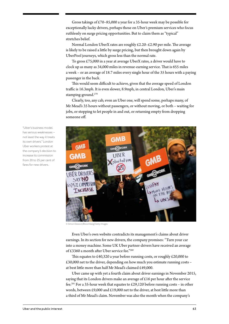Gross takings of £70–85,000 a year for a 35-hour week may be possible for exceptionally lucky drivers, perhaps those on Uber's premium services who focus ruthlessly on surge pricing opportunities. But to claim them as "typical" stretches belief.

Normal London UberX rates are roughly £2.20–£2.90 per mile. The average is likely to be raised a little by surge pricing, but then brought down again by UberPool journeys, which gross less than the normal rate.

To gross £75,000 in a year at average UberX rates, a driver would have to clock up as many as 34,000 miles in revenue-earning service. That is 655 miles a week – or an average of 18.7 miles every single hour of the 35 hours with a paying passenger in the back.

This would seem difficult to achieve, given that the average speed of London traffic is 16.3mph. It is even slower, 8.9mph, in central London, Uber's main stamping-ground.<sup>279</sup>

Clearly, too, any cab, even an Uber one, will spend some, perhaps many, of Mr Mead's 35 hours without passengers, or without moving, or both – waiting for jobs, or stopping to let people in and out, or returning empty from dropping someone off.



© Simon Dawson/Bloomberg/Getty Images

Even Uber's own website contradicts its management's claims about driver earnings. In its section for new drivers, the company promises: "Turn your car into a money machine. Some UK Uber partner-drivers have received an average of £3360 a month after Uber service fee."280

This equates to £40,320 a year before running costs, or roughly £20,000 to £30,000 net to the driver, depending on how much you estimate running costs – at best little more than half Mr Mead's claimed £49,000.

Uber came up with yet a fourth claim about driver earnings in November 2015, saying that its London drivers make an average of £16 per hour after the service fee.281 For a 35-hour week that equates to £29,120 before running costs – in other words, between £9,000 and £19,000 net to the driver, at best little more than a third of Mr Mead's claim. November was also the month when the company's

"Uber's business model has serious weaknesses – not least the way it treats its own drivers." London Uber workers protest at the company's decision to increase its commission from 20 to 25 per cent of fares for new drivers.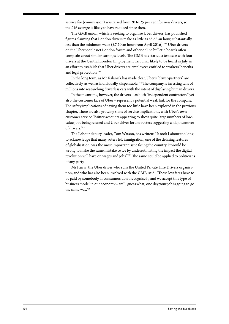service fee (commission) was raised from 20 to 25 per cent for new drivers, so the £16 average is likely to have reduced since then.

The GMB union, which is seeking to organise Uber drivers, has published figures claiming that London drivers make as little as £5.68 an hour, substantially less than the minimum wage (£7.20 an hour from April 2016).<sup>282</sup> Uber drivers on the Uberpeople.net London forum and other online bulletin boards often complain about similar earnings levels. The GMB has started a test case with four drivers at the Central London Employment Tribunal, likely to be heard in July, in an effort to establish that Uber drivers are employees entitled to workers' benefits and legal protection.283

In the long term, as Mr Kalanick has made clear, Uber's "driver-partners" are collectively, as well as individually, dispensable.284 The company is investing tens of millions into researching driverless cars with the intent of displacing human drivers.

In the meantime, however, the drivers – as both "independent contractors" yet also the customer face of Uber – represent a potential weak link for the company. The safety implications of paying them too little have been explored in the previous chapter. There are also growing signs of service implications, with Uber's own customer service Twitter accounts appearing to show quite large numbers of lowvalue jobs being refused and Uber driver forum posters suggesting a high turnover of drivers.<sup>285</sup>

The Labour deputy leader, Tom Watson, has written: "It took Labour too long to acknowledge that many voters felt immigration, one of the defining features of globalisation, was the most important issue facing the country. It would be wrong to make the same mistake twice by underestimating the impact the digital revolution will have on wages and jobs."286 The same could be applied to politicians of any party.

Mr Farrar, the Uber driver who runs the United Private Hire Drivers organisation, and who has also been involved with the GMB, said: "These low fares have to be paid by somebody. If consumers don't recognise it, and we accept this type of business model in our economy – well, guess what, one day your job is going to go the same way."287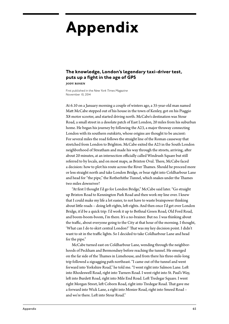# **Appendix**

# **The knowledge, London's legendary taxi-driver test, puts up a fight in the age of GPS**

jody rosen

First published in the New York Times Magazine November 10, 2014

At 6.10 on a January morning a couple of winters ago, a 35-year-old man named Matt McCabe stepped out of his house in the town of Kenley, got on his Piaggio X8 motor scooter, and started driving north. McCabe's destination was Stour Road, a small street in a desolate patch of East London, 20 miles from his suburban home. He began his journey by following the A23, a major thruway connecting London with its southern outskirts, whose origins are thought to be ancient: For several miles the road follows the straight line of the Roman causeway that stretched from London to Brighton. McCabe exited the A23 in the South London neighborhood of Streatham and made his way through the streets, arriving, after about 20 minutes, at an intersection officially called Windrush Square but still referred to by locals, and on most maps, as Brixton Oval. There, McCabe faced a decision: how to plot his route across the River Thames. Should he proceed more or less straight north and take London Bridge, or bear right into Coldharbour Lane and head for "the pipe," the Rotherhithe Tunnel, which snakes under the Thames two miles downriver?

"At first I thought I'd go for London Bridge," McCabe said later. "Go straight up Brixton Road to Kennington Park Road and then work my line over. I knew that I could make my life a lot easier, to not have to waste brainpower thinking about little roads – doing left-rights, left-rights. And then once I'd get over London Bridge, it'd be a quick trip: I'd work it up to Bethnal Green Road, Old Ford Road, and boom-boom-boom, I'm there. It's a no-brainer. But no. I was thinking about the traffic, about everyone going to the City at that hour of the morning. I thought, 'What can I do to skirt central London?' That was my key decision point. I didn't want to sit in the traffic lights. So I decided to take Coldharbour Lane and head for the pipe."

McCabe turned east on Coldharbour Lane, wending through the neighborhoods of Peckham and Bermondsey before reaching the tunnel. He emerged on the far side of the Thames in Limehouse, and from there his three-mile-long trip followed a zigzagging path northeast. "I came out of the tunnel and went forward into Yorkshire Road," he told me. "I went right into Salmon Lane. Left into Rhodeswell Road, right into Turners Road. I went right into St. Paul's Way, left into Burdett Road, right into Mile End Road. Left Tredegar Square. I went right Morgan Street, left Coborn Road, right into Tredegar Road. That gave me a forward into Wick Lane, a right into Monier Road, right into Smeed Road – and we're there. Left into Stour Road."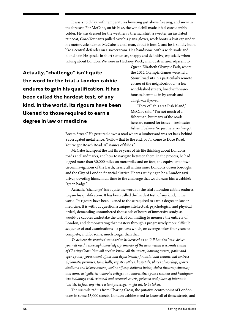It was a cold day, with temperatures hovering just above freezing, and snow in the forecast. For McCabe, on his bike, the wind chill made it feel considerably colder. He was dressed for the weather: a thermal shirt, a sweater, an insulated raincoat, Gore-Tex pants pulled over his jeans, gloves, work boots, a knit cap under his motorcycle helmet. McCabe is a tall man, about 6-foot-2, and he is solidly built, like a central defender on a soccer team. He's handsome, with a wide smile and blond hair. He speaks in short sentences, snappy and definitive, especially when talking about London. We were in Hackney Wick, an industrial area adjacent to

**Actually, "challenge" isn't quite the word for the trial a London cabbie endures to gain his qualification. It has been called the hardest test, of any kind, in the world. Its rigours have been likened to those required to earn a degree in law or medicine**

Queen Elizabeth Olympic Park, where the 2012 Olympic Games were held. Stour Road sits in a particularly remote corner of the neighborhood – a few wind-lashed streets, lined with warehouses, hemmed in by canals and a highway flyover.

"They call this area Fish Island," McCabe said. "I'm not much of a fisherman, but many of the roads here are named for fishes – freshwater fishes, I believe. So just here you've got

Bream Street." He gestured down a road where a lumberyard was set back behind a corrugated metal fence. "Follow that to the end, you'll come to Dace Road. You've got Roach Road. All names of fishes."

McCabe had spent the last three years of his life thinking about London's roads and landmarks, and how to navigate between them. In the process, he had logged more than 50,000 miles on motorbike and on foot, the equivalent of two circumnavigations of the Earth, nearly all within inner London's dozen boroughs and the City of London financial district. He was studying to be a London taxi driver, devoting himself full-time to the challenge that would earn him a cabbie's "green badge."

Actually, "challenge" isn't quite the word for the trial a London cabbie endures to gain his qualification. It has been called the hardest test, of any kind, in the world. Its rigours have been likened to those required to earn a degree in law or medicine. It is without question a unique intellectual, psychological and physical ordeal, demanding unnumbered thousands of hours of immersive study, as would-be cabbies undertake the task of committing to memory the entirety of London, and demonstrating that mastery through a progressively more difficult sequence of oral examinations – a process which, on average, takes four years to complete, and for some, much longer than that.

*To achieve the required standard to be licensed as an "All London" taxi driver you will need a thorough knowledge, primarily, of the area within a six-mile radius of Charing Cross. You will need to know: all the streets; housing estates; parks and open spaces; government offices and departments; financial and commercial centres; diplomatic premises; town halls; registry offices; hospitals; places of worship; sports stadiums and leisure centres; airline offices; stations; hotels; clubs; theatres; cinemas; museums; art galleries; schools; colleges and universities; police stations and headquarters buildings; civil, criminal and coroner's courts; prisons; and places of interest to tourists. In fact, anywhere a taxi passenger might ask to be taken.*

The six-mile radius from Charing Cross, the putative centre-point of London, takes in some 25,000 streets. London cabbies need to know all of those streets, and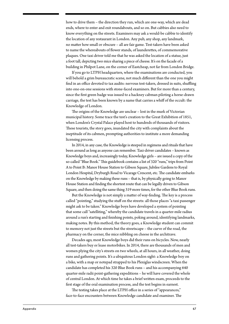how to drive them – the direction they run, which are one-way, which are dead ends, where to enter and exit roundabouts, and so on. But cabbies also need to know everything on the streets. Examiners may ask a would-be cabbie to identify the location of any restaurant in London. Any pub, any shop, any landmark, no matter how small or obscure – all are fair game. Test-takers have been asked to name the whereabouts of flower stands, of launderettes, of commemorative plaques. One taxi driver told me that he was asked the location of a statue, just a foot tall, depicting two mice sharing a piece of cheese. It's on the facade of a building in Philpot Lane, on the corner of Eastcheap, not far from London Bridge.

If you go to LTPH headquarters, where the examinations are conducted, you will behold a grim bureaucratic scene, not much different than the one you might find in an office devoted to tax audits: nervous test-takers, dressed in suits, shuffling into one-on-one sessions with stone-faced examiners. But for more than a century, since the first green badge was issued to a hackney cabman piloting a horse-drawn carriage, the test has been known by a name that carries a whiff of the occult: the Knowledge of London.

The origins of the Knowledge are unclear – lost in the murk of Victorian municipal history. Some trace the test's creation to the Great Exhibition of 1851, when London's Crystal Palace played host to hundreds of thousands of visitors. These tourists, the story goes, inundated the city with complaints about the ineptitude of its cabmen, prompting authorities to institute a more demanding licensing process.

In 2014, in any case, the Knowledge is steeped in regimens and rituals that have been around as long as anyone can remember. Taxi-driver candidates – known as Knowledge boys and, increasingly today, Knowledge girls – are issued a copy of the so-called "Blue Book." This guidebook contains a list of 320 "runs," trips from Point A to Point B: Manor House Station to Gibson Square, Jubilee Gardens to Royal London Hospital, Dryburgh Road to Vicarage Crescent, etc. The candidate embarks on the Knowledge by making these runs – that is, by physically going to Manor House Station and finding the shortest route that can be legally driven to Gibson Square, and then doing the same thing 319 more times, for the other Blue Book runs.

But the Knowledge is not simply a matter of way-finding. The key is a process called "pointing," studying the stuff on the streets: all those places "a taxi passenger might ask to be taken." Knowledge boys have developed a system of pointing that some call "satelliting," whereby the candidate travels in a quarter-mile radius around a run's starting and finishing points, poking around, identifying landmarks, making notes. By this method, the theory goes, a Knowledge student can commit to memory not just the streets but the streetscape – the curve of the road, the pharmacy on the corner, the mice nibbling on cheese in the architrave.

Decades ago, most Knowledge boys did their runs on bicycles. Now, nearly all test-takers buy or lease motorbikes. In 2014, there are thousands of men and women plying the city's streets on two wheels, at all hours, in all weather, doing runs and gathering points. It's a ubiquitous London sight: a Knowledge boy on a bike, with a map or notepad strapped to his Plexiglas windscreen. When the candidate has completed his 320 Blue Book runs – and his accompanying 640 quarter-mile radii point-gathering expeditions – he will have covered the whole of central London. At which time he takes a brief written exam, proceeds to the first stage of the oral examination process, and the test begins in earnest.

The testing takes place at the LTPH office in a series of "appearances," face-to-face encounters between Knowledge candidate and examiner. The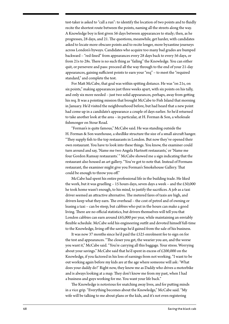test-taker is asked to "call a run": to identify the location of two points and to fluidly recite the shortest route between the points, naming all the streets along the way. A Knowledge boy is first given 56 days between appearances to study; then, as he progresses, 28 days, and 21. The questions, meanwhile, get harder, with candidates asked to locate more obscure points and to recite longer, more byzantine journeys across London's byways. Candidates who acquire too many bad grades are bumped backward – "red-lined" from appearances every 28 days back to every 56 days, or from 21s to 28s. There is no such thing as "failing" the Knowledge. You can either quit, or persevere and pass: proceed all the way through to the end of your 21-day appearances, gaining sufficient points to earn your "req" – to meet the "required standard," and complete the test.

For Matt McCabe, that goal was within spitting distance. He was "on 21s, on six points," making appearances just three weeks apart, with six points on his tally, and only six more needed – just two solid appearances, perhaps, away from getting his req. It was a pointing mission that brought McCabe to Fish Island that morning in January. He'd visited the neighbourhood before, but had heard that a new point had come up in a candidate's appearance a couple of days earlier. So he'd returned to take another look at the area – in particular, at H. Forman & Son, a wholesale fishmonger on Stour Road.

"Forman's is quite famous," McCabe said. He was standing outside the H. Forman & Son warehouse, a shedlike structure the size of a small aircraft hanger. "They supply fish to the top restaurants in London. But now they've opened their own restaurant. You have to look into these things. You know, the examiner could turn around and say, 'Name me two Angela Hartnett restaurants,' or 'Name me four Gordon Ramsay restaurants.'" McCabe showed me a sign indicating that the restaurant also housed an art gallery. "You've got to note that. Instead of Formans restaurant, the examiner might give you Forman's Smokehouse Gallery. That could be enough to throw you off."

McCabe had spent his entire professional life in the building trade. He liked the work, but it was gruelling  $-15$  hours days, seven days a week – and the £50,000 he took home wasn't enough, to his mind, to justify the sacrifices. A job as a taxi driver seemed an attractive alternative. The metered fares of taxis are high, and drivers keep what they earn. The overhead – the cost of petrol and of owning or leasing a taxi – can be steep, but cabbies who put in the hours can make a good living. There are no official statistics, but drivers themselves will tell you that London cabbies can earn around £65,000 per year, while maintaining an enviably flexible schedule. McCabe sold his engineering outfit and devoted himself full-time to the Knowledge, living off the savings he'd gained from the sale of his business.

It was now 37 months since he'd paid the £525 enrolment fee to sign on for the test and appearances. "The closer you get, the wearier you are, and the worse you want it," McCabe said. "You're carrying all this baggage. Your stress. Worrying about your savings." McCabe said that he'd spent in excess of £200,000 on the Knowledge, if you factored in his loss of earnings from not working. "I want to be out working again before my kids are at the age where someone will ask: 'What does your daddy do?' Right now, they know me as Daddy who drives a motorbike and is always looking at a map. They don't know me from my past, when I had a business and guys working for me. You want your life back."

The Knowledge is notorious for snatching away lives, and for putting minds in a vice grip. "Everything becomes about the Knowledge," McCabe said. "My wife will be talking to me about plans or the kids, and it's not even registering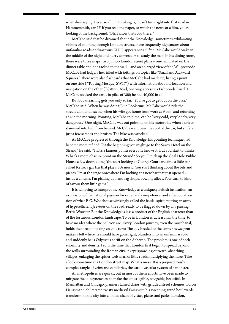what she's saying. Because all I'm thinking is, 'I can't turn right into that road in Hammersmith, can I?' If you read the paper, or watch the news or a film, you're looking at the background. 'Oh, I know that road there.'"

McCabe said that he dreamed about the Knowledge: sometimes exhilarating visions of zooming through London streets, more frequently nightmares about unfamiliar roads or disastrous LTPH appearances. Often, McCabe would wake in the middle of the night and hurry downstairs to study the map. In his dining room, there were three maps: two jumbo London street plans – one laminated on the dinner table and one tacked to the wall – and an enlarged view of the W1 postcode. McCabe had ledgers he'd filled with jottings on topics like "Small and Awkward Squares." There were also flashcards that McCabe had made up, listing a point on one side ("Tooting Mosque, SW17″) with information about its location and navigation on the other ("Gatton Road, one way, access via Fishponds Road"). McCabe stacked the cards in piles of 300; he had 40,000 in all.

But book-learning gets you only so far. "You've got to get out on the bike," McCabe said. When he was doing Blue Book runs, McCabe would ride the streets all night, leaving when his wife got home from work at 9 p.m. and returning at 4 in the morning. Pointing, McCabe told me, can be "very cold, very lonely, very dangerous." One night, McCabe was out pointing on his motorbike when a driver slammed into him from behind. McCabe went over the roof of the car, but suffered just a few scrapes and bruises. The bike was wrecked.

As McCabe progressed through the Knowledge, his pointing technique had become more refined. "At the beginning you might go to the Savoy Hotel on the Strand," he said. "That's a famous point; everyone knows it. But you start to think: What's a more obscure point on the Strand? So you'll pick up the Coal Hole Public House a few doors along. You start looking at George Court and find a little bar called Retro, a gay bar that plays '80s music. You start thinking about the bits and pieces. I'm at the stage now where I'm looking at a new bar that just opened – inside a cinema. I'm picking up handbag shops, bowling alleys. You learn to kind of savour them little gems."

It is tempting to interpret the Knowledge as a uniquely British institution: an expression of the national passion for order and competence, and a democratization of what P. G. Wodehouse winkingly called the feudal spirit, putting an army of hyperefficient Jeeveses on the road, ready to be flagged down by any passing Bertie Wooster. But the Knowledge is less a product of the English character than of the torturous London landscape. To be in London is, at least half the time, to have no idea where the hell you are. Every London journey, even the most banal, holds the threat of taking an epic turn: The guy headed to the corner newsagent makes a left where he should have gone right, blunders into an unfamiliar road, and suddenly he is Odysseus adrift on the Acheron. The problem is one of both enormity and density. From the time that London first began to spread beyond the walls surrounding the Roman city, it kept sprawling outward, absorbing villages, enlarging the spider-web snarl of little roads, multiplying the maze. Take a look sometime at a London street map. What a mess: It is a preposterously complex tangle of veins and capillaries, the cardiovascular system of a monster.

All metropolises are quirky, but in most of them efforts have been made to mitigate the idiosyncrasies, to make the cities legible, navigable, beautiful. In Manhattan and Chicago, planners tamed chaos with gridded street schemes; Baron Haussmann obliterated twisty medieval Paris with his sweeping grand boulevards, transforming the city into a linked chain of vistas, plazas and parks. London,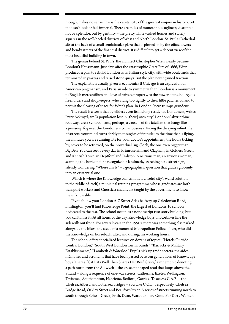though, makes no sense. It was the capital city of the greatest empire in history, yet it doesn't look or feel imperial. There are miles of monotonous ugliness, disrupted not by splendor, but by gentility – the pretty whitewashed homes and stately squares in the well-heeled districts of West and North London. St. Paul's Cathedral sits at the back of a small semicircular plaza that is pinned-in by the office towers and bendy streets of the financial district. It is difficult to get a decent view of the most beautiful building in town.

The genius behind St. Paul's, the architect Christopher Wren, nearly became London's Haussmann. Just days after the catastrophic Great Fire of 1666, Wren produced a plan to rebuild London as an Italian-style city, with wide boulevards that terminated in piazzas and raised stone quays. But the plan never gained traction.

The explanation usually given is economic: If Chicago is an expression of American pragmatism, and Paris an ode to symmetry, then London is a monument to English mercantilism and love of private property, to the power of the bourgeois freeholders and shopkeepers, who clung too tightly to their little patches of land to permit the clearing of space for Wren's plan. In London, lucre trumps grandeur.

The result is a town that bewilders even its lifelong residents. Londoners, writes Peter Ackroyd, are "a population lost in [their] own city." London's labyrinthine roadways are a symbol – and, perhaps, a cause – of the fatalism that hangs like a pea-soup fog over the Londoner's consciousness. Facing the dizzying infinitude of streets, your mind turns darkly to thoughts of finitude: to the time that is flying, the minutes you are running late for your doctor's appointment, the hours ticking by, never to be retrieved, on the proverbial Big Clock, the one even bigger than Big Ben. You can see it every day in Primrose Hill and Clapham, in Golders Green and Kentish Town, in Deptford and Dalston. A nervous man, an anxious woman, scanning the horizon for a recognizable landmark, searching for a street sign, silently wondering "Where am I?" – a geographical question that grades gloomily into an existential one.

Which is where the Knowledge comes in. It is a weird city's weird solution to the riddle of itself, a municipal training programme whose graduates are both transport workers and Gnostics: chauffeurs taught by the government to know the unknowable.

If you follow your London A-Z Street Atlas halfway up Caledonian Road, in Islington, you'll find Knowledge Point, the largest of London's 10 schools dedicated to the test. The school occupies a nondescript two-story building, but you can't miss it: At all hours of the day, Knowledge boys' motorbikes line the sidewalk out front. For several years in the 1990s, there was something else parked alongside the bikes: the steed of a mounted Metropolitan Police officer, who did the Knowledge on horseback, after, and during, his working hours.

The school offers specialized lectures on dozens of topics: "Hotels Outside Central London," "South West London Turnarounds," "Barracks & Military Establishments," "Lambeth & Waterloo." Pupils pick up trade secrets, the aidesmémoires and acronyms that have been passed between generations of Knowledge boys. There's "Cat Eats Well Then Shares Her Beef Gravy," a mnemonic denoting a path north from the Aldwych – the crescent-shaped road that loops above the Strand – along a sequence of one-way streets: Catherine, Exeter, Wellington, Tavistock, Southampton, Henrietta, Bedford, Garrick. To access C.A.B. – the Chelsea, Albert, and Battersea bridges – you take C.O.B.: respectively, Chelsea Bridge Road, Oakley Street and Beaufort Street. A series of streets running north to south through Soho – Greek, Frith, Dean, Wardour – are Good For Dirty Women.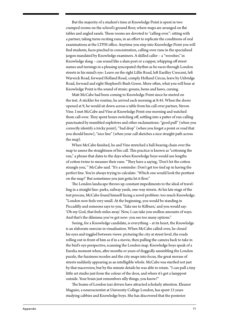But the majority of a student's time at Knowledge Point is spent in two cramped rooms on the school's ground floor, where maps are arranged on flat tables and angled easels. These rooms are devoted to "calling-over": sitting with a partner, taking turns reciting runs, in an effort to replicate the conditions of oral examinations at the LTPH office. Anytime you step into Knowledge Point you will find students, faces pinched in concentration, calling-over runs in the specialized jargon mandated by Knowledge examiners. A skilled caller – a "woosher," in Knowledge slang – can sound like a slam poet or a rapper, whipping off street names and turnings in a pleasing syncopated rhythm as he races through London streets in his mind's eye: Leave on the right Lillie Road, left Eardley Crescent, left Warwick Road, forward Holland Road, comply Holland Circus, leave by Uxbridge Road, forward and right Shepherd's Bush Green. More often, what you will hear at Knowledge Point is the sound of strain: groans, hems and haws, cursing.

Matt McCabe had been coming to Knowledge Point since he started on the test. A stickler for routine, he arrived each morning at 8:45. When the doors opened at 9, he would sit down across a table from his call-over partner, Steven Vine. I met McCabe and Vine at Knowledge Point one morning and watched them call-over. They spent hours switching off, settling into a patter of run-calling punctuated by mumbled expletives and other exclamations: "good pull" (when you correctly identify a tricky point), "bad drop" (when you forget a point or road that you should know), "nice line" (when your call sketches a nice straight path across the map).

When McCabe finished, he and Vine stretched a ball-bearing chain over the map to assess the straightness of his call. This practice is known as "cottoning the run," a phrase that dates to the days when Knowledge boys would use lengths of cotton twine to measure their runs. "They have a saying, 'Don't let the cotton strangle you,'" McCabe said. "It's a reminder: Don't get too tied up in having the perfect line. You're always trying to calculate: 'Which one would look the prettiest on the map?' But sometimes you just gotta let it flow."

The London landscape throws up constant impediments to the ideal of travelling in a straight line: parks, railway yards, one-way streets. At his late stage of the test process, McCabe found himself facing a novel problem: too much Knowledge. "London now feels very small. At the beginning, you would be standing in Piccadilly and someone says to you, 'Take me to Kilburn,' and you would say: 'Oh my God, that feels miles away.' Now, I can take you endless amounts of ways. And that's the dilemma you've got now: you see too many options."

Seeing, for a Knowledge candidate, is everything – at its heart, the Knowledge is an elaborate exercise in visualisation. When McCabe called-over, he closed his eyes and toggled between views: picturing the city at street level, the roads rolling out in front of him as if in a movie, then pulling the camera back to take in the bird's eye perspective, scanning the London map. Knowledge boys speak of a Eureka moment when, after months or years of doggedly assembling the London puzzle, the fuzziness recedes and the city snaps into focus, the great morass of streets suddenly appearing as an intelligible whole. McCabe was startled not just by that macroview, but by the minute details he was able to retain. "I can pull a tiny little art studio just from the colour of the door, and where it's got a lamppost outside. Your brain just remembers silly things, you know?"

The brains of London taxi drivers have attracted scholarly attention. Eleanor Maguire, a neuroscientist at University College London, has spent 15 years studying cabbies and Knowledge boys. She has discovered that the posterior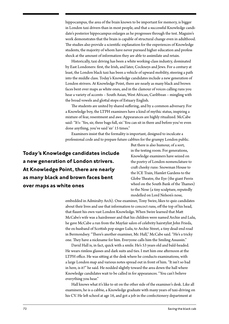hippocampus, the area of the brain known to be important for memory, is bigger in London taxi drivers than in most people, and that a successful Knowledge candidate's posterior hippocampus enlarges as he progresses through the test. Maguire's work demonstrates that the brain is capable of structural change even in adulthood. The studies also provide a scientific explanation for the experiences of Knowledge students, the majority of whom have never pursued higher education and profess shock at the amount of information they are able to assimilate and retain.

Historically, taxi driving has been a white working-class industry, dominated by East Londoners: first, the Irish, and later, Cockneys and Jews. For a century at least, the London black taxi has been a vehicle of upward mobility, steering a path into the middle class. Today's Knowledge candidates include a new generation of London strivers. At Knowledge Point, there are nearly as many black and brown faces bent over maps as white ones, and in the clamour of voices calling runs you hear a variety of accents – South Asian, West African, Caribbean – mingling with the broad vowels and glottal stops of Estuary English.

The students are united by shared suffering, and by a common adversary. For a Knowledge boy, the LTPH examiners have a kind of mythic status, inspiring a mixture of fear, resentment and awe. Appearances are highly ritualized. McCabe said: "It's: 'Yes, sir, three bags full, sir.' You can sit in there and before you've even done anything, you've said 'sir' 15 times."

Examiners insist that the formality is important, designed to inculcate a professional code and to prepare future cabbies for the grumpy London public.

**Today's Knowledge candidates include a new generation of London strivers. At Knowledge Point, there are nearly as many black and brown faces bent over maps as white ones**

But there is also humour, of a sort, in the testing room. For generations, Knowledge examiners have seized on the poetry of London nomenclature to craft cheeky runs: Snowman House to the ICE Train, Hamlet Gardens to the Globe Theatre, the Eye (the giant Ferris wheel on the South Bank of the Thames) to the Nose (a tiny sculpture, reputedly modelled on Lord Nelson's nose,

embedded in Admiralty Arch). One examiner, Tony Swire, likes to quiz candidates about their lives and use that information to concoct runs, off the top of his head, that flaunt his own vast London Knowledge. When Swire learned that Matt McCabe's wife was a hairdresser and that his children were named Archie and Lulu, he gave McCabe a run from the Mayfair salon of celebrity hairstylist John Frieda, the ex-husband of Scottish pop singer Lulu, to Archie Street, a tiny dead-end road in Bermondsey. "There's another examiner, Mr. Hall," McCabe said. "He's a tricky one. They have a nickname for him. Everyone calls him the Smiling Assassin."

David Hall is, in fact, quick with a smile. He's 53 years old and bald-headed. He wears rimless glasses and dark suits and ties. I met him one afternoon at the LTPH office. He was sitting at the desk where he conducts examinations, with a large London map and various notes spread out in front of him. "It isn't so bad in here, is it?" he said. He nodded slightly toward the area down the hall where Knowledge candidates wait to be called in for appearances. "You can't believe everything you hear."

Hall knows what it's like to sit on the other side of the examiner's desk. Like all examiners, he is a cabbie, a Knowledge graduate with many years of taxi-driving on his CV. He left school at age 16, and got a job in the confectionery department at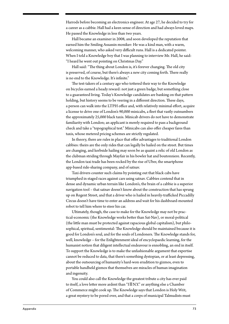Harrods before becoming an electronics engineer. At age 27, he decided to try for a career as a cabbie. Hall had a keen sense of direction and had always loved maps. He passed the Knowledge in less than two years.

Hall became an examiner in 2008, and soon developed the reputation that earned him the Smiling Assassin moniker: He was a kind man, with a warm, welcoming manner, who asked very difficult runs. Hall is a dedicated pointer. When I told a Knowledge boy that I was planning to interview Mr. Hall, he said: "I heard he went out pointing on Christmas Day."

Hall said: "The thing about London is, it's forever changing. The old city is preserved, of course, but there's always a new city coming forth. There really is no end to the Knowledge. It's infinite."

The test-takers of a century ago who tottered their way to the Knowledge on bicycles earned a heady reward: not just a green badge, but something close to a guaranteed living. Today's Knowledge candidates are banking on that pattern holding, but history seems to be veering in a different direction. These days, a person can walk into the LTPH office and, with relatively minimal effort, acquire a license to drive one of London's 90,000 minicabs, a fleet that vastly outnumbers the approximately 25,000 black taxis. Minicab drivers do not have to demonstrate familiarity with London; an applicant is merely required to pass a background check and take a "topographical test." Minicabs can also offer cheaper fares than taxis, whose metered pricing schemes are strictly regulated.

In theory, there are rules in place that offer advantages to traditional London cabbies: theirs are the only rides that can legally be hailed on the street. But times are changing, and kerbside hailing may soon be as quaint a relic of old London as the clubman striding through Mayfair in his bowler hat and boutonniere. Recently, the London taxi trade has been rocked by the rise of Uber, the smartphone app-based ride-sharing company, and of satnav.

Taxi drivers counter such claims by pointing out that black cabs have triumphed in staged races against cars using satnav. Cabbies contend that in dense and dynamic urban terrain like London's, the brain of a cabbie is a superior navigation tool – that satnav doesn't know about the construction that has sprung up on Regent Street, and that a driver who is hailed in heavily-trafficked Piccadilly Circus doesn't have time to enter an address and wait for his dashboard-mounted robot to tell him where to steer his car.

Ultimately, though, the case to make for the Knowledge may not be practical-economic (the Knowledge works better than Sat-Nav), or moral-political (the little man must be protected against rapacious global capitalism), but philosophical, spiritual, sentimental: The Knowledge should be maintained because it is good for London's soul, and for the souls of Londoners. The Knowledge stands for, well, knowledge – for the Enlightenment ideal of encyclopaedic learning, for the humanist notion that diligent intellectual endeavour is ennobling, an end in itself. To support the Knowledge is to make the unfashionable argument that expertise cannot be reduced to data, that there's something dystopian, or at least depressing, about the outsourcing of humanity's hard-won erudition to gizmos, even to portable handheld gizmos that themselves are miracles of human imagination and ingenuity.

You could also call the Knowledge the greatest tribute a city has ever paid to itself, a love letter more ardent than "I N.Y." or anything else a Chamber of Commerce might cook up. The Knowledge says that London is Holy Writ, a great mystery to be pored over, and that a corps of municipal Talmudists must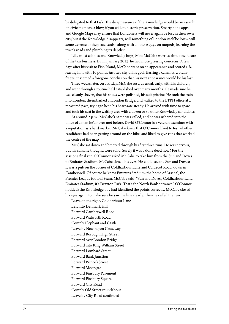be delegated to that task. The disappearance of the Knowledge would be an assault on civic memory, a blow, if you will, to historic preservation. Smartphone apps and Google Maps may ensure that Londoners will never again be lost in their own city, but if the Knowledge disappears, will something of London itself be lost – will some essence of the place vanish along with all those guys on mopeds, learning the town's roads and plumbing its depths?

Like most cabbies and Knowledge boys, Matt McCabe worries about the future of the taxi business. But in January 2013, he had more pressing concerns. A few days after his visit to Fish Island, McCabe went on an appearance and scored a B, leaving him with 10 points, just two shy of his goal. Barring a calamity, a brainfreeze, it seemed a foregone conclusion that his next appearance would be his last.

Three weeks later, on a Friday, McCabe rose, as usual, early, with his children, and went through a routine he'd established over many months. He made sure he was cleanly shaven, that his shoes were polished, his suit pristine. He took the train into London, disembarked at London Bridge, and walked to the LTPH office at a measured pace, trying to keep his heart-rate steady. He arrived with time to spare and took his seat in the waiting area with a dozen or so other Knowledge candidates.

At around 2 p.m., McCabe's name was called, and he was ushered into the office of a man he'd never met before. David O'Connor is a veteran examiner with a reputation as a hard marker. McCabe knew that O'Connor liked to test whether candidates had been getting around on the bike, and liked to give runs that worked the centre of the map.

McCabe sat down and breezed through his first three runs. He was nervous, but his calls, he thought, were solid. Surely it was a done deed now? For the session's final run, O'Connor asked McCabe to take him from the Sun and Doves to Emirates Stadium. McCabe closed his eyes. He could see the Sun and Doves: It was a pub on the corner of Coldharbour Lane and Caldecot Road, down in Camberwell. Of course he knew Emirates Stadium, the home of Arsenal, the Premier League football team. McCabe said: "Sun and Doves, Coldharbour Lane. Emirates Stadium, it's Drayton Park. That's the North Bank entrance." O'Connor nodded: the Knowledge boy had identified the points correctly. McCabe closed his eyes again, to make sure he saw the line clearly. Then he called the run:

Leave on the right, Coldharbour Lane Left into Denmark Hill Forward Camberwell Road Forward Walworth Road Comply Elephant and Castle Leave by Newington Causeway Forward Borough High Street Forward over London Bridge Forward into King William Street Forward Lombard Street Forward Bank Junction Forward Prince's Street Forward Moorgate Forward Finsbury Pavement Forward Finsbury Square Forward City Road Comply Old Street roundabout Leave by City Road continued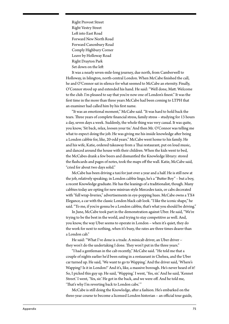Right Provost Street Right Vestry Street Left into East Road Forward New North Road Forward Canonbury Road Comply Highbury Corner Leave by Holloway Road Right Drayton Park Set down on the left

It was a nearly seven-mile-long journey, due north, from Camberwell to Holloway, in Islington, north-central London. When McCabe finished the call, he and O'Connor sat in silence for what seemed to McCabe an eternity. Finally, O'Connor stood up and extended his hand. He said: "Well done, Matt. Welcome to the club. I'm pleased to say that you're now one of London's finest." It was the first time in the more than three years McCabe had been coming to LTPH that an examiner had called him by his first name.

"It was an emotional moment," McCabe said. "It was hard to hold back the tears. Three years of complete financial stress, family stress – studying for 13 hours a day, seven days a week. Suddenly, the whole thing was very casual. It was quite, you know, 'Sit back, relax, loosen your tie.' And then Mr. O'Connor was telling me what to expect doing the job. He was giving me his inside knowledge after being a London cabbie for, like, 20-odd years." McCabe went home to his family. He and his wife, Katie, ordered takeaway from a Thai restaurant, put on loud music, and danced around the house with their children. When the kids went to bed, the McCabes drank a few beers and dismantled the Knowledge library: stored the flashcards and pages of notes, took the maps off the wall. Katie, McCabe said, "cried for about two days solid."

McCabe has been driving a taxi for just over a year and a half. He is still new at the job, relatively speaking; in London cabbie lingo, he's a "Butter Boy" – but a boy, a recent Knowledge graduate. He has the leanings of a traditionalist, though. Many cabbies today are opting for new minivan-style Mercedes taxis, or cabs decorated with "full wrap-liveries," advertisements in eye-popping hues. McCabe owns a TX4 Elegance, a car with the classic London black cab look. "I like the iconic shape," he said. "To me, if you're gonna be a London cabbie, that's what you should be driving."

In June, McCabe took part in the demonstration against Uber. He said, "We're trying to be the best in the world, and trying to stay competitive as well. And, you know, the way Uber seems to operate in London – when it's quiet, they do the work for next to nothing, when it's busy, the rates are three times dearer than a London cab."

He said: "What I've done is a trade. A minicab driver, an Uber driver – they won't do the undertaking I done. They won't put in the three years."

"I had a gentleman in the cab recently," McCabe said. "He told me that a couple of nights earlier he'd been eating in a restaurant in Chelsea, and the Uber car turned up. He said, 'We want to go to Wapping.' And the driver said, 'Where's Wapping? Is it in London?' And it's, like, a massive borough. He's never heard of it! So, I picked this guy up. He said, 'Wapping.' I went, 'Yes, sir.' And he said, 'Kennet Street.' I went, 'Yes, sir.' He got in the back, and we were off. And he told me, 'That's why I'm reverting back to London cabs.'"

McCabe is still doing the Knowledge, after a fashion. He's embarked on the three-year course to become a licensed London historian – an official tour guide,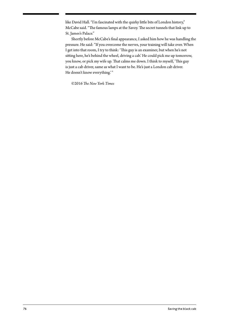like David Hall. "I'm fascinated with the quirky little bits of London history," McCabe said. "The famous lamps at the Savoy. The secret tunnels that link up to St. James's Palace."

Shortly before McCabe's final appearance, I asked him how he was handling the pressure. He said: "If you overcome the nerves, your training will take over. When I get into that room, I try to think: 'This guy is an examiner, but when he's not sitting here, he's behind the wheel, driving a cab.' He could pick me up tomorrow, you know, or pick my wife up. That calms me down. I think to myself, 'This guy is just a cab driver, same as what I want to be. He's just a London cab driver. He doesn't know everything.'"

©2016 *The New York Times*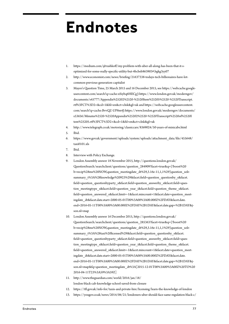## **Endnotes**

- 1. https://medium.com/@rushkoff/my-problem-with-uber-all-along-has-been-that-it-soptimized-for-some-really-specific-utility-but-4bcbeb863903#.bgkg3yy07
- 2. http://www.economist.com/news/briefing/21637338-todays-tech-billionaires-have-lotcommon-previous-generation-capitalist
- 3. Mayor's Question Time, 25 March 2015 and 16 December 2015, see https://webcache.googleusercontent.com/search?q=cache:xSiybq6HECg J:https://www.london.gov.uk/moderngov/ documents/s45777/Appendix%25202%2520-%2520Item%25205%2520-%2520Transcript. rtf%3FCT%3D2+&cd=1&hl=en&ct=clnk&gl=uk and https://webcache.googleusercontent. com/search?q=cache:BvvQZ-UP8m4J:https://www.london.gov.uk/moderngov/documents/ s53656/Minutes%2520-%2520Appendix%25202%2520-%2520Transcript%2520of%2520I tem%25205.rtf%3FCT%3D2+&cd=1&hl=en&ct=clnk&gl=uk
- 4. http://www.telegraph.co.uk/motoring/classiccars/8369024/50-years-of-minicabs.html
- 5. Ibid.
- 6. https://www.gov.uk/government/uploads/system/uploads/attachment\_data/file/455648/ taxi0101.xls
- 7. Ibid.
- 8. Interview with Policy Exchange.
- 9. London Assembly answer 18 November 2015, http://questions.london.gov.uk/ QuestionSearch/searchclient/questions/question\_284909?facet=true&q={!boost%20 b=recip%28ms%28NOW,question\_meetingdate\_dt%29,3.16e-11,1,1%29}question\_solrsummary\_t%3A%28knowledge%20923%29&facet.field=question\_questionby\_s&facet. field=question\_questionbyparty\_s&facet.field=question\_answerby\_s&facet.field=question meetingtype s&facet.field=question year i&facet.field=question theme s&facet. field=question\_answered\_s&facet.limit=-1&facet.mincount=1&facet.date=question\_meetingdate\_dt&facet.date.start=2000-05-01T00%3A00%3A00.000Z%2FDAY&facet.date. end=2016-05-11T00%3A00%3A00.000Z%2FDAY%2B1DAY&facet.date.gap=%2B1DAY&json.nl=map
- 10. London Assembly answer 16 December 2015, http://questions.london.gov.uk/ QuestionSearch/searchclient/questions/question\_285363?facet=true&q={!boost%20 b=recip%28ms%28NOW,question\_meetingdate\_dt%29,3.16e-11,1,1%29}question\_solrsummary\_t%3A%28taxi%20licensed%29&facet.field=question\_questionby\_s&facet. field=question\_questionbyparty\_s&facet.field=question\_answerby\_s&facet.field=question meetingtype s&facet.field=question year\_i&facet.field=question\_theme\_s&facet. field=question\_answered\_s&facet.limit=-1&facet.mincount=1&facet.date=question\_meetingdate\_dt&facet.date.start=2000-05-01T00%3A00%3A00.000Z%2FDAY&facet.date. end=2016-05-11T00%3A00%3A00.000Z%2FDAY%2B1DAY&facet.date.gap=%2B1DAY&json.nl=map&fq=question\_meetingdate\_dt%3A[2015-12-01T00%3A00%3A00Z%20TO%20 2016-04-11T23%3A59%3A59Z]
- 11. http://www.theguardian.com/world/2016/jan/18/ london-black-cab-knowledge-school-saved-from-closure
- 12. https://tfl.gov.uk/info-for/taxis-and-private-hire/licensing/learn-the-knowledge-of-london
- 13. https://yougov.co.uk/news/2014/06/21/londoners-uber-should-face-same-regulation-black-c/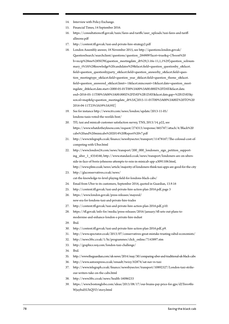- 14. Interview with Policy Exchange.
- 15. Financial Times, 14 September 2016.
- 16. https://consultations.tfl.gov.uk/taxis/fares-and-tariffs/user\_uploads/taxi-fares-and-tariffallinone.pdf
- 17. http://content.tfl.gov.uk/taxi-and-private-hire-strategy2.pdf
- 18. London Assembly answer, 18 November 2015, see http://questions.london.gov.uk/ QuestionSearch/searchclient/questions/question\_284909?facet=true&q={!boost%20 b=recip%28ms%28NOW,question\_meetingdate\_dt%29,3.16e-11,1,1%29}question\_solrsummary\_t%3A%28knowledge%20candidates%29&facet.field=question\_questionby\_s&facet. field=question\_questionbyparty\_s&facet.field=question\_answerby\_s&facet.field=question meetingtype s&facet.field=question year\_i&facet.field=question\_theme\_s&facet. field=question\_answered\_s&facet.limit=-1&facet.mincount=1&facet.date=question\_meetingdate\_dt&facet.date.start=2000-05-01T00%3A00%3A00.000Z%2FDAY&facet.date. end=2016-05-11T00%3A00%3A00.000Z%2FDAY%2B1DAY&facet.date.gap=%2B1DAY&json.nl=map&fq=question\_meetingdate\_dt%3A[2015-11-01T00%3A00%3A00Z%20TO%20 2016-04-11T23%3A59%3A59Z]
- 19. See for instance http://www.itv.com/news/london/update/2013-11-05/ londons-taxis-voted-the-worlds-best/
- 20. TfL taxi and minicab customer satisfaction survey, TNS, 2013/14, p22, see https://www.whatdotheyknow.com/request/274313/response/665767/attach/4/Black%20 cabs%20and%20minicabs%202014%20Report%20v7.pdf
- 21. http://www.telegraph.co.uk/finance/newsbysector/transport/11478167/The-colossal-cost-ofcompeting-with-Uber.html
- 22. http://www.london24.com/news/transport/200\_000\_londoners\_sign\_petition\_supporting\_uber\_1\_4354546, http://www.standard.co.uk/news/transport/londoners-are-on-ubersside-in-face-of-boris-johnsons-attempts-to-rein-in-minicab-app-a3091106.html, http://www.plmr.co.uk/news/article/majority-of-londoners-think-taxi-apps-are-good-for-the-city
- 23. http://glaconservatives.co.uk/news/ cut-the-knowledge-to-level-playing-field-for-londons-black-cabs/
- 24. Email from Uber to its customers, September 2016, quoted in Guardian, 13.9.16
- 25. http://content.tfl.gov.uk/taxi-and-private-hire-action-plan-2016.pdf, page 3
- 26. https://www.london.gov.uk/press-releases/mayoral/ new-era-for-londons-taxi-and-private-hire-trades
- 27. http://content.tfl.gov.uk/taxi-and-private-hire-action-plan-2016.pdf, p10.
- 28. https://tfl.gov.uk/info-for/media/press-releases/2016/january/tfl-sets-out-plans-tomodernise-and-enhance-london-s-private-hire-indust
- 29. Ibid.
- 30. http://content.tfl.gov.uk/taxi-and-private-hire-action-plan-2016.pdf, p9.
- 31. http://www.spectator.co.uk/2013/07/conservatives-great-mistake-trusting-rabid-economists/
- 32. http://news.bbc.co.uk/1/hi/programmes/click\_online/7143897.stm
- 33. http://graphics.wsj.com/london-taxi-challenge/
- 34. Ibid.
- 35. http://www.theguardian.com/uk-news/2014/may/30/comparing-uber-and-traditional-uk-black-cabs
- 36. http://www.autoexpress.co.uk/renault/twizy/62874/sat-nav-vs-taxi
- 37. http://www.telegraph.co.uk/finance/newsbysector/transport/10892327/London-taxi-strikeour-writers-take-on-the-cabs.html
- 38. http://www.bbc.co.uk/news/health-16086233
- 39. https://www.bostonglobe.com/ideas/2013/08/17/our-brains-pay-price-for-gps/d2Tnvo4hi-Wjuybid5UhQVO/story.html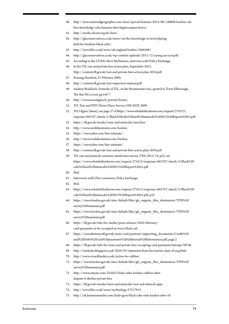- 40. http://news.nationalgeographic.com/news/special-features/2014/08/140808-london-cabbies-knowledge-cabs-hansom-uber-hippocampus-livery/
- 41. http://media.ofcom.org.uk/facts/
- 42. http://glaconservatives.co.uk/news/cut-the-knowledge-to-level-playingfield-for-londons-black-cabs/
- 43. http://www.bbc.co.uk/news/uk-england-london-35065681
- 44. http://glaconservatives.co.uk/wp-content/uploads/2015/12/saving-an-icon.pdf
- 45. According to the LTDA's Steve McNamara, interview with Policy Exchange.
- 46. In the TfL taxi and private hire action plan, September 2015,

http://content.tfl.gov.uk/taxi-and-private-hire-action-plan-2016.pdf

- 47. Evening Standard, 21 February 2005.
- 48. http://content.tfl.gov.uk/taxi-inspection-manual.pdf
- 49. Andrew Braddock, formerly of Tf L, on the Routemaster bus, quoted in Travis Elborough, The Bus We Loved, pp156-7.
- 50. http://www.taxianglais.fr/portail/forum/
- 51. TfL Taxi and PHV Driver Diary Survey, GfK NOP, 2009.
- 52. 2013 figure (latest), see page 37 of https://www.whatdotheyknow.com/request/274313/ response/665767/attach/3/Black%20cabs%20and%20minicabs%202013%20Report%20v5.pdf
- 53. https://tfl.gov.uk/modes/taxis-and-minicabs/taxi-fares
- 54. http://www.worldtaximeter.com/london
- 55. https://www.uber.com/fare-estimate/
- 56. http://www.worldtaximeter.com/london,
- 57. https://www.uber.com/fare-estimate/
- 58. http://content.tfl.gov.uk/taxi-and-private-hire-action-plan-2016.pdf
- 59. Tf L taxi and minicab customer satisfaction survey, TNS, 2013/14, p22, see https://www.whatdotheyknow.com/request/274313/response/665767/attach/3/Black%20 cabs%20and%20minicabs%202013%20Report%20v5.pdf
- 60. Ibid.
- 61. Interviews with Uber customers, Policy Exchange.
- 62. Ibid.
- 63. https://www.whatdotheyknow.com/request/274313/response/665767/attach/3/Black%20 cabs%20and%20minicabs%202013%20Report%20v5.pdf, p23.
- 64. https://www.london.gov.uk/sites/default/files/gla\_migrate\_files\_destination/TPH%20 survey%20summary.pdf
- 65. https://www.london.gov.uk/sites/default/files/gla\_migrate\_files\_destination/TPH%20 survey%20summary.pdf
- 66. https://tfl.gov.uk/info-for/media/press-releases/2016/february/ card-payments-to-be-accepted-in-every-black-cab
- 67. https://consultations.tfl.gov.uk/taxis/card-payment/supporting\_documents/Credit%20 and%20Debit%20card%20payments%20Additional%20Information.pdf, page 2
- 68. https://tfl.gov.uk/info-for/taxis-and-private-hire/accepting-card-payments?intcmp=38746
- 69. http://taxileaks.blogspot.co.uk/2016/03/statement-from-len-martin-chair-of-ucg.html
- 70. http://www.crowdfunder.co.uk/action-for-cabbies
- 71. https://www.london.gov.uk/sites/default/files/gla\_migrate\_files\_destination/TPH%20 survey%20summary.pdf
- 72. http://www.cityam.com/225633/hailo-sides-london-cabbies-uberdispute-it-ditches-private-hire
- 73. https://tfl.gov.uk/modes/taxis-and-minicabs/taxi-and-minicab-apps
- 74. http://www.bbc.co.uk/news/technology-27517914
- 75. http://uk.businessinsider.com/hailo-goes-black-cabs-only-london-uber-10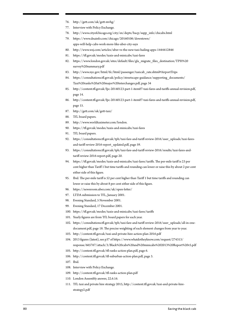- 76. http://gett.com/uk/gett-mvhg/
- 77. Interview with Policy Exchange.
- 78. http://www.cityofchicago.org/city/en/depts/bacp/supp\_info/chicabs.html
- 79. https://www.dnainfo.com/chicago/20160106/downtown/ apps-will-help-cabs-work-more-like-uber-city-says
- 80. http://www.wsj.com/articles/uber-vs-the-new-taxi-hailing-apps-1444412846
- 81. https://tfl.gov.uk/modes/taxis-and-minicabs/taxi-fares
- 82. https://www.london.gov.uk/sites/default/files/gla\_migrate\_files\_destination/TPH%20 survey%20summary.pdf
- 83. http://www.nyc.gov/html/tlc/html/passenger/taxicab\_rate.shtml#AirportTrips
- 84. https://consultations.tfl.gov.uk/policy/streetscape-guidance/supporting\_documents/ Taxi%20ranks%20at%20major%20interchanges.pdf, page 34
- 85. http://content.tfl.gov.uk/fpc-20140123-part-1-item07-taxi-fares-and-tariffs-annual-revision.pdf, page 14.
- 86. http://content.tfl.gov.uk/fpc-20140123-part-1-item07-taxi-fares-and-tariffs-annual-revision.pdf, page 15.
- 87. http://gett.com/uk/gett-taxi/
- 88. TfL board papers.
- 89. http://www.worldtaximeter.com/london.
- 90. https://tfl.gov.uk/modes/taxis-and-minicabs/taxi-fares
- 91. TfL board papers.
- 92. https://consultations.tfl.gov.uk/tph/taxi-fare-and-tariff-review-2016/user\_uploads/taxi-faresand-tariff-review-2016-report\_updated.pdf, page 59.
- 93. https://consultations.tfl.gov.uk/tph/taxi-fare-and-tariff-review-2016/results/taxi-fares-andtariff-review-2016-report.pdf, page 20.
- 94. https://tfl.gov.uk/modes/taxis-and-minicabs/taxi-fares/tariffs. The per-mile tariff is 23 per cent higher than Tariff 1 but time tariffs and rounding can lower or raise this by about 2 per cent either side of this figure.
- 95. Ibid. The per-mile tariff is 52 per cent higher than Tariff 1 but time tariffs and rounding can lower or raise this by about 8 per cent either side of this figure.
- 96. https://newsroom.uber.com/uk/open-letter/
- 97. LTDA submission to TfL, January 2001.
- 98. Evening Standard, 5 November 2001.
- 99. Evening Standard, 17 December 2001.
- 100. https://tfl.gov.uk/modes/taxis-and-minicabs/taxi-fares/tariffs
- 101. Yearly figures are from TfL board papers for each year.
- 102. https://consultations.tfl.gov.uk/tph/taxi-fare-and-tariff-review-2016/user\_uploads/all-in-onedocument.pdf, page 18. The precise weighting of each element changes from year to year.
- 103. http://content.tfl.gov.uk/taxi-and-private-hire-action-plan-2016.pdf
- 104. 2013 figures (latest), see p37 of https://www.whatdotheyknow.com/request/274313/ response/665767/attach/3/Black%20cabs%20and%20minicabs%202013%20Report%20v5.pdf
- 105. http://content.tfl.gov.uk/tfl-ranks-action-plan.pdf, page 6.
- 106. http://content.tfl.gov.uk/tfl-suburban-action-plan.pdf, page 3.
- 107. Ibid.
- 108. Interview with Policy Exchange.
- 109. http://content.tfl.gov.uk/tfl-ranks-action-plan.pdf
- 110. London Assembly answer, 22.6.16.
- 111. Tf L taxi and private hire strategy 2015, http://content.tfl.gov.uk/taxi-and-private-hirestrategy2.pdf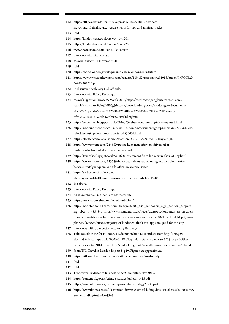- 112. https://tfl.gov.uk/info-for/media/press-releases/2015/october/ mayor-and-tfl-finalise-ulez-requirements-for-taxi-and-minicab-trades
- 113. Ibid.
- 114. http://london-taxis.co.uk/news/?id=1201
- 115. http://london-taxis.co.uk/news/?id=1222
- 116. www.newmetrocab.com, see FAQs section
- 117. Interview with TfL officials.
- 118. Mayoral answer, 11 November 2015.
- 119. Ibid.
- 120. https://www.london.gov.uk/press-releases/londons-ulev-future
- 121. https://www.whatdotheyknow.com/request/119432/response/294018/attach/3/FOI%20 0449%201213.pdf
- 122. In discussion with City Hall officials.
- 123. Interview with Policy Exchange.
- 124. Mayor's Question Time, 25 March 2015, https://webcache.googleusercontent.com/ search?q=cache:xSiybq6HECg J:https://www.london.gov.uk/moderngov/documents/ s45777/Appendix%25202%2520-%2520Item%25205%2520-%2520Transcript. rtf%3FCT%3D2+&cd=1&hl=en&ct=clnk&gl=uk
- 125. http://zelo-street.blogspot.co.uk/2016/03/ubers-london-dirty-tricks-exposed.html
- 126. http://www.independent.co.uk/news/uk/home-news/uber-sign-ups-increase-850-as-blackcab-drivers-stage-london-taxi-protest-9530061.html
- 127. https://twitter.com/ianaustinmp/status/603205785599025152?lang=en-gb
- 128. http://www.cityam.com/224650/police-hunt-man-after-taxi-drivers-uberprotest-outside-city-hall-turns-violent-security
- 129. http://taxileaks.blogspot.co.uk/2016/03/statement-from-len-martin-chair-of-ucg.html
- 130. http://www.cityam.com/233649/black-cab-drivers-are-planning-another-uber-protestbetween-trafalgar-square-and-tfls-office-on-victoria-street
- 131. http://uk.businessinsider.com/

uber-high-court-battle-in-the-uk-over-taximeters-verdict-2015-10

- 132. See above.
- 133. Interview with Policy Exchange.
- 134. As at October 2016, Uber Fare Estimator site.
- 135. https://newsroom.uber.com/one-in-a-billion/
- 136. http://www.london24.com/news/transport/200\_000\_londoners\_sign\_petition\_supporting\_uber\_1\_4354546, http://www.standard.co.uk/news/transport/londoners-are-on-ubersside-in-face-of-boris-johnsons-attempts-to-rein-in-minicab-app-a3091106.html, http://www. plmr.co.uk/news/article/majority-of-londoners-think-taxi-apps-are-good-for-the-city
- 137. Interviews with Uber customers, Policy Exchange.
- 138. Tube casualties are for FY 2013/14, do not include DLR and are from http://orr.gov. uk/\_\_data/assets/pdf\_file/0006/14784/key-safety-statistics-release-2013-14.pdf Other casualties are for 2014 from http://content.tfl.gov.uk/casualties-in-greater-london-2014.pdf
- 139. From Tf L, Travel in London Report 8, p29. Figures are approximate.
- 140. https://tfl.gov.uk/corporate/publications-and-reports/road-safety
- 141. Ibid.
- 142. Ibid.
- 143. TfL written evidence to Business Select Committee, Nov 2015.
- 144. http://content.tfl.gov.uk/crime-statistics-bulletin-1415.pdf
- 145. http://content.tfl.gov.uk/taxi-and-private-hire-strategy2.pdf , p24.
- 146. http://www.ibtimes.co.uk/uk-minicab-drivers-claim-tfl-hiding-data-sexual-assaults-taxis-theyare-demanding-truth-1544945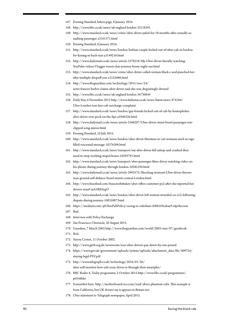- 147. Evening Standard, letters page, 8 January 2016.
- 148. http://www.bbc.co.uk/news/uk-england-london-32118391
- 149. http://www.standard.co.uk/news/crime/uber-driver-jailed-for-18-months-after-sexually-assaulting-passenger-a3161371.html
- 150. Evening Standard, 8 January 2016.
- 151. http://www.standard.co.uk/news/london/lesbian-couple-kicked-out-of-uber-cab-in-londonfor-kissing-in-back-seat-a3149216.html
- 152. http://www.dailymail.co.uk/news/article-3370218/My-Uber-driver-literally-watching-YouTube-videos-Vlogger-tweets-fear-journey-home-night-out.html
- 153. http://www.standard.co.uk/news/crime/uber-driver-called-woman-black-c-and-punched-herafter-multiple-dropoff-row-a3125686.html
- 154. http://www.theguardian.com/technology/2015/nov/24/ actor-frances-barber-claims-uber-driver-said-she-was-disgustingly-dressed
- 155. http://www.bbc.co.uk/news/uk-england-london-34730644
- 156. Daily Star, 6 November 2015 http://www.dailystar.co.uk/news/latest-news/474184/ Uber-London-taxi-fare-cab-surcharge-complaint
- 157. http://www.standard.co.uk/news/london/gay-friends-kicked-out-of-cab-by-homophobicuber-driver-over-peck-on-the-lips-a2946326.html
- 158. http://www.dailymail.co.uk/news/article-3186207/Uber-driver-street-brawl-passenger-rowclipped-wing-mirror.html
- 159. Evening Standard, 10 July 2015.
- 160. http://www.standard.co.uk/news/london/uber-driver-threatens-to-cut-womans-neck-in-ragefilled-voicemail-message-10376396.html
- 161. http://www.standard.co.uk/news/transport/my-uber-driver-fell-asleep-and-crashed-theyneed-to-stop-working-stupid-hours-10293791.html
- 162. http://www.standard.co.uk/news/transport/uber-passenger-films-driver-watching-video-onhis-phone-during-journey-through-london-10282194.html
- 163. http://www.dailymail.co.uk/news/article-2993575/Shocking-moment-Uber-driver-throwsman-ground-self-defence-brawl-streets-central-London.html
- 164. http://www.buzzfeed.com/franciswhittaker/uber-offers-customer-ps2-after-she-reported-herdrivers-sexu#.inA1RB5egO
- 165. http://www.standard.co.uk/news/london/uber-driver-left-woman-stranded-on-a12-followingdispute-during-journey-10035987.html
- 166. https://medium.com/@UberPubPolicy/racing-to-rideshare-f588359cabae#.s4pvhscwm
- 167. Ibid.
- 168. Interview with Policy Exchange.
- 169. San Francisco Chronicle, 20 August 2015.
- 170. Guardian, 7 March 2003 http://www.theguardian.com/world/2003/mar/07/gender.uk.
- 171. Ibid.
- 172. Surrey Comet, 11 October 2002.
- 173. http://www.gmb.org.uk/newsroom/new-uber-drivers-pay-down-by-one-pound
- 174. https://www.gov.uk/government/uploads/system/uploads/attachment\_data/file/409724/ staying-legal-PSV.pdf
- 175. http://www.telegraph.co.uk/technology/2016/01/26/

uber-will-monitor-how-safe-your-driver-is-through-their-smartpho/

- 176. BBC Radio 4, Today programme, 2 October 2015 http://www.bbc.co.uk/programmes/ p0344bhv
- 177. Screenshot here: http://motherboard.vice.com/read/ubers-phantom-cabs. This example is from California, but UK drivers say it appears in Britain too.
- 178. Uber statement to Telegraph newspaper, April 2015.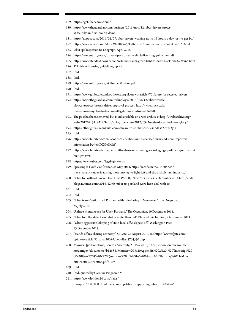- 179. https://get.uber.com/cl/uk/
- 180. http://www.theguardian.com/business/2015/nov/12/uber-drivers-protestat-fee-hike-in-first-london-demo
- 181. http://nypost.com/2016/02/07/uber-drivers-working-up-to-19-hours-a-day-just-to-get-by/
- 182. http://www.scribd.com/doc/299102546/Letter-to-Commissioner-Joshi-2-11-2016-3-1-1
- 183. Uber spokesperson to Telegraph, April 2015.
- 184. http://content.tfl.gov.uk/driver-operator-and-vehicle-licensing-guidelines.pdf
- 185. http://www.standard.co.uk/news/wife-killer-gets-green-light-to-drive-black-cab-6724966.html
- 186. TfL driver licensing guidelines, op. cit.
- 187. Ibid.
- 188. Ibid.
- 189. http://content.tfl.gov.uk/skills-specification.pdf
- 190. Ibid.
- 191. http://www.gmbwalesandsouthwest.org.uk/news/article/70-failure-for-retested-drivers
- 192. http://www.theguardian.com/technology/2015/jun/12/uber-whistleblower-exposes-breach-driver-approval-process, http://www.lbc.co.uk/ this-is-how-easy-it-is-to-become-illegal-minicab-driver-126098
- 193. The post has been removed, but is still available on a web archive at http://web.archive.org/ web/20120413114218/http://blog.uber.com/2012/03/26/uberdata-the-ride-of-glory/.
- 194. https://thoughts.siliconguild.com/can-we-trust-uber-c0e793deda36#.btizi3yjg
- 195. Ibid.
- 196. http://www.buzzfeed.com/jacobfischler/uber-said-it-accessed-buzzfeed-news-reportersinformation-be#.emDZGe9MkY
- 197. http://www.buzzfeed.com/bensmith/uber-executive-suggests-digging-up-dirt-on-journalists#. hu9LpvD9z8
- 198. https://www.uber.com/legal/gbr/terms
- 199. Speaking at Code Conference, 28 May 2014, http://recode.net/2014/05/28/ travis-kalanick-uber-is-raising-more-money-to-fight-lyft-and-the-asshole-taxi-industry/
- 200. "Uber to Portland: We're Here. Deal With It," New York Times, 5 December 2014 http://bits. blogs.nytimes.com/2014/12/05/uber-to-portland-were-here-deal-with-it/
- 201. Ibid.
- 202. Ibid.
- 203. "Uber teases 'antiquated' Portland with ridesharing in Vancouver," The Oregonian, 25 July 2014.
- 204. "A three-month truce for Uber, Portland," The Oregonian, 19 December 2014.
- 205. "Uber told the state it wouldn't operate, then did," Philadelphia Inquirer, 9 November 2014.
- 206. "Uber's aggressive lobbying of state, local officials pays off," Washington Post, 13 December 2014.
- 207. "Hands off my sharing economy," SFGate, 22 August 2014, see http://www.sfgate.com/ opinion/article/Obama-2008-Uber-alles-5704550.php
- 208. Mayor's Question Time, London Assembly, 21 May 2015, https://www.london.gov.uk/ moderngov/documents/b12554/Minutes%20-%20Appendix%202%20-%20Transcript%20 of%20Item%204%20-%20Questions%20to%20the%20Mayor%20Thursday%2021-May-2015%2010.00%20Lo.pdf?T=9
- 209. Ibid.
- 210. Ibid; quoted by Caroline Pidgeon AM.
- 211. http://www.london24.com/news/ transport/200\_000\_londoners\_sign\_petition\_supporting\_uber\_1\_4354546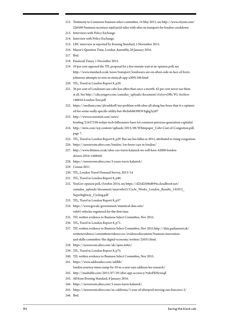- 212. Testimony to Commons business select committee, 14 May 2015, see http://www.cityam.com/ 226569/business-secretary-sajid-javid-sides-with-uber-in-transport-for-london-crackdown
- 213. Interviews with Policy Exchange.
- 214. Interview with Policy Exchange.
- 215. LBC interview as reported by Evening Standard, 5 November 2015.
- 216. Mayor's Question Time, London Assembly, 20 January 2016.
- 217. Ibid.
- 218. Financial Times, 1 December 2015.
- 219. 59 per cent opposed the TfL proposal for a five-minute wait in an opinion poll, see http://www.standard.co.uk/news/transport/londoners-are-on-ubers-side-in-face-of-borisjohnsons-attempts-to-rein-in-minicab-app-a3091106.html
- 220. TfL, Travel in London Report 8, p29.
- 221. 36 per cent of Londoners use cabs less often than once a month. 42 per cent never use them at all. See http://cdn.yougov.com/cumulus\_uploads/document/i1s5yvv29h/YG-Archive-140616-London-Taxi.pdf
- 222. https://medium.com/@rushkoff/my-problem-with-uber-all-along-has-been-that-it-s-optimized-for-some-really-specific-utility-but-4bcbeb863903#.bgkg3yy07
- 223. http://www.economist.com/news/

briefing/21637338-todays-tech-billionaires-have-lot-common-previous-generation-capitalist

- 224. http://inrix.com/wp-content/uploads/2015/08/Whitepaper\_Cebr-Cost-of-Congestion.pdf, page 7.
- 225. TfL, Travel in London Report 8, p29. Bus use has fallen in 2015, attributed to rising congestion.
- 226. https://newsroom.uber.com/london/1m-fewer-cars-in-london/
- 227. http://www.ibtimes.co.uk/uber-ceo-travis-kalanick-we-will-have-42000-londondrivers-2016-1468436
- 228. https://newsroom.uber.com/5-years-travis-kalanick/
- 229. Census 2011
- 230. TfL, London Travel Demand Survey, 2013/14
- 231. TfL, Travel in London Report 8, p40.
- 232. YouGov opinion poll, October 2014, see https://d25d2506sfb94s.cloudfront.net/ cumulus\_uploads/document/sznerwhvt3/Cycle\_Works\_London\_Results\_141013\_ Superhighway\_Cycling.pdf
- 233. TfL, Travel in London Report 8, p57
- 234. https://www.gov.uk/government/statistical-data-sets/ veh01-vehicles-registered-for-the-first-time
- 235. TfL written evidence to Business Select Committee, Nov 2015.
- 236. TfL, Travel in London Report 8, p71.
- 237. TfL written evidence to Business Select Committee, Nov 2015 http://data.parliament.uk/ writtenevidence/committeeevidence.svc/evidencedocument/business-innovationand-skills-committee/the-digital-economy/written/25031.html.
- 238. https://newsroom.uber.com/uk/open-letter/
- 239. TfL, Travel in London Report 8, p75.
- 240. TfL written evidence to Business Select Committee, Nov 2015.
- 241. https://www.addisonlee.com/addlib/

london-journey-times-jump-by-10-in-a-year-says-addison-lee-research/

- 242. http://mashable.com/2015/07/29/uber-app-accuracy/#akoFkHyzisqE
- 243. All from Evening Standard, 8 January 2016.
- 244. https://newsroom.uber.com/5-years-travis-kalanick/
- 245. https://newsroom.uber.com/us-california/1-year-of-uberpool-moving-san-francisco-2/
- 246. Ibid.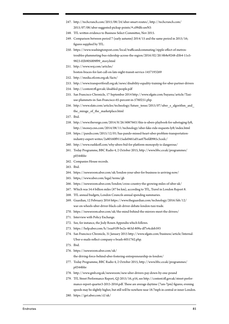- 247. http://techcrunch.com/2015/08/24/uber-smart-routes/, http://techcrunch.com/ 2015/07/08/uber-suggested-pickup-points/#.c09dfs:uwN5
- 248. TfL written evidence to Business Select Committee, Nov 2015.
- 249. Comparison between period 7 (early autumn) 2014/15 and the same period in 2015/16; figures supplied by TfL.
- 250. https://www.washingtonpost.com/local/trafficandcommuting/ripple-effect-of-metrostroubles-plummeting-bus-ridership-across-the-region/2016/02/20/6b8e9248-d5b4-11e5- 9823-02b905009f99\_story.html
- 251. http://www.wsj.com/articles/
	- boston-braces-for-last-call-on-late-night-transit-service-1457193269
- 252. http://media.ofcom.org.uk/facts/
- 253. http://www.transportforall.org.uk/news/disability-equality-training-for-uber-partner-drivers
- 254. http://content.tfl.gov.uk/disabled-people.pdf
- 255. San Francisco Chronicle, 17 September 2014 http://www.sfgate.com/bayarea/article/Taxiuse-plummets-in-San-Francisco-65-percent-in-5760251.php.
- 256. http://www.slate.com/articles/technology/future\_tense/2015/07/uber\_s\_algorithm\_and the mirage of the marketplace.html
- 257. Ibid.
- 258. http://www.theverge.com/2014/8/26/6067663/this-is-ubers-playbook-for-sabotaging-lyft, http://money.cnn.com/2014/08/11/technology/uber-fake-ride-requests-lyft/index.html
- 259. https://pando.com/2015/12/01/has-pando-missed-heart-uber-problem-transportationindustry-expert-writes/2a80160f9115ade0461a01ae67befd0985c3cedc/
- 260. http://www.rushkoff.com/why-ubers-bid-for-platform-monopoly-is-dangerous/
- 261. Today Programme, BBC Radio 4, 2 October 2015, http://www.bbc.co.uk/programmes/ p0344bhv
- 262. Companies House records.
- 263. Ibid.
- 264. https://newsroom.uber.com/uk/london-your-uber-for-business-is-arriving-now/
- 265. https;//www.uber.com/legal/terms/gb
- 266. https://newsroom.uber.com/london/cross-country-the-growing-miles-of-uber-uk/
- 267. Which was 54.4 billion miles (87 bn km), according to TfL, Travel in London Report 8.
- 268. TfL annual budgets, London Councils annual spending summaries.
- 269. Guardian, 12 February 2016 https://www.theguardian.com/technology/2016/feb/12/ war-on-wheels-uber-driver-black-cab-driver-debate-london-taxi-trade.
- 270. https://newsroom.uber.com/uk/the-mind-behind-the-mirrors-meet-the-drivers/
- 271. Interview with Policy Exchange.
- 272. See, for instance, the Jody Rosen Appendix which follows.
- 273. https://help.uber.com/h/1eaa91f9-be2e-463d-809a-df7e4cdeb593
- 274. San Francisco Chronicle, 31 January 2015 http://www.sfgate.com/business/article/Internal-Uber-e-mails-reflect-company-s-brash-6051762.php.
- 275. Ibid.
- 276. https://newsroom.uber.com/uk/

the-driving-force-behind-uber-fostering-entrepreneurship-in-london/

- 277. Today Programme, BBC Radio 4, 2 October 2015, http://www.bbc.co.uk/programmes/ p0344bhv
- 278. http://www.gmb.org.uk/newsroom/new-uber-drivers-pay-down-by-one-pound
- 279. TfL Street Performance Report, Q3 2015/16, p16, see http://content.tfl.gov.uk/street-performance-report-quarter3-2015-2016.pdf. These are average daytime (7am-7pm) figures; evening speeds may be slightly higher, but still will be nowhere near 18.7mph in central or inner London.
- 280. https://get.uber.com/cl/uk/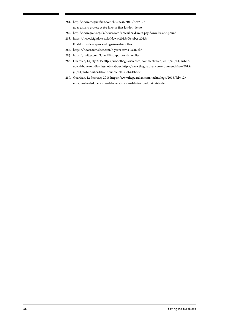- 281. http://www.theguardian.com/business/2015/nov/12/ uber-drivers-protest-at-fee-hike-in-first-london-demo
- 282. http://www.gmb.org.uk/newsroom/new-uber-drivers-pay-down-by-one-pound
- 283. https://www.leighday.co.uk/News/2015/October-2015/ First-formal-legal-proceedings-issued-in-Uber
- 284. https://newsroom.uber.com/5-years-travis-kalanick/
- 285. https://twitter.com/UberUKsupport/with\_replies
- 286. Guardian, 14 July 2015 http://www.theguarian.com/commentisfree/2015/jul/14/airbnbuber-labour-middle-class-jobs-labour. http://www.theguardian.com/commentisfree/2015/ jul/14/airbnb-uber-labour-middle-class-jobs-labour
- 287. Guardian, 12 February 2015 https://www.theguardian.com/technology/2016/feb/12/ war-on-wheels-Uber-driver-black-cab-driver-debate-London-taxi-trade.